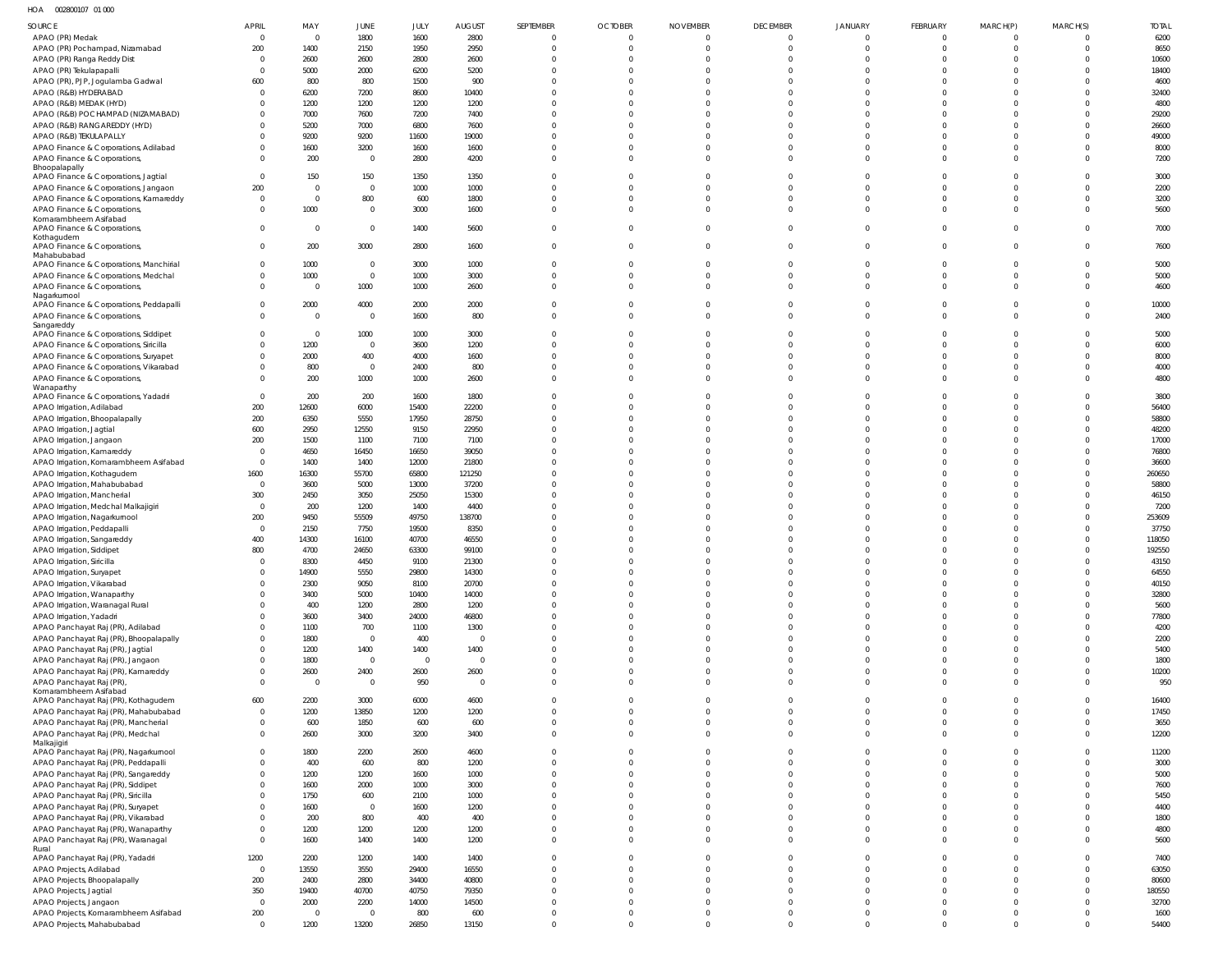HOA 002800107 01 000

| SOURCE                                                                       | <b>APRIL</b>         | MAY              | JUNE                  | JULY           | <b>AUGUST</b>          | SEPTEMBER                     | <b>OCTOBER</b>              | <b>NOVEMBER</b>         | <b>DECEMBER</b>            | <b>JANUARY</b>             | FEBRUARY                    | MARCH(P)                   | MARCH(S)                     | <b>TOTAL</b>    |
|------------------------------------------------------------------------------|----------------------|------------------|-----------------------|----------------|------------------------|-------------------------------|-----------------------------|-------------------------|----------------------------|----------------------------|-----------------------------|----------------------------|------------------------------|-----------------|
| APAO (PR) Medak                                                              | $\mathsf{C}$         | $\Omega$         | 1800                  | 1600           | 2800                   | $\mathbf 0$                   | $\mathbf 0$                 | $\Omega$                | $\overline{0}$             | $\overline{0}$             | $\overline{0}$              | $\Omega$                   | 0                            | 6200            |
| APAO (PR) Pochampad, Nizamabad                                               | 200                  | 1400             | 2150                  | 1950           | 2950                   | $\overline{0}$                | $\mathbf 0$                 |                         | $\overline{0}$             | $\mathbf{0}$               | $\mathbf{0}$                | $\Omega$                   | $\overline{0}$               | 8650            |
| APAO (PR) Ranga Reddy Dist                                                   |                      | 2600             | 2600                  | 2800           | 2600                   | $\Omega$                      | $\Omega$                    |                         | $\mathbf{0}$               | $\mathbf 0$                | $\Omega$                    | $\Omega$                   | $\Omega$                     | 10600           |
| APAO (PR) Tekulapapalli                                                      |                      | 5000             | 2000                  | 6200           | 5200                   | $\Omega$                      | $\Omega$                    |                         | $\mathbf 0$                | $\Omega$                   | $\Omega$                    | $\Omega$                   | $\mathbf{0}$                 | 18400           |
| APAO (PR), PJP, Jogulamba Gadwal<br>APAO (R&B) HYDERABAD                     | 600                  | 800<br>6200      | 800<br>7200           | 1500<br>8600   | 900<br>10400           | $\Omega$<br>$\Omega$          | $\Omega$<br>$\Omega$        |                         | $\Omega$<br>$\mathbf 0$    | $\Omega$<br>$\Omega$       | $\Omega$<br>$\Omega$        | $\Omega$<br>$\Omega$       | $\Omega$<br>$\mathbf{0}$     | 4600<br>32400   |
| APAO (R&B) MEDAK (HYD)                                                       |                      | 1200             | 1200                  | 1200           | 1200                   | $\Omega$                      | $\Omega$                    |                         | $\mathbf 0$                | $\Omega$                   | $\Omega$                    | $\Omega$                   | $\Omega$                     | 4800            |
| APAO (R&B) POCHAMPAD (NIZAMABAD)                                             |                      | 7000             | 7600                  | 7200           | 7400                   | $\Omega$                      | $\Omega$                    |                         | $\Omega$                   | $\Omega$                   | $\Omega$                    | $\Omega$                   | $\Omega$                     | 29200           |
| APAO (R&B) RANGAREDDY (HYD)                                                  |                      | 5200             | 7000                  | 6800           | 7600                   | $\Omega$                      | $\Omega$                    |                         | $\Omega$                   | $\Omega$                   | $\Omega$                    | $\Omega$                   | $\Omega$                     | 26600           |
| APAO (R&B) TEKULAPALLY                                                       |                      | 9200             | 9200                  | 11600          | 19000                  | $\Omega$                      | $\Omega$                    |                         | $\Omega$                   | $\Omega$                   | $\Omega$                    | $\Omega$                   | $\overline{0}$               | 49000           |
| APAO Finance & Corporations, Adilabad                                        |                      | 1600             | 3200                  | 1600           | 1600                   | $\Omega$                      | $\Omega$                    | $\Omega$                | $\mathbf 0$                | $\mathbf 0$                | $\mathbf 0$                 | $\Omega$                   | $\mathbf{0}$                 | 8000            |
| APAO Finance & Corporations,                                                 |                      | 200              | $\mathbf 0$           | 2800           | 4200                   | $\Omega$                      | $\Omega$                    |                         | $\mathbf 0$                | $\mathbf 0$                | $\mathbf 0$                 | $\Omega$                   | $\mathbf{0}$                 | 7200            |
| Bhoopalapally<br>APAO Finance & Corporations, Jagtial                        | $\Omega$             | 150              | 150                   | 1350           | 1350                   | $\overline{0}$                | $\Omega$                    |                         | $\mathbf 0$                | $\mathbf 0$                | $\mathbf 0$                 | $\Omega$                   | $\overline{0}$               | 3000            |
| APAO Finance & Corporations, Jangaon                                         | 200                  | $\Omega$         | $\mathbf 0$           | 1000           | 1000                   | $\Omega$                      | $\Omega$                    |                         | $\mathbf 0$                | $\Omega$                   | $\Omega$                    | $\Omega$                   | $\overline{0}$               | 2200            |
| APAO Finance & Corporations, Kamareddy                                       | - 0                  | $\Omega$         | 800                   | 600            | 1800                   | $\Omega$                      | $\Omega$                    |                         | $\mathbf 0$                | $\mathbf 0$                | $\mathbf 0$                 | $\Omega$                   | $\Omega$                     | 3200            |
| APAO Finance & Corporations,                                                 |                      | 1000             | $\mathbf 0$           | 3000           | 1600                   | $\Omega$                      | $\Omega$                    | $\Omega$                | $\mathbf 0$                | $\mathbf 0$                | $\mathbf 0$                 | $\Omega$                   | $\overline{0}$               | 5600            |
| Komarambheem Asifabad<br>APAO Finance & Corporations,                        |                      | $\Omega$         | $\mathbf 0$           | 1400           | 5600                   | $\Omega$                      | $\Omega$                    |                         | $\overline{0}$             | $\mathbf 0$                | $\overline{0}$              | $\Omega$                   | $\overline{0}$               | 7000            |
| Kothagudem                                                                   |                      |                  |                       |                |                        |                               |                             |                         |                            |                            |                             |                            |                              |                 |
| APAO Finance & Corporations,                                                 |                      | 200              | 3000                  | 2800           | 1600                   | $\mathbf{0}$                  | $\Omega$                    |                         | $\mathbf 0$                | $\mathbf 0$                | $\mathbf 0$                 | $\Omega$                   | $\mathbf 0$                  | 7600            |
| Mahabubabad<br>APAO Finance & Corporations, Manchirial                       |                      | 1000             | $\mathbf 0$           | 3000           | 1000                   | $\mathbf{0}$                  | $\Omega$                    | 0                       | $\overline{0}$             | $\mathbf 0$                | $\overline{0}$              | $\Omega$                   | $\overline{0}$               | 5000            |
| APAO Finance & Corporations, Medchal                                         |                      | 1000             | $\mathbf 0$           | 1000           | 3000                   | $\overline{0}$                | $\mathbf 0$                 | $\Omega$                | $\mathbf{0}$               | $\mathbf 0$                | $\overline{0}$              | $\Omega$                   | $\overline{0}$               | 5000            |
| APAO Finance & Corporations,                                                 |                      | $\Omega$         | 1000                  | 1000           | 2600                   | $\Omega$                      | $\Omega$                    | $\Omega$                | $\mathbf 0$                | $\mathbf 0$                | $\mathbf{0}$                | $\Omega$                   | $\Omega$                     | 4600            |
| Nagarkurnool                                                                 |                      |                  |                       |                |                        |                               |                             |                         |                            |                            |                             |                            |                              |                 |
| APAO Finance & Corporations, Peddapalli                                      |                      | 2000             | 4000<br>$\mathbf 0$   | 2000           | 2000                   | $\Omega$<br>$\Omega$          | $\Omega$<br>$\Omega$        | $\Omega$                | $\mathbf 0$                | $\mathbf 0$<br>$\mathbf 0$ | $\mathbf 0$<br>$\mathbf{0}$ | $\Omega$<br>$\Omega$       | $\overline{0}$<br>$\Omega$   | 10000           |
| APAO Finance & Corporations,<br>Sangareddy                                   |                      | $\Omega$         |                       | 1600           | 800                    |                               |                             |                         | $\overline{0}$             |                            |                             |                            |                              | 2400            |
| APAO Finance & Corporations, Siddipet                                        |                      | $\Omega$         | 1000                  | 1000           | 3000                   | $\Omega$                      | $\Omega$                    |                         | $\mathbf 0$                | $\Omega$                   | $\Omega$                    | $\Omega$                   | $\overline{0}$               | 5000            |
| APAO Finance & Corporations, Siricilla                                       |                      | 1200             | $\mathbf 0$           | 3600           | 1200                   | $\Omega$                      | $\Omega$                    |                         | $\mathbf 0$                | $\Omega$                   | $\Omega$                    | $\Omega$                   | $\Omega$                     | 6000            |
| APAO Finance & Corporations, Suryapet                                        |                      | 2000             | 400                   | 4000           | 1600                   | $\Omega$                      | $\Omega$                    |                         | $\mathbf 0$                | $\Omega$                   | $\Omega$                    | $\Omega$                   | $\overline{0}$               | 8000            |
| APAO Finance & Corporations, Vikarabad                                       |                      | 800              | $\mathbf 0$           | 2400           | 800                    | $\Omega$                      | $\Omega$                    | $\Omega$                | $\mathbf 0$                | $\mathbf 0$                | $\mathbf 0$                 | $\Omega$                   | $\mathbf{0}$                 | 4000            |
| APAO Finance & Corporations,<br>Wanaparthy                                   |                      | 200              | 1000                  | 1000           | 2600                   | $\Omega$                      | $\Omega$                    |                         | $\mathbf 0$                | $\mathbf 0$                | $\mathbf 0$                 | $\Omega$                   | $\Omega$                     | 4800            |
| APAO Finance & Corporations, Yadadri                                         | $\Omega$             | 200              | 200                   | 1600           | 1800                   | $\Omega$                      | $\Omega$                    |                         | $\overline{0}$             | $\mathbf 0$                | $\overline{0}$              | $\Omega$                   | $\overline{0}$               | 3800            |
| APAO Irrigation, Adilabad                                                    | 200                  | 12600            | 6000                  | 15400          | 22200                  | $\Omega$                      | $\Omega$                    |                         | $\mathbf 0$                | $\Omega$                   | $\Omega$                    | $\Omega$                   | $\overline{0}$               | 56400           |
| APAO Irrigation, Bhoopalapally                                               | 200                  | 6350             | 5550                  | 17950          | 28750                  | $\Omega$                      | $\Omega$                    |                         | $\mathbf 0$                | $\Omega$                   | $\mathbf 0$                 | $\Omega$                   | $\Omega$                     | 58800           |
| APAO Irrigation, Jagtial                                                     | 600                  | 2950             | 12550                 | 9150           | 22950                  | $\Omega$                      | $\Omega$                    |                         | $\Omega$                   | $\Omega$                   | $\Omega$                    | $\Omega$                   | $\Omega$                     | 48200           |
| APAO Irrigation, Jangaon                                                     | 200                  | 1500             | 1100                  | 7100           | 7100                   | $\Omega$                      | $\Omega$                    |                         | $\mathbf 0$                | $\Omega$                   | $\Omega$                    | $\Omega$                   | $\Omega$                     | 17000           |
| APAO Irrigation, Kamareddy<br>APAO Irrigation, Komarambheem Asifabad         | $\Omega$<br>$\Omega$ | 4650<br>1400     | 16450<br>1400         | 16650<br>12000 | 39050<br>21800         | $\Omega$<br>$\Omega$          | $\Omega$<br>$\Omega$        |                         | $\Omega$<br>$\mathbf 0$    | $\Omega$<br>$\Omega$       | $\Omega$<br>$\Omega$        | $\Omega$<br>$\Omega$       | $\mathbf{0}$<br>$\Omega$     | 76800<br>36600  |
| APAO Irrigation, Kothagudem                                                  | 1600                 | 16300            | 55700                 | 65800          | 121250                 | $\Omega$                      | $\Omega$                    |                         | $\mathbf 0$                | $\Omega$                   | $\Omega$                    | $\Omega$                   | $\mathbf{0}$                 | 260650          |
| APAO Irrigation, Mahabubabad                                                 | $\Omega$             | 3600             | 5000                  | 13000          | 37200                  | $\Omega$                      | $\Omega$                    |                         | $\Omega$                   | $\Omega$                   | $\Omega$                    | $\Omega$                   | $\Omega$                     | 58800           |
| APAO Irrigation, Mancherial                                                  | 300                  | 2450             | 3050                  | 25050          | 15300                  | $\Omega$                      | $\Omega$                    |                         | $\Omega$                   | $\Omega$                   | $\Omega$                    | $\Omega$                   | $\Omega$                     | 46150           |
| APAO Irrigation, Medchal Malkajigiri                                         | $\overline{0}$       | 200              | 1200                  | 1400           | 4400                   | $\Omega$                      |                             |                         | $\mathbf 0$                | $\Omega$                   | $\Omega$                    | $\Omega$                   | $\Omega$                     | 7200            |
| APAO Irrigation, Nagarkurnool                                                | 200                  | 9450             | 55509                 | 49750          | 138700                 | $\Omega$                      | $\Omega$                    |                         | $\Omega$                   | $\Omega$                   | $\Omega$                    | $\Omega$                   | $\Omega$                     | 253609          |
| APAO Irrigation, Peddapalli                                                  | $\Omega$             | 2150             | 7750                  | 19500          | 8350                   | $\Omega$                      |                             |                         | $\mathbf 0$                | $\Omega$                   | $\mathbf 0$                 | $\Omega$                   | $\Omega$                     | 37750           |
| APAO Irrigation, Sangareddy                                                  | 400                  | 14300            | 16100                 | 40700          | 46550<br>99100         | $\Omega$<br>$\Omega$          | $\Omega$<br>$\Omega$        | $\Omega$                | $\mathbf 0$<br>$\Omega$    | $\Omega$<br>$\mathbf 0$    | $\mathbf 0$<br>$\Omega$     | $\Omega$<br>$\Omega$       | $\Omega$<br>$\Omega$         | 118050          |
| APAO Irrigation, Siddipet<br>APAO Irrigation, Siricilla                      | 800                  | 4700<br>8300     | 24650<br>4450         | 63300<br>9100  | 21300                  |                               |                             |                         | $\cap$                     | $\cap$                     |                             |                            | $\cap$                       | 192550<br>43150 |
| APAO Irrigation, Suryapet                                                    |                      | 14900            | 5550                  | 29800          | 14300                  |                               |                             |                         | $\mathbf 0$                | $\mathbf 0$                | $\mathbf 0$                 | $\Omega$                   | $\Omega$                     | 64550           |
| APAO Irrigation, Vikarabad                                                   |                      | 2300             | 9050                  | 8100           | 20700                  | $\mathbf 0$                   | $\Omega$                    | $\Omega$                | $\overline{0}$             | $\overline{0}$             | $\mathbf{0}$                | $\Omega$                   | $\mathbf{0}$                 | 40150           |
| APAO Irrigation, Wanaparthy                                                  |                      | 3400             | 5000                  | 10400          | 14000                  | $\Omega$                      | $\Omega$                    | $\Omega$                | $\mathbf 0$                | $\mathbf 0$                | $\mathbf 0$                 | $\Omega$                   | $\Omega$                     | 32800           |
| APAO Irrigation, Waranagal Rural                                             |                      | 400              | 1200                  | 2800           | 1200                   | $\mathbf 0$                   | $\Omega$                    | $\Omega$                | $\mathbf 0$                | $\mathbf 0$                | $\mathbf 0$                 | $\Omega$                   | $\overline{0}$               | 5600            |
| APAO Irrigation, Yadadri                                                     |                      | 3600             | 3400                  | 24000          | 46800                  | $\mathbf 0$                   | $\Omega$                    | $\Omega$                | $\mathbf 0$                | $\mathbf 0$                | $\mathbf 0$                 | $\Omega$                   | $\mathbf{0}$                 | 77800           |
| APAO Panchayat Raj (PR), Adilabad                                            |                      | 1100<br>1800     | 700<br>$\overline{0}$ | 1100<br>400    | 1300<br>$\overline{0}$ | $\mathbf 0$<br>$\Omega$       | $\Omega$<br>$\Omega$        | $\Omega$<br>$\Omega$    | $\mathbf 0$<br>$\mathbf 0$ | $\mathbf 0$<br>$\mathbf 0$ | $\mathbf 0$<br>$\mathbf 0$  | $\Omega$<br>$\Omega$       | $\mathbf{0}$<br>$\mathbf{0}$ | 4200<br>2200    |
| APAO Panchayat Raj (PR), Bhoopalapally<br>APAO Panchayat Raj (PR), Jagtial   |                      | 1200             | 1400                  | 1400           | 1400                   | $\mathbf 0$                   | $\Omega$                    | $\Omega$                | $\mathbf 0$                | $\mathbf 0$                | $\mathbf 0$                 | $\Omega$                   | $\overline{0}$               | 5400            |
| APAO Panchayat Raj (PR), Jangaon                                             |                      | 1800             | $\overline{0}$        | $\mathbf 0$    | $\overline{0}$         | $\mathbf 0$                   | $\Omega$                    | $\Omega$                | $\mathbf 0$                | $\mathbf 0$                | $\mathbf 0$                 | $\Omega$                   | $\mathbf{0}$                 | 1800            |
| APAO Panchayat Raj (PR), Kamareddy                                           |                      | 2600             | 2400                  | 2600           | 2600                   | $\mathbf 0$                   | $\Omega$                    | $\Omega$                | $\mathbf 0$                | $\mathbf 0$                | $\mathbf 0$                 | $\overline{0}$             | $\mathbf{0}$                 | 10200           |
| APAO Panchayat Raj (PR)                                                      | $\Omega$             | $\Omega$         | $\mathbf 0$           | 950            | $\overline{0}$         | $\overline{0}$                | $\Omega$                    | $\Omega$                | $\mathbf 0$                | $\overline{0}$             | $\mathbf{0}$                | $\overline{0}$             | $\Omega$                     | 950             |
| Komarambheem Asifabad<br>APAO Panchayat Raj (PR), Kothagudem                 | 600                  | 2200             | 3000                  | 6000           | 4600                   | $\mathbf 0$                   | $\Omega$                    | $\Omega$                | $\mathbf 0$                | $\Omega$                   | $\mathbf{0}$                | $\Omega$                   | $\Omega$                     | 16400           |
| APAO Panchayat Raj (PR), Mahabubabad                                         | $\Omega$             | 1200             | 13850                 | 1200           | 1200                   | $\mathbf 0$                   | $\Omega$                    | $\Omega$                | $\overline{0}$             | $\overline{0}$             | $\mathbf{0}$                | $\overline{0}$             | $\Omega$                     | 17450           |
| APAO Panchayat Raj (PR), Mancherial                                          | $\Omega$             | 600              | 1850                  | 600            | 600                    | $\mathbf 0$                   | $\mathbf 0$                 | $\mathbf 0$             | $\overline{0}$             | $\mathbf 0$                | $\mathbf{0}$                | $\overline{0}$             | $\mathbf{0}$                 | 3650            |
| APAO Panchayat Raj (PR), Medchal                                             | $\Omega$             | 2600             | 3000                  | 3200           | 3400                   | $\Omega$                      | $\Omega$                    | $\Omega$                | $\overline{0}$             | $\overline{0}$             | $\Omega$                    | $\Omega$                   | $\Omega$                     | 12200           |
| Malkajigiri                                                                  | $\Omega$             | 1800             | 2200                  | 2600           | 4600                   | $\mathbf 0$                   | $\Omega$                    | $\Omega$                | $\mathbf 0$                | $\Omega$                   | $\Omega$                    | $\Omega$                   | $\Omega$                     |                 |
| APAO Panchayat Raj (PR), Nagarkurnool<br>APAO Panchayat Raj (PR), Peddapalli |                      | 400              | 600                   | 800            | 1200                   | $\mathbf 0$                   | $\Omega$                    | $\Omega$                | $\mathbf 0$                | $\mathbf 0$                | $\mathbf 0$                 | $\Omega$                   | $\Omega$                     | 11200<br>3000   |
| APAO Panchayat Raj (PR), Sangareddy                                          |                      | 1200             | 1200                  | 1600           | 1000                   | $\mathbf{0}$                  | $\Omega$                    | $\mathbf 0$             | $\mathbf 0$                | $\Omega$                   | $\mathbf 0$                 | $\overline{0}$             | $\Omega$                     | 5000            |
| APAO Panchayat Raj (PR), Siddipet                                            |                      | 1600             | 2000                  | 1000           | 3000                   | $\Omega$                      | $\Omega$                    | $\Omega$                | $\mathbf 0$                | $\mathbf 0$                | $\mathbf 0$                 | $\Omega$                   | $\Omega$                     | 7600            |
| APAO Panchayat Raj (PR), Siricilla                                           |                      | 1750             | 600                   | 2100           | 1000                   | $\mathbf 0$                   | $\Omega$                    | $\Omega$                | $\Omega$                   | $\Omega$                   | $\Omega$                    | $\Omega$                   | $\Omega$                     | 5450            |
| APAO Panchayat Raj (PR), Suryapet                                            |                      | 1600             | $\overline{0}$        | 1600           | 1200                   | $\mathbf 0$                   | $\Omega$                    | $\Omega$                | $\mathbf 0$                | $\Omega$                   | $\Omega$                    | $\Omega$                   | $\Omega$                     | 4400            |
| APAO Panchayat Raj (PR), Vikarabad                                           |                      | 200              | 800                   | 400            | 400                    | $\mathbf 0$                   | $\Omega$                    | $\Omega$                | $\mathbf 0$                | $\Omega$                   | $\Omega$                    | $\Omega$                   | $\Omega$                     | 1800            |
| APAO Panchayat Raj (PR), Wanaparthy                                          |                      | 1200             | 1200                  | 1200           | 1200                   | $\mathbf{0}$                  | $\mathbf 0$                 | $\mathbf 0$             | $\overline{0}$             | $\overline{0}$             | $\mathbf{0}$                | $\overline{0}$             | $\Omega$                     | 4800            |
| APAO Panchayat Raj (PR), Waranagal<br>Rural                                  | $\Omega$             | 1600             | 1400                  | 1400           | 1200                   | $\overline{0}$                | $\Omega$                    | $\Omega$                | $\mathbf 0$                | $\mathbf 0$                | $\mathbf 0$                 | $\overline{0}$             | $\Omega$                     | 5600            |
| APAO Panchayat Raj (PR), Yadadri                                             | 1200                 | 2200             | 1200                  | 1400           | 1400                   | $\mathbf 0$                   | $\Omega$                    | $\Omega$                | $\overline{0}$             | $\overline{0}$             | $\overline{0}$              | $\Omega$                   | $\overline{0}$               | 7400            |
| APAO Projects, Adilabad                                                      | $\overline{0}$       | 13550            | 3550                  | 29400          | 16550                  | $\mathbf{0}$                  | $\Omega$                    | $\Omega$                | $\overline{0}$             | $\Omega$                   | $\mathbf{0}$                | $\Omega$                   | $\Omega$                     | 63050           |
| APAO Projects, Bhoopalapally                                                 | 200                  | 2400             | 2800                  | 34400          | 40800                  | $\mathbf 0$                   | $\Omega$                    | $\Omega$                | $\mathbf 0$                | $\mathbf 0$                | $\mathbf{0}$                | $\Omega$                   | $\Omega$                     | 80600           |
| APAO Projects, Jagtial                                                       | 350                  | 19400            | 40700                 | 40750          | 79350                  | $\mathbf 0$                   | $\Omega$                    | $\Omega$                | $\mathbf 0$                | $\Omega$                   | $\Omega$                    | $\Omega$                   | $\Omega$                     | 180550          |
| APAO Projects, Jangaon                                                       | $\overline{0}$       | 2000             | 2200                  | 14000          | 14500                  | $\mathbf 0$                   | $\Omega$                    | $\Omega$                | $\mathbf{0}$               | $\mathbf{0}$               | $\mathbf{0}$                | $\Omega$                   | $\Omega$                     | 32700           |
| APAO Projects, Komarambheem Asifabad<br>APAO Projects, Mahabubabad           | 200<br>$\mathbf 0$   | $\Omega$<br>1200 | 0<br>13200            | 800<br>26850   | 600<br>13150           | $\mathbf 0$<br>$\overline{0}$ | $\mathbf 0$<br>$\mathbf{0}$ | $\mathbf 0$<br>$\Omega$ | $\overline{0}$<br>$\Omega$ | $\mathbf 0$<br>$\Omega$    | $\overline{0}$<br>$\Omega$  | $\overline{0}$<br>$\Omega$ | $\overline{0}$<br>$\Omega$   | 1600<br>54400   |
|                                                                              |                      |                  |                       |                |                        |                               |                             |                         |                            |                            |                             |                            |                              |                 |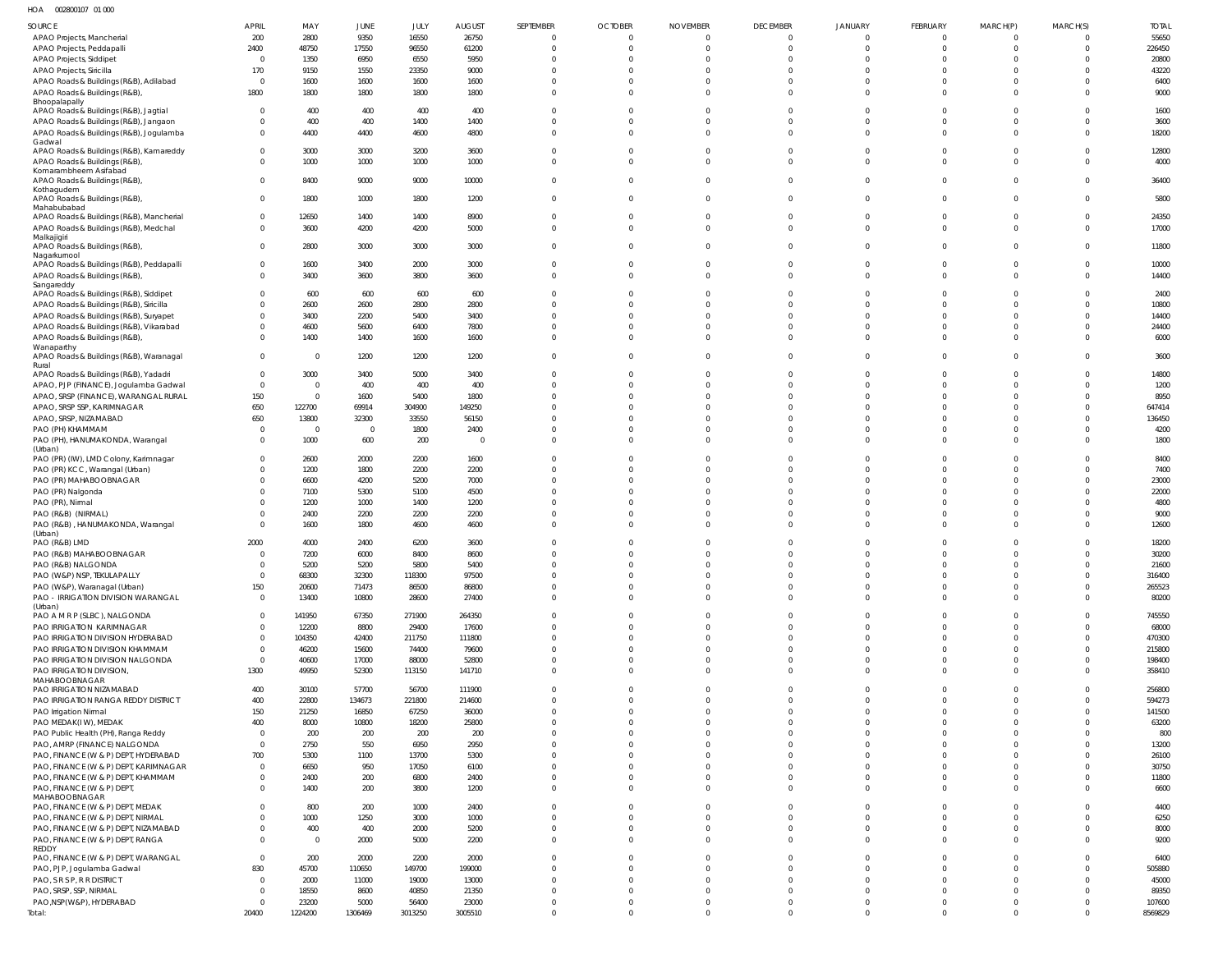HOA 002800107 01 000

| <b>SOURCE</b>                                                             | <b>APRIL</b>               | MAY              | <b>JUNE</b>             | JULY             | <b>AUGUST</b>    | SEPTEMBER                | <b>OCTOBER</b>             | <b>NOVEMBER</b>      | <b>DECEMBER</b>            | <b>JANUARY</b>                   | FEBRUARY                   | MARCH(P)                         | MARCH(S)                | <b>TOTAL</b>      |
|---------------------------------------------------------------------------|----------------------------|------------------|-------------------------|------------------|------------------|--------------------------|----------------------------|----------------------|----------------------------|----------------------------------|----------------------------|----------------------------------|-------------------------|-------------------|
| APAO Projects, Mancherial                                                 | 200                        | 2800             | 9350                    | 16550            | 26750            | $\overline{0}$           | $\mathbf 0$                | $\Omega$             | $\mathbf 0$                | $\overline{0}$                   | $\overline{0}$             | $\Omega$                         | $\Omega$                | 55650             |
| APAO Projects, Peddapalli                                                 | 2400                       | 48750            | 17550                   | 96550            | 61200            | $\Omega$                 | $\mathbf 0$                | $\Omega$             | $\overline{0}$             | $\mathbf 0$                      | $\mathbf{0}$               | $\Omega$                         | $\mathbf 0$             | 226450            |
| <b>APAO Projects, Siddipet</b><br>APAO Projects, Siricilla                | $\overline{0}$<br>170      | 1350<br>9150     | 6950<br>1550            | 6550<br>23350    | 5950<br>9000     | $\Omega$<br>$\Omega$     | $\Omega$<br>U              |                      | $\Omega$<br>$\Omega$       | $\Omega$<br>$\Omega$             | $\Omega$<br>$\Omega$       | $\Omega$<br>$\Omega$             | $\Omega$<br>$\Omega$    | 20800<br>43220    |
| APAO Roads & Buildings (R&B), Adilabad                                    | $\overline{0}$             | 1600             | 1600                    | 1600             | 1600             | $\Omega$                 | $\Omega$                   |                      | $\Omega$                   | $\mathbf 0$                      | $\Omega$                   | $\Omega$                         | $\Omega$                | 6400              |
| APAO Roads & Buildings (R&B)                                              | 1800                       | 1800             | 1800                    | 1800             | 1800             | $\Omega$                 | $\Omega$                   | $\Omega$             | $\Omega$                   | $\mathbf 0$                      | $\Omega$                   | $\Omega$                         | $\Omega$                | 9000              |
| Bhoopalapally<br>APAO Roads & Buildings (R&B), Jagtial                    | $\Omega$                   | 400              | 400                     | 400              | 400              |                          | 0                          |                      | $\Omega$                   | $^{\circ}$                       | $\Omega$                   |                                  | $\Omega$                | 1600              |
| APAO Roads & Buildings (R&B), Jangaon                                     | $\Omega$                   | 400              | 400                     | 1400             | 1400             | $\Omega$                 | $\Omega$                   | $\Omega$             | $\Omega$                   | $\mathbf 0$                      | $\mathbf 0$                | $\Omega$                         | $\Omega$                | 3600              |
| APAO Roads & Buildings (R&B), Jogulamba                                   | $\Omega$                   | 4400             | 4400                    | 4600             | 4800             | $\Omega$                 | $\Omega$                   |                      | $\Omega$                   | $\Omega$                         | $\Omega$                   | $\Omega$                         | $\Omega$                | 18200             |
| Gadwal<br>APAO Roads & Buildings (R&B), Kamareddy                         | $\Omega$                   | 3000             | 3000                    | 3200             | 3600             | $\Omega$                 | $\Omega$                   |                      | $\Omega$                   | $\Omega$                         | $\mathbf{0}$               | $\Omega$                         | $\Omega$                | 12800             |
| APAO Roads & Buildings (R&B)                                              | $\Omega$                   | 1000             | 1000                    | 1000             | 1000             | $\Omega$                 | $\Omega$                   |                      | $\mathbf 0$                | $\mathbf 0$                      | $\mathbf 0$                | $\Omega$                         | $\Omega$                | 4000              |
| Komarambheem Asifabad<br>APAO Roads & Buildings (R&B)                     | $\Omega$                   | 8400             | 9000                    | 9000             | 10000            | $\Omega$                 | $\Omega$                   |                      | $\Omega$                   | $\mathbf{0}$                     | $\mathbf 0$                | $\Omega$                         | $\Omega$                | 36400             |
| Kothagudem                                                                |                            |                  |                         |                  |                  |                          |                            |                      |                            |                                  |                            |                                  |                         |                   |
| APAO Roads & Buildings (R&B),<br>Mahabubabad                              | $\Omega$                   | 1800             | 1000                    | 1800             | 1200             | $\Omega$                 | $\Omega$                   |                      | $\mathbf 0$                | $\mathbf 0$                      | $\mathbf 0$                | $\Omega$                         | $\Omega$                | 5800              |
| APAO Roads & Buildings (R&B), Mancherial                                  | $\Omega$                   | 12650            | 1400                    | 1400             | 8900             | $\Omega$                 | $\Omega$                   |                      | $\Omega$                   | $^{\circ}$                       | $\mathbf 0$                | $\Omega$                         | $\Omega$                | 24350             |
| APAO Roads & Buildings (R&B), Medchal<br>Malkajigiri                      | $\Omega$                   | 3600             | 4200                    | 4200             | 5000             | $\Omega$                 | $\Omega$                   |                      | $\Omega$                   | $\mathbf 0$                      | $\Omega$                   | $\Omega$                         | $\Omega$                | 17000             |
| APAO Roads & Buildings (R&B)                                              | $\Omega$                   | 2800             | 3000                    | 3000             | 3000             | $\Omega$                 | $\Omega$                   |                      | $\Omega$                   | $\Omega$                         | $\mathbf 0$                | $\Omega$                         | $\Omega$                | 11800             |
| Nagarkurnool<br>APAO Roads & Buildings (R&B), Peddapalli                  | $\Omega$                   | 1600             | 3400                    | 2000             | 3000             | $\Omega$                 | $\mathbf 0$                |                      | 0                          | $\mathbf 0$                      | $\mathbf{0}$               | $\Omega$                         | $\mathbf{0}$            | 10000             |
| APAO Roads & Buildings (R&B)                                              | $\Omega$                   | 3400             | 3600                    | 3800             | 3600             | $\Omega$                 | $\Omega$                   | $\Omega$             | $\mathbf 0$                | $\mathbf 0$                      | $\mathbf{0}$               | $\Omega$                         | $\Omega$                | 14400             |
| Sangareddy<br>APAO Roads & Buildings (R&B), Siddipet                      | $\Omega$                   | 600              | 600                     | 600              | 600              | $\Omega$                 |                            |                      | $\Omega$                   | $\Omega$                         | $\Omega$                   | $\Omega$                         | $\Omega$                | 2400              |
| APAO Roads & Buildings (R&B), Siricilla                                   | $\Omega$                   | 2600             | 2600                    | 2800             | 2800             | $\Omega$                 | $\Omega$                   |                      | $\Omega$                   | $\Omega$                         | $\Omega$                   | $\Omega$                         | $\Omega$                | 10800             |
| APAO Roads & Buildings (R&B), Suryapet                                    | $\Omega$                   | 3400             | 2200                    | 5400             | 3400             |                          | $\Omega$                   |                      | $\Omega$                   | $\Omega$                         | $\Omega$                   | $\Omega$                         | $\Omega$                | 14400             |
| APAO Roads & Buildings (R&B), Vikarabad                                   | $\Omega$                   | 4600             | 5600                    | 6400             | 7800             | U                        | $\Omega$                   |                      | $\Omega$                   | $\Omega$                         | $\Omega$                   | $\Omega$                         | $\Omega$                | 24400             |
| APAO Roads & Buildings (R&B)<br>Wanaparthy                                | $\Omega$                   | 1400             | 1400                    | 1600             | 1600             | $\Omega$                 | $\Omega$                   |                      | $\Omega$                   | $\Omega$                         | $\Omega$                   | $\Omega$                         | $\Omega$                | 6000              |
| APAO Roads & Buildings (R&B), Waranagal                                   | $\overline{0}$             | $\overline{0}$   | 1200                    | 1200             | 1200             | $\Omega$                 | $\Omega$                   |                      | $\Omega$                   | $\mathbf 0$                      | $\mathbf 0$                | $\Omega$                         | $\Omega$                | 3600              |
| Rural<br>APAO Roads & Buildings (R&B), Yadadri                            | $\mathbf 0$                | 3000             | 3400                    | 5000             | 3400             |                          | $\Omega$                   |                      | $\mathbf 0$                | $\Omega$                         | $\mathbf{0}$               | $\Omega$                         | $\Omega$                | 14800             |
| APAO, PJP (FINANCE), Jogulamba Gadwal                                     | $\overline{0}$             | - 0              | 400                     | 400              | 400              | $\Omega$                 | $\Omega$                   |                      | $\Omega$                   | $\Omega$                         | $\Omega$                   | $\Omega$                         | $\Omega$                | 1200              |
| APAO, SRSP (FINANCE), WARANGAL RURAL                                      | 150                        | $\Omega$         | 1600                    | 5400             | 1800             |                          |                            |                      | $\Omega$                   | $\Omega$                         | $\Omega$                   | $\Omega$                         | $\Omega$                | 8950              |
| APAO, SRSP SSP, KARIMNAGAR                                                | 650                        | 122700           | 69914                   | 304900           | 149250           |                          |                            |                      | $\Omega$                   | $\Omega$                         | $\Omega$                   | $\Omega$                         | $\Omega$                | 647414            |
| APAO, SRSP, NIZAMABAD<br>PAO (PH) KHAMMAM                                 | 650<br>$\overline{0}$      | 13800<br>- 0     | 32300<br>$\overline{0}$ | 33550<br>1800    | 56150<br>2400    | $\Omega$                 | $\Omega$                   |                      | $\Omega$<br>$\Omega$       | $\Omega$<br>$\Omega$             | $\Omega$<br>$\Omega$       | $\Omega$<br>$\Omega$             | $\Omega$<br>$\Omega$    | 136450<br>4200    |
| PAO (PH), HANUMAKONDA, Warangal                                           | $\Omega$                   | 1000             | 600                     | 200              | $\overline{0}$   | $\Omega$                 | $\Omega$                   |                      | $\Omega$                   | $\mathbf{0}$                     | $\Omega$                   | $\Omega$                         | $\Omega$                | 1800              |
| (Urban)                                                                   |                            |                  |                         |                  |                  | $\Omega$                 | $\Omega$                   |                      |                            | $\Omega$                         | $\Omega$                   | $\Omega$                         | $\Omega$                |                   |
| PAO (PR) (IW), LMD Colony, Karimnagar<br>PAO (PR) KCC, Warangal (Urban)   | $\mathbf 0$<br>$^{\circ}$  | 2600<br>1200     | 2000<br>1800            | 2200<br>2200     | 1600<br>2200     |                          |                            |                      | $\Omega$<br>$\Omega$       | $\Omega$                         | $\Omega$                   | $\Omega$                         | $\Omega$                | 8400<br>7400      |
| PAO (PR) MAHABOOBNAGAR                                                    | $\Omega$                   | 6600             | 4200                    | 5200             | 7000             | $\Omega$                 | U                          |                      | $\Omega$                   | $\Omega$                         | $\Omega$                   | $\Omega$                         | $\Omega$                | 23000             |
| PAO (PR) Nalgonda                                                         | $\Omega$                   | 7100             | 5300                    | 5100             | 4500             |                          |                            |                      | $\Omega$                   | $\Omega$                         | $\Omega$                   | $\Omega$                         | $\Omega$                | 22000             |
| PAO (PR), Nirmal                                                          | $\Omega$<br>$\Omega$       | 1200             | 1000                    | 1400             | 1200             |                          | $\Omega$                   |                      | $\Omega$<br>$\mathbf 0$    | $\Omega$<br>$\mathbf 0$          | $\Omega$<br>$\mathbf 0$    | $\Omega$<br>$\Omega$             | $\Omega$<br>$\Omega$    | 4800<br>9000      |
| PAO (R&B) (NIRMAL)<br>PAO (R&B), HANUMAKONDA, Warangal                    | $\Omega$                   | 2400<br>1600     | 2200<br>1800            | 2200<br>4600     | 2200<br>4600     | $\Omega$                 |                            |                      | $\Omega$                   | $\Omega$                         | $\Omega$                   | $\Omega$                         | $\Omega$                | 12600             |
| (Urban)                                                                   |                            |                  |                         |                  |                  |                          |                            |                      |                            |                                  |                            |                                  |                         |                   |
| PAO (R&B) LMD<br>PAO (R&B) MAHABOOBNAGAR                                  | 2000<br>$\Omega$           | 4000<br>7200     | 2400<br>6000            | 6200<br>8400     | 3600<br>8600     | $\Omega$                 | $\Omega$                   |                      | $\Omega$<br>$\Omega$       | $\Omega$<br>$\Omega$             | $\Omega$<br>$\Omega$       | $\Omega$                         | $\Omega$                | 18200<br>30200    |
| PAO (R&B) NALGONDA                                                        |                            | 5200             | 5200                    | 5800             | 5400             |                          |                            |                      |                            |                                  |                            |                                  |                         | 21600             |
| PAO (W&P) NSP, TEKULAPALLY                                                | $\overline{0}$             | 68300            | 32300                   | 118300           | 97500            |                          |                            |                      | $\Omega$                   | $\mathbf{0}$                     | $\Omega$                   | $\Omega$                         | $\Omega$                | 316400            |
| PAO (W&P), Waranagal (Urban)                                              | 150                        | 20600            | 71473                   | 86500            | 86800            | $\overline{0}$           | $\mathbf 0$                | $\Omega$             | $\mathbf 0$                | $\overline{0}$                   | $\overline{0}$             | $\Omega$                         | $\overline{0}$          | 265523            |
| PAO - IRRIGATION DIVISION WARANGAL<br>(Urban)                             | $\overline{0}$             | 13400            | 10800                   | 28600            | 27400            | $\Omega$                 | $\Omega$                   | $\Omega$             | $\Omega$                   | $\overline{0}$                   | $\overline{0}$             | $\Omega$                         | $\Omega$                | 80200             |
| PAO A M R P (SLBC), NALGONDA                                              | $\overline{0}$             | 141950           | 67350                   | 271900           | 264350           | $\Omega$                 | $\Omega$                   |                      | $\Omega$                   | $\mathbf 0$                      | $\Omega$                   | $\Omega$                         | $\Omega$                | 745550            |
| PAO IRRIGATION KARIMNAGAR<br>PAO IRRIGATION DIVISION HYDERABAD            | $\mathbf 0$<br>$\mathbf 0$ | 12200<br>104350  | 8800<br>42400           | 29400<br>211750  | 17600<br>111800  | $\Omega$<br>$\Omega$     | $\Omega$<br>$\Omega$       | $\Omega$             | $\Omega$<br>$\Omega$       | $\mathbf 0$<br>$\Omega$          | $\mathbf 0$<br>$\Omega$    | $\Omega$<br>$\Omega$             | $\Omega$<br>$\Omega$    | 68000<br>470300   |
| PAO IRRIGATION DIVISION KHAMMAM                                           | $\overline{0}$             | 46200            | 15600                   | 74400            | 79600            | $\Omega$                 | $\Omega$                   | $\Omega$             | $\Omega$                   | $\Omega$                         | $\Omega$                   | $\Omega$                         | $\Omega$                | 215800            |
| PAO IRRIGATION DIVISION NALGONDA                                          | $\overline{0}$             | 40600            | 17000                   | 88000            | 52800            | $\Omega$                 | $\Omega$                   | $\Omega$             | $\mathbf 0$                | $\mathbf 0$                      | $\mathbf 0$                | $\Omega$                         | $\overline{0}$          | 198400            |
| PAO IRRIGATION DIVISION,<br>MAHABOOBNAGAR                                 | 1300                       | 49950            | 52300                   | 113150           | 141710           | $\Omega$                 | $\Omega$                   | $\Omega$             | $\Omega$                   | $\mathbf 0$                      | $\Omega$                   | $\Omega$                         | $\Omega$                | 358410            |
| PAO IRRIGATION NIZAMABAD                                                  | 400                        | 30100            | 57700                   | 56700            | 111900           | $\Omega$                 | $\Omega$                   |                      | $\Omega$                   | $\mathbf 0$                      | $\Omega$                   | $\Omega$                         | $\Omega$                | 256800            |
| PAO IRRIGATION RANGA REDDY DISTRICT                                       | 400                        | 22800            | 134673                  | 221800           | 214600           | $\Omega$                 | $\Omega$                   | $\Omega$             | $\Omega$                   | $\mathbf 0$                      | $\mathbf 0$                | $\Omega$                         | $\Omega$                | 594273            |
| PAO Irrigation Nirmal                                                     | 150                        | 21250            | 16850                   | 67250            | 36000            | $\Omega$                 | $\Omega$                   |                      | $\Omega$                   | $\mathbf 0$                      | $\Omega$                   | $\Omega$                         | $\Omega$                | 141500            |
| PAO MEDAK(IW), MEDAK<br>PAO Public Health (PH), Ranga Reddy               | 400<br>$\overline{0}$      | 8000<br>200      | 10800<br>200            | 18200<br>200     | 25800<br>200     | $\Omega$<br>$\Omega$     | $\Omega$                   |                      | $\Omega$<br>$\Omega$       | $\Omega$<br>$\Omega$             | $\Omega$<br>$\Omega$       | $\Omega$<br>$\Omega$             | $\Omega$<br>$\Omega$    | 63200<br>800      |
| PAO, AMRP (FINANCE) NALGONDA                                              | $\overline{0}$             | 2750             | 550                     | 6950             | 2950             | $\Omega$                 | <sup>0</sup>               | $\Omega$             | $\Omega$                   | $\Omega$                         | $\Omega$                   | $\Omega$                         | $\Omega$                | 13200             |
| PAO, FINANCE (W & P) DEPT, HYDERABAD                                      | 700                        | 5300             | 1100                    | 13700            | 5300             | $\Omega$                 |                            |                      | $\Omega$                   | $\Omega$                         | $\Omega$                   | $\Omega$                         | $\Omega$                | 26100             |
| PAO, FINANCE (W & P) DEPT, KARIMNAGAR                                     | $\overline{0}$             | 6650             | 950                     | 17050            | 6100             | $\Omega$                 | <sup>0</sup>               |                      | $\Omega$                   | $\Omega$                         | $\Omega$                   | $\Omega$                         | $\Omega$                | 30750             |
| PAO, FINANCE (W & P) DEPT, KHAMMAM<br>PAO, FINANCE (W & P) DEPT,          | $\mathbf 0$<br>$\Omega$    | 2400<br>1400     | 200<br>200              | 6800<br>3800     | 2400<br>1200     | $\Omega$<br>$\Omega$     | $\Omega$<br>$\Omega$       | $\Omega$<br>$\Omega$ | $\mathbf 0$<br>$\Omega$    | $\mathbf 0$<br>$\Omega$          | $\mathbf 0$<br>$\Omega$    | $\Omega$<br>$\Omega$             | $\mathbf 0$<br>$\Omega$ | 11800<br>6600     |
| MAHABOOBNAGAR                                                             |                            |                  |                         |                  |                  |                          |                            |                      |                            |                                  |                            |                                  |                         |                   |
| PAO, FINANCE (W & P) DEPT, MEDAK                                          | $\Omega$<br>$\Omega$       | 800              | 200<br>1250             | 1000             | 2400             | $\Omega$<br>$\mathbf{0}$ | $\Omega$<br>$\Omega$       | $\Omega$             | $\Omega$<br>$\Omega$       | $\mathbf 0$<br>$\mathbf 0$       | $\Omega$<br>$\mathbf 0$    | $\Omega$<br>$\Omega$             | $\Omega$<br>$\Omega$    | 4400              |
| PAO, FINANCE (W & P) DEPT, NIRMAL<br>PAO, FINANCE (W & P) DEPT, NIZAMABAD | $\Omega$                   | 1000<br>400      | 400                     | 3000<br>2000     | 1000<br>5200     | $\mathbf{0}$             | $\Omega$                   | $\Omega$             | $\mathbf 0$                | $\mathbf 0$                      | $\mathbf 0$                | $\overline{0}$                   | $\mathbf 0$             | 6250<br>8000      |
| PAO, FINANCE (W & P) DEPT, RANGA                                          | $\Omega$                   | $\overline{0}$   | 2000                    | 5000             | 2200             | $\Omega$                 | $\Omega$                   | $\Omega$             | $\Omega$                   | $\Omega$                         | $\Omega$                   | $\Omega$                         | $\Omega$                | 9200              |
| REDDY<br>PAO, FINANCE (W & P) DEPT, WARANGAL                              | $\overline{0}$             | 200              | 2000                    | 2200             | 2000             | $\Omega$                 | $\Omega$                   |                      | $\Omega$                   | $\mathbf 0$                      | $\mathbf 0$                | $\Omega$                         | $\Omega$                | 6400              |
| PAO, PJP, Jogulamba Gadwal                                                | 830                        | 45700            | 110650                  | 149700           | 199000           | $\Omega$                 | $\Omega$                   | $\Omega$             | $\Omega$                   | $\Omega$                         | $\Omega$                   | $\Omega$                         | $\Omega$                | 505880            |
| PAO, S R S P, R R DISTRICT                                                | $\overline{0}$             | 2000             | 11000                   | 19000            | 13000            | $\Omega$                 | <sup>0</sup>               |                      | $\Omega$                   | $\mathbf 0$                      | $\mathbf 0$                | $\Omega$                         | $\Omega$                | 45000             |
| PAO, SRSP, SSP, NIRMAL                                                    | $\overline{0}$             | 18550            | 8600                    | 40850            | 21350            | $\Omega$                 | 0                          | $\Omega$             | $\Omega$                   | $\mathbf 0$                      | $\mathbf 0$                | $\Omega$                         | $\Omega$                | 89350             |
| PAO, NSP(W&P), HYDERABAD<br>Total:                                        | $\overline{0}$<br>20400    | 23200<br>1224200 | 5000<br>1306469         | 56400<br>3013250 | 23000<br>3005510 | $\Omega$<br>$\mathbf 0$  | $\mathbf 0$<br>$\mathbf 0$ | $\Omega$<br>$\Omega$ | $\mathbf 0$<br>$\mathbf 0$ | $\overline{0}$<br>$\overline{0}$ | $\mathbf 0$<br>$\mathbf 0$ | $\overline{0}$<br>$\overline{0}$ | $\Omega$<br>$\Omega$    | 107600<br>8569829 |
|                                                                           |                            |                  |                         |                  |                  |                          |                            |                      |                            |                                  |                            |                                  |                         |                   |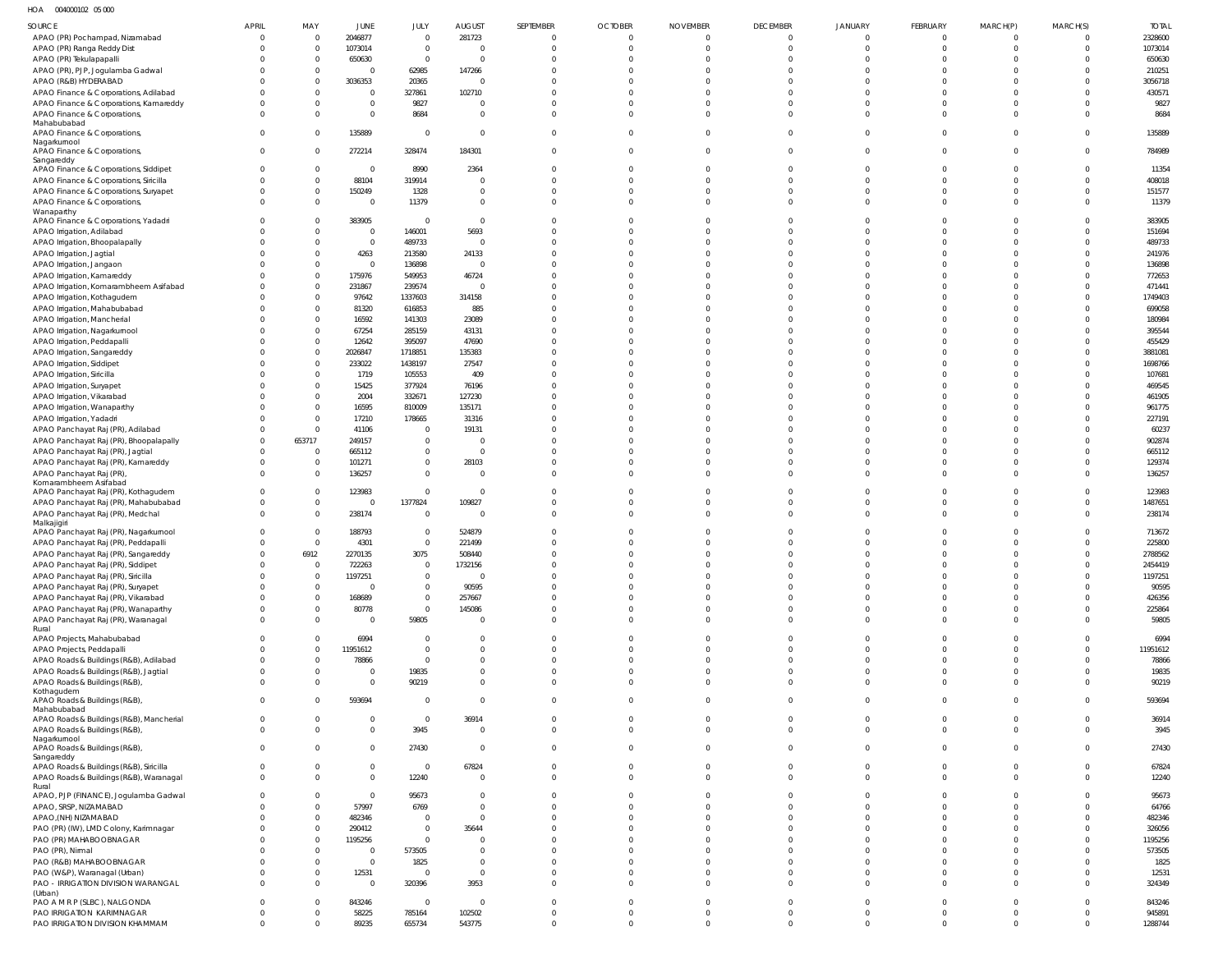HOA 004000102 05 000

| SOURCE                                                                          | <b>APRIL</b>         | MAY                              | JUNE                     | JULY                             | <b>AUGUST</b>                    | SEPTEMBER                        | <b>OCTOBER</b>                   | <b>NOVEMBER</b>               | <b>DECEMBER</b>             | <b>JANUARY</b>                | FEBRUARY                         | MARCH(P)                         | MARCH(S)             | <b>TOTAL</b>       |
|---------------------------------------------------------------------------------|----------------------|----------------------------------|--------------------------|----------------------------------|----------------------------------|----------------------------------|----------------------------------|-------------------------------|-----------------------------|-------------------------------|----------------------------------|----------------------------------|----------------------|--------------------|
| APAO (PR) Pochampad, Nizamabad                                                  | - 0                  | $\Omega$                         | 2046877                  | $\overline{0}$                   | 281723                           | $\overline{0}$                   | $\overline{0}$                   | $\mathbf 0$                   | $\Omega$                    | $\mathbf 0$                   | $\overline{0}$                   | $\Omega$                         |                      | 2328600            |
| APAO (PR) Ranga Reddy Dist                                                      |                      | $\overline{0}$                   | 1073014                  | $\mathbf{0}$                     | $\overline{0}$                   | $\overline{0}$                   | $\overline{0}$                   | $\Omega$                      | $\mathbf{0}$                | $\mathbf 0$                   | $\overline{0}$                   | $\Omega$                         | $\Omega$             | 1073014            |
| APAO (PR) Tekulapapalli<br>APAO (PR), PJP, Jogulamba Gadwal                     |                      | $\overline{0}$<br>$\overline{0}$ | 650630<br>$\overline{0}$ | $\mathbf{0}$<br>62985            | $\overline{0}$<br>147266         | $\Omega$<br>$\Omega$             | $\Omega$<br>$\Omega$             | $\Omega$<br>$\Omega$          | $\Omega$<br>$\Omega$        | $\Omega$<br>$\Omega$          | $\mathbf 0$<br>$\mathbf 0$       | $\Omega$                         |                      | 650630<br>210251   |
| APAO (R&B) HYDERABAD                                                            |                      | $\Omega$                         | 3036353                  | 20365                            | $\Omega$                         | $\Omega$                         | $\Omega$                         | $\Omega$                      |                             | $\Omega$                      | $\Omega$                         |                                  |                      | 3056718            |
| APAO Finance & Corporations, Adilabad                                           |                      | $\Omega$                         | $\overline{0}$           | 327861                           | 102710                           | $\Omega$                         | $\Omega$                         | $\Omega$                      | $\Omega$                    | $\Omega$                      | $\Omega$                         | $\Omega$                         |                      | 430571             |
| APAO Finance & Corporations, Kamareddy                                          |                      | $\mathbf{0}$                     | $\mathbf 0$              | 9827                             | $\Omega$                         | $\Omega$                         | $\Omega$                         | $\Omega$                      |                             | $\Omega$                      | $\mathbf 0$                      | $\Omega$                         |                      | 9827               |
| APAO Finance & Corporations,<br>Mahabubabad                                     |                      | $\Omega$                         | $\mathbf{0}$             | 8684                             | $\Omega$                         | $\Omega$                         | $\Omega$                         | $\Omega$                      | $\Omega$                    | $\Omega$                      | $\mathbf 0$                      | $\Omega$                         |                      | 8684               |
| APAO Finance & Corporations,                                                    | $\Omega$             | $\Omega$                         | 135889                   | $\mathbf{0}$                     | $\overline{0}$                   | $\overline{0}$                   | $\overline{0}$                   | $\Omega$                      | $\Omega$                    | $\mathbf{0}$                  | $\overline{0}$                   | $\Omega$                         |                      | 135889             |
| Nagarkurnool<br>APAO Finance & Corporations,                                    | $\Omega$             | $\Omega$                         | 272214                   | 328474                           | 184301                           | $\overline{0}$                   | $\overline{0}$                   | $\Omega$                      | $\Omega$                    | $\mathbf{0}$                  | $\overline{0}$                   | $\Omega$                         | $\Omega$             | 784989             |
| Sangareddy                                                                      |                      |                                  |                          |                                  |                                  |                                  |                                  |                               |                             |                               |                                  |                                  |                      |                    |
| APAO Finance & Corporations, Siddipet                                           |                      | $\overline{0}$<br>$\mathbf 0$    | $\overline{0}$           | 8990                             | 2364                             | $\Omega$<br>$\Omega$             | $\mathbf 0$<br>$\overline{0}$    | $\Omega$<br>$\Omega$          | $\Omega$<br>$\Omega$        | $\Omega$<br>$\Omega$          | $\mathbf 0$<br>$\mathbf 0$       | $\Omega$<br>$\Omega$             |                      | 11354              |
| APAO Finance & Corporations, Siricilla<br>APAO Finance & Corporations, Suryapet |                      | $\mathbf 0$                      | 88104<br>150249          | 319914<br>1328                   | $\overline{0}$<br>$\Omega$       | $\overline{0}$                   | $\overline{0}$                   | $\Omega$                      | $\Omega$                    | $\Omega$                      | $\overline{0}$                   | $\Omega$                         | $\Omega$<br>$\Omega$ | 408018<br>151577   |
| APAO Finance & Corporations,                                                    |                      | $\overline{0}$                   | $\overline{0}$           | 11379                            | $\mathbf{0}$                     | $\overline{0}$                   | $\overline{0}$                   | $\Omega$                      | $\Omega$                    | $\Omega$                      | $\mathbf 0$                      | $\Omega$                         | $\Omega$             | 11379              |
| Wanaparthy                                                                      |                      |                                  |                          |                                  |                                  | $\Omega$                         |                                  | $\Omega$                      |                             |                               |                                  | $\Omega$                         |                      |                    |
| APAO Finance & Corporations, Yadadri<br>APAO Irrigation, Adilabad               |                      | $\Omega$<br>$\Omega$             | 383905<br>$\mathbf{0}$   | $\overline{0}$<br>146001         | $\overline{0}$<br>5693           | $\Omega$                         | $\mathbf 0$<br>$\Omega$          | $\Omega$                      | $\Omega$<br>$\Omega$        | $\mathbf{0}$<br>$\Omega$      | $\mathbf 0$<br>$\mathbf 0$       | $\Omega$                         | -0                   | 383905<br>151694   |
| APAO Irrigation, Bhoopalapally                                                  |                      | $\Omega$                         | $\mathbf{0}$             | 489733                           | $\overline{0}$                   | $\Omega$                         | $\Omega$                         | $\Omega$                      | $\Omega$                    | $\Omega$                      | $\mathbf 0$                      | $\Omega$                         |                      | 489733             |
| APAO Irrigation, Jagtial                                                        |                      | $\Omega$                         | 4263                     | 213580                           | 24133                            | $\Omega$                         | $\Omega$                         | $\Omega$                      | $\Omega$                    | $\Omega$                      | $\mathbf 0$                      |                                  |                      | 241976             |
| APAO Irrigation, Jangaon                                                        |                      | $\mathbf{0}$                     | $\mathbf{0}$             | 136898                           | $\overline{0}$                   | $\Omega$                         | $\Omega$                         | $\Omega$                      |                             | $\Omega$                      | $\Omega$                         |                                  |                      | 136898             |
| APAO Irrigation, Kamareddy                                                      |                      | $\Omega$                         | 175976                   | 549953                           | 46724<br>$\overline{0}$          | $\Omega$<br>$\Omega$             | $\Omega$<br>$\Omega$             | $\Omega$<br>$\Omega$          | $\Omega$                    | $\Omega$                      | $\Omega$<br>$\Omega$             |                                  |                      | 772653             |
| APAO Irrigation, Komarambheem Asifabad<br>APAO Irrigation, Kothagudem           |                      | $\overline{0}$<br>$\Omega$       | 231867<br>97642          | 239574<br>1337603                | 314158                           | $\Omega$                         | $\Omega$                         | $\Omega$                      | $\Omega$                    | $\Omega$<br>$\Omega$          | $\Omega$                         | $\cap$                           |                      | 471441<br>1749403  |
| APAO Irrigation, Mahabubabad                                                    |                      | $\mathbf{0}$                     | 81320                    | 616853                           | 885                              | $\Omega$                         | $\Omega$                         | $\Omega$                      |                             | $\Omega$                      | $\Omega$                         |                                  |                      | 699058             |
| APAO Irrigation, Mancherial                                                     |                      | $\Omega$                         | 16592                    | 141303                           | 23089                            | $\Omega$                         | $\Omega$                         | $\Omega$                      |                             | $\Omega$                      | $\Omega$                         |                                  |                      | 180984             |
| APAO Irrigation, Nagarkurnool                                                   |                      | $\overline{0}$                   | 67254                    | 285159                           | 43131                            | $\Omega$                         | $\Omega$                         | $\Omega$                      |                             | $\Omega$                      | $\Omega$                         |                                  |                      | 395544             |
| APAO Irrigation, Peddapalli                                                     |                      | $\mathbf{0}$<br>$\Omega$         | 12642                    | 395097                           | 47690                            | $\Omega$<br>$\Omega$             | $\Omega$<br>$\Omega$             | $\Omega$<br>$\Omega$          | $\Omega$                    | $\Omega$<br>$\Omega$          | $\Omega$<br>$\Omega$             | $\cap$                           |                      | 455429             |
| APAO Irrigation, Sangareddy<br>APAO Irrigation, Siddipet                        |                      | $\Omega$                         | 2026847<br>233022        | 1718851<br>1438197               | 135383<br>27547                  | $\Omega$                         | $\Omega$                         | $\Omega$                      |                             | $\Omega$                      | $\Omega$                         |                                  |                      | 3881081<br>1698766 |
| APAO Irrigation, Siricilla                                                      |                      | $\overline{0}$                   | 1719                     | 105553                           | 409                              | $\Omega$                         | $\Omega$                         | $\Omega$                      |                             | $\Omega$                      | $\Omega$                         | $\cap$                           |                      | 107681             |
| APAO Irrigation, Suryapet                                                       |                      | $\Omega$                         | 15425                    | 377924                           | 76196                            | $\Omega$                         | $\Omega$                         | $\Omega$                      | $\Omega$                    | $\Omega$                      | $\Omega$                         |                                  |                      | 469545             |
| APAO Irrigation, Vikarabad                                                      |                      | $\overline{0}$                   | 2004                     | 332671                           | 127230                           | $\Omega$                         | $\Omega$                         | $\Omega$                      |                             | $\Omega$                      | $\Omega$                         |                                  |                      | 461905             |
| APAO Irrigation, Wanaparthy                                                     |                      | $\Omega$<br>$\overline{0}$       | 16595                    | 810009                           | 135171                           | $\Omega$<br>$\Omega$             | $\Omega$<br>$\Omega$             | $\Omega$<br>$\Omega$          |                             | $\Omega$<br>$\Omega$          | $\Omega$<br>$\Omega$             |                                  |                      | 961775<br>227191   |
| APAO Irrigation, Yadadri<br>APAO Panchayat Raj (PR), Adilabad                   |                      | $\Omega$                         | 17210<br>41106           | 178665<br>$\overline{0}$         | 31316<br>19131                   | $\Omega$                         | $\Omega$                         | $\Omega$                      |                             | $\Omega$                      | $\Omega$                         |                                  |                      | 60237              |
| APAO Panchayat Raj (PR), Bhoopalapally                                          |                      | 653717                           | 249157                   | $\mathbf{0}$                     | $\Omega$                         | $\Omega$                         | $\Omega$                         | $\Omega$                      |                             | $\Omega$                      | $\Omega$                         | $\cap$                           |                      | 902874             |
| APAO Panchayat Raj (PR), Jagtial                                                |                      | $\overline{0}$                   | 665112                   | $\overline{0}$                   | $\overline{0}$                   | $\Omega$                         | $\Omega$                         | $\Omega$                      | $\Omega$                    | $\Omega$                      | $\Omega$                         |                                  |                      | 665112             |
| APAO Panchayat Raj (PR), Kamareddy                                              |                      | $\overline{0}$                   | 101271                   | $\overline{0}$                   | 28103                            | $\overline{0}$                   | $\Omega$                         | $\Omega$                      | $\Omega$                    | $\mathbf 0$                   | $\mathbf 0$                      | $\Omega$                         |                      | 129374             |
| APAO Panchayat Raj (PR)<br>Komarambheem Asifabad                                |                      | $\overline{0}$                   | 136257                   | $\overline{0}$                   | $\overline{0}$                   | $\overline{0}$                   | $\Omega$                         | $\Omega$                      | $\Omega$                    | $\Omega$                      | $\mathbf 0$                      | $\Omega$                         | $\Omega$             | 136257             |
| APAO Panchayat Raj (PR), Kothagudem                                             |                      | $\overline{0}$                   | 123983                   | $\overline{0}$                   | $\overline{0}$                   | $\overline{0}$                   | $\mathbf 0$                      | $\Omega$                      | $\Omega$                    | $\mathbf 0$                   | $\mathbf 0$                      | $\Omega$                         | $\Omega$             | 123983             |
| APAO Panchayat Raj (PR), Mahabubabad                                            |                      | $\overline{0}$                   | $\overline{0}$           | 1377824                          | 109827                           | $\overline{0}$                   | $\overline{0}$                   | $\Omega$                      | $\Omega$                    | $\Omega$                      | $\mathbf 0$                      | $\Omega$                         | $\Omega$             | 1487651            |
| APAO Panchayat Raj (PR), Medchal<br>Malkajigiri                                 |                      | $\overline{0}$                   | 238174                   | $\overline{0}$                   | $\Omega$                         | $\Omega$                         | $\Omega$                         | $\Omega$                      | $\Omega$                    | $\Omega$                      | $\mathbf 0$                      | $\Omega$                         | $\Omega$             | 238174             |
| APAO Panchayat Raj (PR), Nagarkurnool                                           |                      | $\overline{0}$                   | 188793                   | $\mathbf 0$                      | 524879                           | $\Omega$                         | $\Omega$                         | $\Omega$                      | $\Omega$                    | $\Omega$                      | $\mathbf 0$                      | $\Omega$                         |                      | 713672             |
| APAO Panchayat Raj (PR), Peddapalli                                             |                      | $\overline{0}$                   | 4301                     | $\overline{0}$                   | 221499                           | $\Omega$                         | $\Omega$                         | $\Omega$                      | $\Omega$                    | $\Omega$                      | $\overline{0}$                   | $\Omega$                         |                      | 225800             |
| APAO Panchayat Raj (PR), Sangareddy<br>APAO Panchayat Raj (PR), Siddipet        | $\cap$               | 6912<br>0                        | 2270135<br>722263        | 3075<br>$^{\circ}$               | 508440<br>1732156                | $\Omega$<br>n                    | $\Omega$                         | $\Omega$                      | $\Omega$                    | $\Omega$                      | $\mathbf 0$<br>-0                | $\Omega$                         | $\Omega$             | 2788562<br>2454419 |
| APAO Panchayat Raj (PR), Siricilla                                              |                      | $\overline{0}$                   | 1197251                  | $\overline{0}$                   | $\overline{0}$                   | $\Omega$                         | $\Omega$                         | $\Omega$                      | $\Omega$                    | $\Omega$                      | $\mathbf 0$                      |                                  |                      | 1197251            |
| APAO Panchayat Raj (PR), Suryapet                                               |                      | $\mathbf{0}$                     | $\mathbf 0$              | $\overline{0}$                   | 90595                            | $\Omega$                         | $\Omega$                         | $\Omega$                      | $\Omega$                    | $\Omega$                      | $\overline{0}$                   | $\Omega$                         |                      | 90595              |
| APAO Panchayat Raj (PR), Vikarabad                                              |                      | $\Omega$                         | 168689                   | $\overline{0}$                   | 257667                           | $\Omega$                         | $\Omega$                         | $\Omega$                      | $\Omega$                    | $\Omega$                      | $\mathbf 0$                      | $\Omega$                         |                      | 426356             |
| APAO Panchayat Raj (PR), Wanaparthy                                             | $\Omega$             | $\mathbf 0$<br>$\mathbf 0$       | 80778                    | $\overline{0}$                   | 145086                           | $\overline{0}$<br>$\overline{0}$ | $\overline{0}$<br>$\overline{0}$ | $\Omega$<br>$\overline{0}$    | $\Omega$<br>$\Omega$        | $\mathbf 0$<br>$\mathbf 0$    | $\overline{0}$                   | $\Omega$<br>$\Omega$             | $\Omega$             | 225864             |
| APAO Panchayat Raj (PR), Waranagal<br>Rural                                     |                      |                                  | $\overline{0}$           | 59805                            | $\overline{0}$                   |                                  |                                  |                               |                             |                               | $\overline{0}$                   |                                  |                      | 59805              |
| APAO Projects, Mahabubabad                                                      | $\Omega$             | $\Omega$                         | 6994                     | $\overline{0}$                   | $\Omega$                         | $\overline{0}$                   | $\overline{0}$                   | $\mathbf 0$                   | $\mathbf 0$                 | $\mathbf 0$                   | $\overline{0}$                   | $\Omega$                         | $\Omega$             | 6994               |
| APAO Projects, Peddapalli                                                       |                      | $\Omega$<br>$\overline{0}$       | 11951612                 | $\overline{0}$<br>$\overline{0}$ | $\Omega$<br>$\Omega$             | $\Omega$<br>$\overline{0}$       | $\overline{0}$<br>$\Omega$       | $\Omega$<br>$\Omega$          | $\Omega$<br>$\Omega$        | $\Omega$<br>$\mathbf 0$       | $\overline{0}$<br>$\overline{0}$ | $\Omega$<br>$\Omega$             | $\Omega$             | 11951612<br>78866  |
| APAO Roads & Buildings (R&B), Adilabad<br>APAO Roads & Buildings (R&B), Jagtial |                      | $\mathbf{0}$                     | 78866<br>$\mathbf 0$     | 19835                            | $\Omega$                         | $\overline{0}$                   | $\overline{0}$                   | $\mathbf 0$                   | $\Omega$                    | $\Omega$                      | $\mathbf 0$                      | $\Omega$                         | $\Omega$             | 19835              |
| APAO Roads & Buildings (R&B)                                                    |                      | $\mathbf{0}$                     | $\overline{0}$           | 90219                            | $\Omega$                         | $\Omega$                         | $\Omega$                         | $\Omega$                      | $\Omega$                    | $\Omega$                      | $\overline{0}$                   | $\Omega$                         |                      | 90219              |
| Kothaqudem<br>APAO Roads & Buildings (R&B),                                     | $\Omega$             | $\Omega$                         | 593694                   | $\overline{0}$                   | $\overline{0}$                   | $\overline{0}$                   | $\overline{0}$                   | $\overline{0}$                | $\Omega$                    | $\mathbf{0}$                  | $\overline{0}$                   | $\Omega$                         | $\Omega$             | 593694             |
| Mahabubabad                                                                     |                      |                                  |                          |                                  |                                  |                                  |                                  |                               |                             |                               |                                  |                                  |                      |                    |
| APAO Roads & Buildings (R&B), Mancherial                                        | $\Omega$             | $\mathbf 0$                      | $\mathbf 0$              | $\mathbf 0$                      | 36914                            | $\overline{0}$                   | $\overline{0}$                   | $\mathbf 0$                   | $\mathbf{0}$                | $\mathbf 0$                   | $\overline{0}$                   | $\overline{0}$                   | $\Omega$             | 36914              |
| APAO Roads & Buildings (R&B),<br>Nagarkurnool                                   | $\Omega$             | $\Omega$                         | $\mathbf 0$              | 3945                             | $\overline{0}$                   | $\overline{0}$                   | $\overline{0}$                   | $\overline{0}$                | $\Omega$                    | $\mathbf 0$                   | $\overline{0}$                   | $\Omega$                         | $\Omega$             | 3945               |
| APAO Roads & Buildings (R&B),                                                   | $\Omega$             | $\Omega$                         | $\mathbf 0$              | 27430                            | $\overline{0}$                   | $\overline{0}$                   | $\overline{0}$                   | $\Omega$                      | $\Omega$                    | $\mathbf{0}$                  | $\overline{0}$                   | $\Omega$                         | $\Omega$             | 27430              |
| Sangareddy<br>APAO Roads & Buildings (R&B), Siricilla                           | $\Omega$             | $\Omega$                         | $\mathbf 0$              | $\mathbf 0$                      | 67824                            | $\overline{0}$                   | $\overline{0}$                   | $\Omega$                      | $\Omega$                    | $\mathbf{0}$                  | $\overline{0}$                   | $\Omega$                         | $\Omega$             | 67824              |
| APAO Roads & Buildings (R&B), Waranagal                                         | $\Omega$             | $\Omega$                         | $\mathbf 0$              | 12240                            | $\overline{0}$                   | $\overline{0}$                   | $\overline{0}$                   | $\Omega$                      | $\Omega$                    | $\mathbf 0$                   | $\overline{0}$                   | $\Omega$                         | $\Omega$             | 12240              |
| Rural                                                                           |                      |                                  |                          |                                  |                                  |                                  |                                  |                               |                             |                               |                                  |                                  |                      |                    |
| APAO, PJP (FINANCE), Jogulamba Gadwal<br>APAO, SRSP, NIZAMABAD                  | $\Omega$             | $\Omega$<br>$\mathbf 0$          | $\overline{0}$<br>57997  | 95673<br>6769                    | $\Omega$<br>$\overline{0}$       | $\Omega$<br>$\Omega$             | $\Omega$<br>$\Omega$             | $\Omega$<br>$\Omega$          | $\Omega$<br>$\Omega$        | $\Omega$<br>$\Omega$          | $\Omega$<br>$\Omega$             | $\Omega$<br>$\Omega$             |                      | 95673<br>64766     |
| APAO, (NH) NIZAMABAD                                                            |                      | $\Omega$                         | 482346                   | $\mathbf 0$                      | $\overline{0}$                   | $\overline{0}$                   | $\Omega$                         | $\Omega$                      | $\Omega$                    | $\Omega$                      | $\Omega$                         | $\Omega$                         | $\Omega$             | 482346             |
| PAO (PR) (IW), LMD Colony, Karimnagar                                           |                      | $\mathbf{0}$                     | 290412                   | $\mathbf 0$                      | 35644                            | $\Omega$                         | $\Omega$                         | $\Omega$                      | $\Omega$                    | $\Omega$                      | $\Omega$                         | $\Omega$                         |                      | 326056             |
| PAO (PR) MAHABOOBNAGAR                                                          |                      | $\Omega$                         | 1195256                  | $\overline{0}$                   | $\overline{0}$                   | $\Omega$                         | $\Omega$                         | $\Omega$                      | $\Omega$                    | $\Omega$                      | $\Omega$                         | $\Omega$                         |                      | 1195256            |
| PAO (PR), Nirmal                                                                |                      | $\overline{0}$                   | $\overline{0}$           | 573505                           | $\Omega$                         | $\Omega$                         | $\Omega$                         | $\Omega$                      | $\Omega$                    | $\Omega$                      | $\Omega$                         | $\Omega$                         |                      | 573505             |
| PAO (R&B) MAHABOOBNAGAR<br>PAO (W&P), Waranagal (Urban)                         |                      | $\mathbf{0}$<br>$\mathbf{0}$     | $\mathbf 0$<br>12531     | 1825<br>0                        | $\overline{0}$<br>$\overline{0}$ | $\Omega$<br>$\overline{0}$       | $\Omega$<br>$\Omega$             | $\Omega$<br>$\Omega$          | $\Omega$<br>$\Omega$        | $\Omega$<br>$\mathbf{0}$      | $\Omega$<br>$\overline{0}$       | $\Omega$<br>$\overline{0}$       | $\Omega$             | 1825<br>12531      |
| PAO - IRRIGATION DIVISION WARANGAL                                              | $\Omega$             | $\mathbf{0}$                     | $\mathbf 0$              | 320396                           | 3953                             | $\overline{0}$                   | $\Omega$                         | $\overline{0}$                | $\Omega$                    | $\mathbf 0$                   | $\overline{0}$                   | $\Omega$                         | $\Omega$             | 324349             |
| (Urban)                                                                         |                      |                                  |                          |                                  |                                  |                                  |                                  |                               |                             |                               |                                  |                                  |                      |                    |
| PAO A M R P (SLBC), NALGONDA<br>PAO IRRIGATION KARIMNAGAR                       | $\Omega$<br>$\Omega$ | $\Omega$<br>$\mathbf 0$          | 843246<br>58225          | $\mathbf 0$<br>785164            | $\overline{0}$<br>102502         | $\overline{0}$<br>$\overline{0}$ | $\overline{0}$<br>$\overline{0}$ | $\mathbf 0$<br>$\overline{0}$ | $\mathbf 0$<br>$\mathbf{0}$ | $\overline{0}$<br>$\mathbf 0$ | $\overline{0}$<br>$\overline{0}$ | $\overline{0}$<br>$\overline{0}$ | $\Omega$<br>$\Omega$ | 843246<br>945891   |
| PAO IRRIGATION DIVISION KHAMMAM                                                 | $\Omega$             | $\mathbf 0$                      | 89235                    | 655734                           | 543775                           | $\overline{0}$                   | $\,0\,$                          | $\mathbf{0}$                  | $\Omega$                    | $\mathbf 0$                   | $\overline{0}$                   | $\overline{0}$                   | $\Omega$             | 1288744            |
|                                                                                 |                      |                                  |                          |                                  |                                  |                                  |                                  |                               |                             |                               |                                  |                                  |                      |                    |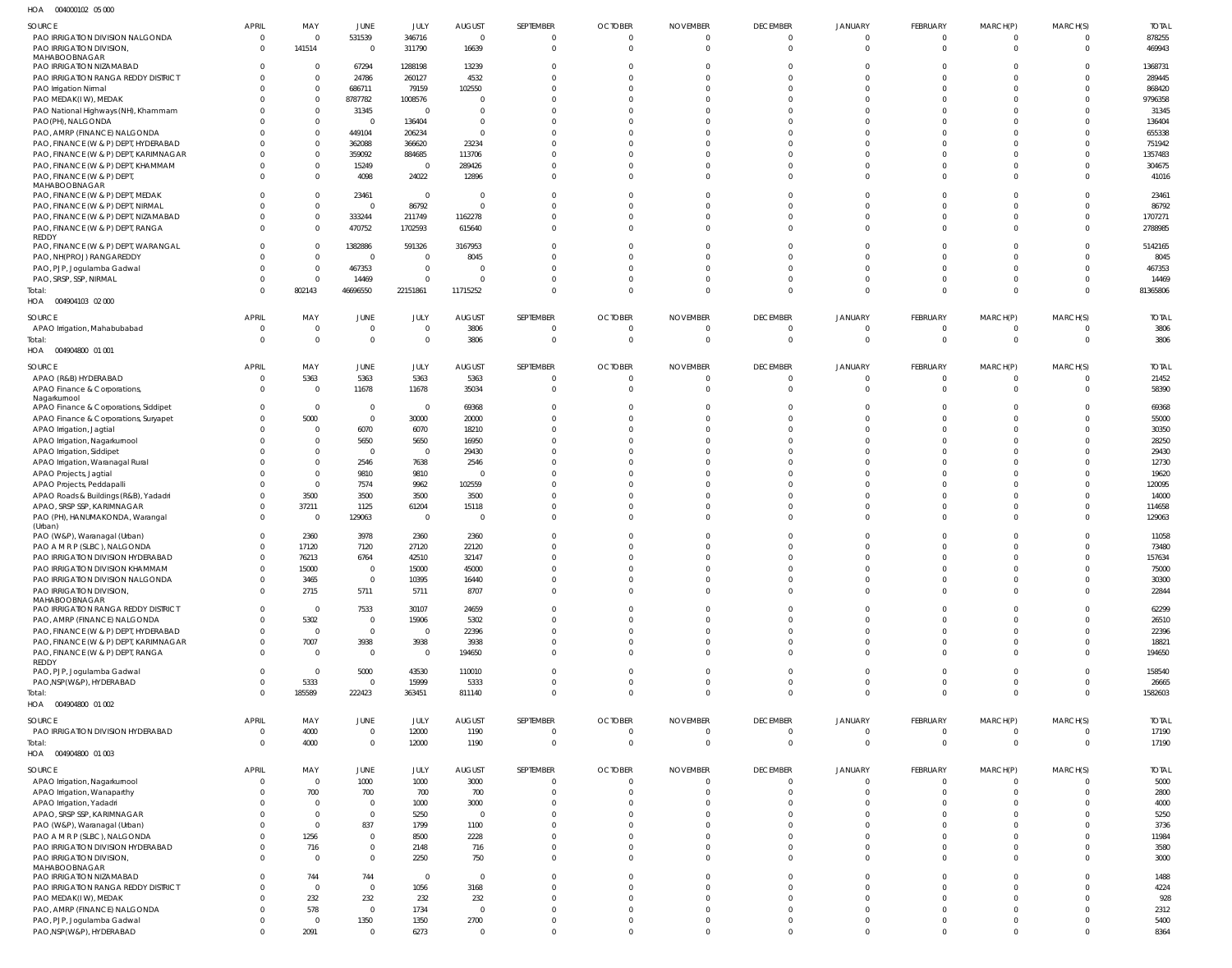004000102 05 000 HOA

| $\cdots$<br><b>OUTUOUTULE</b> UU UUU         |                          |                    |                        |                 |                |                |                |                            |                            |                            |                      |                |                      |              |
|----------------------------------------------|--------------------------|--------------------|------------------------|-----------------|----------------|----------------|----------------|----------------------------|----------------------------|----------------------------|----------------------|----------------|----------------------|--------------|
| SOURCE                                       | APRIL                    | MAY                | JUNE                   | JULY            | AUGUST         | SEPTEMBER      | <b>OCTOBER</b> | <b>NOVEMBER</b>            | <b>DECEMBER</b>            | <b>JANUARY</b>             | FEBRUARY             | MARCH(P)       | MARCH(S)             | <b>TOTAL</b> |
| PAO IRRIGATION DIVISION NALGONDA             | $\Omega$                 |                    | 531539                 | 346716          | $\overline{0}$ | $\overline{0}$ | $\overline{0}$ | $\overline{0}$             | $\Omega$                   | $\Omega$                   | $\Omega$             | $\Omega$       | $\Omega$             | 878255       |
| PAO IRRIGATION DIVISION,                     | $\Omega$                 | 141514             | $\mathbf 0$            | 311790          | 16639          | $\overline{0}$ | - 0            | $\Omega$                   | $\Omega$                   | $\Omega$                   | $\Omega$             | $\Omega$       | $\Omega$             | 469943       |
| MAHABOOBNAGAR                                |                          |                    |                        |                 |                |                |                |                            |                            |                            |                      |                |                      |              |
| PAO IRRIGATION NIZAMABAD                     |                          | $\mathbf{0}$       | 67294                  | 1288198         | 13239          | $\Omega$       | $\Omega$       | $\Omega$                   | $\Omega$                   | $\Omega$                   |                      | $\Omega$       | <sup>0</sup>         | 1368731      |
| PAO IRRIGATION RANGA REDDY DISTRICT          |                          | 0                  | 24786                  | 260127          | 4532           | $\Omega$       | $\Omega$       | $\Omega$                   | $\Omega$                   |                            |                      | $\Omega$       |                      | 289445       |
| PAO Irrigation Nirmal                        |                          | $\Omega$           | 686711                 | 79159           | 102550         | $\Omega$       | $\Omega$       | $\Omega$                   |                            |                            |                      | $\Omega$       | <sup>0</sup>         | 868420       |
| PAO MEDAK(IW), MEDAK                         |                          | $\Omega$           | 8787782                | 1008576         | $\Omega$       |                | $\Omega$       | $\Omega$                   |                            |                            |                      | C              |                      | 9796358      |
| PAO National Highways (NH), Khammam          |                          | $\Omega$           | 31345                  | $\Omega$        | $\Omega$       | $\Omega$       | $\Omega$       | $\Omega$                   |                            |                            |                      | -C             |                      | 31345        |
| PAO(PH), NALGONDA                            |                          | $\Omega$           | $\overline{0}$         | 136404          | $\Omega$       | $\Omega$       | $\Omega$       | $\Omega$                   |                            |                            |                      | C              |                      | 136404       |
| PAO, AMRP (FINANCE) NALGONDA                 |                          | $\Omega$           | 449104                 | 206234          | $\Omega$       | $\Omega$       | $\Omega$       | $\Omega$                   |                            |                            |                      | $\Omega$       | <sup>0</sup>         | 655338       |
| PAO, FINANCE (W & P) DEPT, HYDERABAD         |                          | $\Omega$           | 362088                 | 366620          | 23234          | $\Omega$       | $\Omega$       | $\cap$                     |                            |                            |                      |                |                      | 751942       |
| PAO, FINANCE (W & P) DEPT, KARIMNAGAR        |                          | $\Omega$           | 359092                 | 884685          | 113706         | $\Omega$       | $\Omega$       | $\Omega$                   |                            |                            |                      | $\Omega$       |                      | 1357483      |
| PAO, FINANCE (W & P) DEPT, KHAMMAM           |                          | $\Omega$           | 15249                  | $\overline{0}$  | 289426         | $\Omega$       | $\Omega$       | $\Omega$                   |                            | $\Omega$                   |                      | $\Omega$       | <sup>0</sup>         | 304675       |
| PAO, FINANCE (W & P) DEPT,                   |                          | $\Omega$           | 4098                   | 24022           | 12896          | $\Omega$       | $\Omega$       | $\Omega$                   | $\Omega$                   | $\Omega$                   | $\Omega$             | $\Omega$       | $\Omega$             | 41016        |
| MAHABOOBNAGAR                                |                          |                    |                        |                 |                |                |                |                            |                            |                            |                      |                |                      |              |
| PAO, FINANCE (W & P) DEPT, MEDAK             |                          | 0                  | 23461                  | $\overline{0}$  | $\overline{0}$ | $\Omega$       | $\Omega$       | $\Omega$                   |                            | $\Omega$                   |                      | $\Omega$       |                      | 23461        |
| PAO, FINANCE (W & P) DEPT, NIRMAL            |                          | $\Omega$           | $\overline{0}$         | 86792           | $\Omega$       | $\Omega$       | $\Omega$       | $\Omega$                   |                            | $\Omega$                   | $\cap$               | $\Omega$       | <sup>0</sup>         | 86792        |
| PAO, FINANCE (W & P) DEPT, NIZAMABAD         |                          | 0                  | 333244                 | 211749          | 1162278        | $\Omega$       | $\Omega$       | $\Omega$                   | $\Omega$                   | $\Omega$                   | $\Omega$             | $\Omega$       | $\Omega$             | 1707271      |
| PAO, FINANCE (W & P) DEPT, RANGA             | <sup>0</sup>             | $\Omega$           | 470752                 | 1702593         | 615640         | $\Omega$       | $\Omega$       | $\Omega$                   | $\Omega$                   | $\Omega$                   | $\Omega$             | $\Omega$       | $\Omega$             | 2788985      |
| REDDY<br>PAO, FINANCE (W & P) DEPT, WARANGAL |                          | 0                  | 1382886                | 591326          | 3167953        | $\Omega$       | $\Omega$       | $\Omega$                   |                            | $\Omega$                   |                      | $\Omega$       |                      | 5142165      |
| PAO, NH(PROJ) RANGAREDDY                     |                          | $\mathbf 0$        | $\overline{0}$         | $\Omega$        | 8045           | $\Omega$       | $\Omega$       | $\Omega$                   |                            |                            |                      | $\Omega$       | <sup>0</sup>         | 8045         |
| PAO, PJP, Jogulamba Gadwal                   |                          | $\mathbf{0}$       | 467353                 | $\Omega$        | $\Omega$       | $\Omega$       | $\Omega$       | $\Omega$                   |                            | $\Omega$                   |                      | $\Omega$       | <sup>0</sup>         | 467353       |
| PAO, SRSP, SSP, NIRMAL                       |                          | $\Omega$           | 14469                  | $\Omega$        | $\Omega$       | $\Omega$       | $\Omega$       | $\Omega$                   | $\Omega$                   | $\Omega$                   |                      | $\Omega$       | <sup>0</sup>         | 14469        |
| Total:                                       | $\Omega$                 | 802143             | 46696550               | 22151861        | 11715252       | $\Omega$       | $\Omega$       | $\Omega$                   | $\Omega$                   | $\Omega$                   | $\Omega$             | $\Omega$       | $\Omega$             | 81365806     |
| HOA  004904103  02  000                      |                          |                    |                        |                 |                |                |                |                            |                            |                            |                      |                |                      |              |
|                                              |                          |                    |                        |                 |                |                |                |                            |                            |                            |                      |                |                      |              |
| SOURCE                                       | <b>APRIL</b>             | MAY                | JUNE                   | JULY            | <b>AUGUST</b>  | SEPTEMBER      | <b>OCTOBER</b> | <b>NOVEMBER</b>            | <b>DECEMBER</b>            | <b>JANUARY</b>             | FEBRUARY             | MARCH(P)       | MARCH(S)             | <b>TOTAL</b> |
| APAO Irrigation, Mahabubabad                 | 0                        | $\mathbf 0$        | $\mathbf 0$            | $\Omega$        | 3806           | 0              | 0              | $\overline{0}$             | $\overline{0}$             | $\overline{0}$             | $\Omega$             | 0              | $\Omega$             | 3806         |
| Total:                                       | $\Omega$                 | $\mathbf 0$        | $\mathbb O$            | $\Omega$        | 3806           | 0              | $\overline{0}$ | $\overline{0}$             | $\overline{0}$             | $\overline{0}$             | $\Omega$             | $\overline{0}$ | $\overline{0}$       | 3806         |
| HOA  004904800  01  001                      |                          |                    |                        |                 |                |                |                |                            |                            |                            |                      |                |                      |              |
| SOURCE                                       | <b>APRIL</b>             | MAY                | JUNE                   | JULY            |                | SEPTEMBER      | <b>OCTOBER</b> | <b>NOVEMBER</b>            | <b>DECEMBER</b>            | <b>JANUARY</b>             | FEBRUARY             |                |                      | <b>TOTAL</b> |
|                                              | $\Omega$                 |                    |                        |                 | <b>AUGUST</b>  |                |                |                            |                            |                            | $\Omega$             | MARCH(P)       | MARCH(S)<br>$\Omega$ |              |
| APAO (R&B) HYDERABAD                         |                          | 5363               | 5363                   | 5363            | 5363           | $\overline{0}$ | $\overline{0}$ | $\overline{0}$             | $\Omega$                   | $\Omega$                   |                      | $\overline{0}$ |                      | 21452        |
| APAO Finance & Corporations,<br>Nagarkurnool | $\Omega$                 | $\Omega$           | 11678                  | 11678           | 35034          | $\overline{0}$ | $\Omega$       | $\Omega$                   | $\Omega$                   | $\Omega$                   | $\Omega$             | $\overline{0}$ | $\Omega$             | 58390        |
| APAO Finance & Corporations, Siddipet        |                          | $\mathbf{0}$       | $\mathbf 0$            | $\overline{0}$  | 69368          | $\Omega$       | $\Omega$       | $\Omega$                   |                            |                            |                      | C              |                      | 69368        |
| APAO Finance & Corporations, Suryapet        |                          | 5000               | $\mathbf{0}$           | 30000           | 20000          | $\Omega$       | $\Omega$       | $\Omega$                   |                            |                            |                      | $\Omega$       | <sup>0</sup>         | 55000        |
| APAO Irrigation, Jagtial                     |                          | 0                  | 6070                   | 6070            | 18210          | $\Omega$       | $\Omega$       | $\Omega$                   |                            |                            |                      | $\Omega$       | <sup>0</sup>         | 30350        |
| APAO Irrigation, Nagarkurnool                |                          | $\Omega$           | 5650                   | 5650            | 16950          | $\Omega$       | $\Omega$       | $\Omega$                   |                            |                            |                      | $\Omega$       | <sup>0</sup>         | 28250        |
| APAO Irrigation, Siddipet                    |                          | $\Omega$           | $\overline{0}$         | $\Omega$        | 29430          |                | $\Omega$       | $\cap$                     |                            |                            |                      | -C             |                      | 29430        |
| APAO Irrigation, Waranagal Rural             |                          | $\Omega$           | 2546                   | 7638            | 2546           | $\Omega$       | $\Omega$       | $\cap$                     |                            |                            |                      | C              | <sup>0</sup>         | 12730        |
| APAO Projects, Jagtial                       |                          | $\Omega$           | 9810                   | 9810            | $\Omega$       | $\Omega$       | $\Omega$       | $\Omega$                   |                            |                            |                      | C              |                      | 19620        |
| APAO Projects, Peddapalli                    |                          | $\mathbf{0}$       | 7574                   | 9962            | 102559         | $\Omega$       | $\Omega$       | $\Omega$                   |                            |                            |                      | C              |                      | 120095       |
| APAO Roads & Buildings (R&B), Yadadri        |                          | 3500               | 3500                   | 3500            | 3500           | $\Omega$       | $\Omega$       | $\Omega$                   |                            | $\Omega$                   |                      | C              |                      | 14000        |
| APAO, SRSP SSP, KARIMNAGAR                   |                          | 37211              | 1125                   | 61204           | 15118          | $\Omega$       | $\Omega$       | $\Omega$                   |                            | $\Omega$                   |                      | $\Omega$       | <sup>0</sup>         | 114658       |
| PAO (PH), HANUMAKONDA, Warangal              | $\Omega$                 | $\mathbf{0}$       | 129063                 | $\overline{0}$  | $\Omega$       | $\Omega$       | $\Omega$       | $\Omega$                   | $\Omega$                   | $\Omega$                   | $\Omega$             | $\Omega$       | $\Omega$             | 129063       |
| (Urban)                                      |                          |                    |                        |                 |                |                |                |                            |                            |                            |                      |                |                      |              |
| PAO (W&P), Waranagal (Urban)                 | <sup>0</sup>             | 2360               | 3978                   | 2360            | 2360           | $\Omega$       | $\Omega$       |                            |                            |                            |                      | -C             |                      | 11058        |
| PAO A M R P (SLBC), NALGONDA                 | <sup>0</sup>             | 17120              | 7120                   | 27120           | 22120          | $\Omega$       | $\Omega$       | $\cap$                     | $\cap$                     | $\Omega$                   | $\Omega$             | $\Omega$       | $\Omega$             | 73480        |
| PAO IRRIGATION DIVISION HYDERABAD            | $\Omega$                 | 76213              | 6764                   | 42510           | 32147          | $\cap$         | $\cap$         | $\cap$                     |                            | $\Omega$                   |                      | $\Omega$       | $\Omega$             | 157634       |
| PAO IRRIGATION DIVISION KHAMMAM              | $\Omega$                 | 15000              | $\mathbf{0}$           | 15000           | 45000          | $\Omega$       | $\Omega$       | $\Omega$                   | $\Omega$                   | $\Omega$                   | $\Omega$             | $\Omega$       | $\Omega$             | 75000        |
| PAO IRRIGATION DIVISION NALGONDA             | $\Omega$                 | 3465               | $\mathbf{0}$           | 10395           | 16440          | $\mathbf 0$    | $\overline{0}$ | $\Omega$                   | $\Omega$                   | $\Omega$                   | $\Omega$             | $\mathbf{0}$   | $\Omega$             | 30300        |
| PAO IRRIGATION DIVISION,                     | $\Omega$                 | 2715               | 5711                   | 5711            | 8707           | $\Omega$       | $\Omega$       | $\Omega$                   | $\Omega$                   | $\Omega$                   | $\Omega$             | $\Omega$       | $\Omega$             | 22844        |
| MAHABOOBNAGAR                                |                          |                    |                        |                 |                |                |                |                            |                            |                            |                      |                |                      |              |
| PAO IRRIGATION RANGA REDDY DISTRICT          | $\Omega$                 | $\mathbf{0}$       | 7533                   | 30107           | 24659          | $\overline{0}$ | $\Omega$       | $\Omega$                   | $\Omega$                   | $\Omega$                   | $\Omega$             | $\Omega$       | $\Omega$             | 62299        |
| PAO, AMRP (FINANCE) NALGONDA                 | <sup>0</sup>             | 5302               | $\mathbf 0$            | 15906           | 5302           | $\Omega$       | $\Omega$       | $\Omega$                   | $\Omega$                   | $\Omega$                   | $\Omega$             | $\Omega$       | $\Omega$             | 26510        |
| PAO, FINANCE (W & P) DEPT, HYDERABAD         | $\Omega$                 | $\overline{0}$     | $\mathbb O$            | $\Omega$        | 22396          | $\Omega$       | $\Omega$       | $\Omega$                   | $\Omega$                   | $\Omega$                   | $\Omega$             | $\Omega$       | $\Omega$             | 22396        |
| PAO, FINANCE (W & P) DEPT, KARIMNAGAR        |                          | 7007               | 3938                   | 3938            | 3938           | $\Omega$       | $\Omega$       | $\Omega$                   | $\Omega$                   | $\Omega$                   | $\Omega$             | $\Omega$       | $\Omega$             | 18821        |
| PAO, FINANCE (W & P) DEPT, RANGA             | $\Omega$                 | $\mathbf{0}$       | $\mathbf{0}$           | $\Omega$        | 194650         | $\Omega$       | $\Omega$       | $\Omega$                   | $\Omega$                   | $\Omega$                   | $\Omega$             | $\Omega$       | $\Omega$             | 194650       |
| REDDY                                        | $\Omega$                 | $\Omega$           |                        |                 |                | $\Omega$       | $\Omega$       | $\Omega$                   | $\Omega$                   | $\Omega$                   | $\Omega$             | $\Omega$       | <sup>0</sup>         |              |
| PAO, PJP, Jogulamba Gadwal                   | $\Omega$                 | 5333               | 5000<br>$\overline{0}$ | 43530           | 110010<br>5333 | $\Omega$       | $\Omega$       | $\Omega$                   | $\Omega$                   | $\Omega$                   | $\Omega$             | $\overline{0}$ | $\Omega$             | 158540       |
| PAO, NSP (W&P), HYDERABAD                    | $\Omega$                 | 185589             |                        | 15999<br>363451 | 811140         | $\overline{0}$ | $\Omega$       | $\Omega$                   | $\Omega$                   | $\Omega$                   | $\Omega$             | $\overline{0}$ | $\Omega$             | 26665        |
| Total:                                       |                          |                    | 222423                 |                 |                |                |                |                            |                            |                            |                      |                |                      | 1582603      |
| HOA  004904800  01 002                       |                          |                    |                        |                 |                |                |                |                            |                            |                            |                      |                |                      |              |
| SOURCE                                       | <b>APRIL</b>             | MAY                | JUNE                   | JULY            | AUGUST         | SEPTEMBER      | <b>OCTOBER</b> | <b>NOVEMBER</b>            | <b>DECEMBER</b>            | <b>JANUARY</b>             | FEBRUARY             | MARCH(P)       | MARCH(S)             | <b>TOTAL</b> |
| PAO IRRIGATION DIVISION HYDERABAD            | $\mathbf 0$              | 4000               | $\mathbf 0$            | 12000           | 1190           | $\overline{0}$ | $\overline{0}$ | $\mathbf 0$                | $\overline{0}$             | $\overline{0}$             | $\overline{0}$       | 0              | $\mathbf{0}$         | 17190        |
| Total:                                       | $\Omega$                 | 4000               | $\mathbb O$            | 12000           | 1190           | 0              | $\overline{0}$ | $\overline{0}$             | $\overline{0}$             | $\overline{0}$             | $\Omega$             | $\overline{0}$ | $\overline{0}$       | 17190        |
| HOA  004904800  01 003                       |                          |                    |                        |                 |                |                |                |                            |                            |                            |                      |                |                      |              |
|                                              |                          |                    |                        |                 |                |                |                |                            |                            |                            |                      |                | MARCH(S)             | <b>TOTAL</b> |
| SOURCE                                       | <b>APRIL</b>             | MAY<br>$\mathbf 0$ | JUNE                   | JULY            | <b>AUGUST</b>  | SEPTEMBER      | <b>OCTOBER</b> | <b>NOVEMBER</b>            | <b>DECEMBER</b>            | <b>JANUARY</b><br>$\Omega$ | FEBRUARY<br>$\Omega$ | MARCH(P)       | $\Omega$             |              |
| APAO Irrigation, Nagarkurnool                | $\Omega$<br><sup>0</sup> |                    | 1000                   | 1000            | 3000           | $\overline{0}$ | $\overline{0}$ | $\overline{0}$<br>$\Omega$ | $\overline{0}$<br>$\Omega$ | $\Omega$                   | $\Omega$             | $\overline{0}$ | $\Omega$             | 5000         |
| APAO Irrigation, Wanaparthy                  |                          | 700                | 700                    | 700             | 700            | $\overline{0}$ | $\Omega$       |                            | $\Omega$                   |                            | $\Omega$             | $\overline{0}$ | $\Omega$             | 2800         |
| APAO Irrigation, Yadadri                     |                          | $\Omega$           | $\overline{0}$         | 1000            | 3000           | $\Omega$       | $\Omega$       | $\Omega$                   |                            | $\Omega$<br>$\Omega$       | $\Omega$             | $\Omega$       | $\Omega$             | 4000         |
| APAO, SRSP SSP, KARIMNAGAR                   |                          | $\Omega$           | $\mathbf{0}$           | 5250            | $\overline{0}$ | $\Omega$       | $\Omega$       | $\Omega$                   | $\Omega$                   |                            |                      | $\Omega$       |                      | 5250         |
| PAO (W&P), Waranagal (Urban)                 |                          | $\Omega$           | 837                    | 1799            | 1100           | $\Omega$       | $\Omega$       | $\Omega$                   | $\Omega$                   | $\Omega$                   | $\Omega$             | $\Omega$       | $\Omega$             | 3736         |
| PAO A M R P (SLBC), NALGONDA                 |                          | 1256               | $\mathbf{0}$           | 8500            | 2228           | $\Omega$       | $\Omega$       | $\Omega$                   | $\Omega$                   | $\Omega$                   | $\Omega$             | $\Omega$       | $\Omega$             | 11984        |
| PAO IRRIGATION DIVISION HYDERABAD            |                          | 716                | $\mathbf 0$            | 2148            | 716            | $\Omega$       | $\Omega$       | $\Omega$                   | $\Omega$                   | $\Omega$                   | $\Omega$             | $\Omega$       | $\Omega$             | 3580         |
| PAO IRRIGATION DIVISION,                     | $\Omega$                 | $\Omega$           | $\mathbf{0}$           | 2250            | 750            | $\Omega$       | $\Omega$       | $\Omega$                   | $\Omega$                   | $\Omega$                   | $\Omega$             | $\Omega$       | $\Omega$             | 3000         |
| MAHABOOBNAGAR<br>PAO IRRIGATION NIZAMABAD    |                          | 744                | 744                    | $\Omega$        | $\overline{0}$ | $\Omega$       | $\Omega$       | $\Omega$                   | $\Omega$                   | $\Omega$                   | $\Omega$             | $\Omega$       | <sup>0</sup>         | 1488         |
| PAO IRRIGATION RANGA REDDY DISTRICT          |                          | $\Omega$           | $\overline{0}$         | 1056            | 3168           | $\Omega$       | $\Omega$       | $\Omega$                   | $\Omega$                   | $\Omega$                   | $\Omega$             | $\Omega$       | $\Omega$             | 4224         |
| PAO MEDAK(IW), MEDAK                         |                          | 232                | 232                    | 232             | 232            | $\Omega$       | $\Omega$       | $\Omega$                   | $\Omega$                   | $\Omega$                   | $\Omega$             | $\Omega$       | $\Omega$             | 928          |
| PAO, AMRP (FINANCE) NALGONDA                 |                          | 578                | $\mathbf{0}$           | 1734            | $\overline{0}$ | $\Omega$       | $\Omega$       | $\Omega$                   | $\Omega$                   | $\Omega$                   | $\Omega$             | $\Omega$       |                      | 2312         |
| PAO, PJP, Jogulamba Gadwal                   |                          | $\Omega$           | 1350                   | 1350            | 2700           | $\mathbf 0$    | $\Omega$       | $\Omega$                   | $\Omega$                   | $\Omega$                   | $\Omega$             | $\Omega$       | $\Omega$             | 5400         |
| PAO, NSP (W&P), HYDERABAD                    | U                        | 2091               | $\mathbf{0}$           | 6273            | $\overline{0}$ | $\Omega$       | $\Omega$       | $\Omega$                   | $\Omega$                   | $\Omega$                   | $\Omega$             | $\Omega$       | $\Omega$             | 8364         |
|                                              |                          |                    |                        |                 |                |                |                |                            |                            |                            |                      |                |                      |              |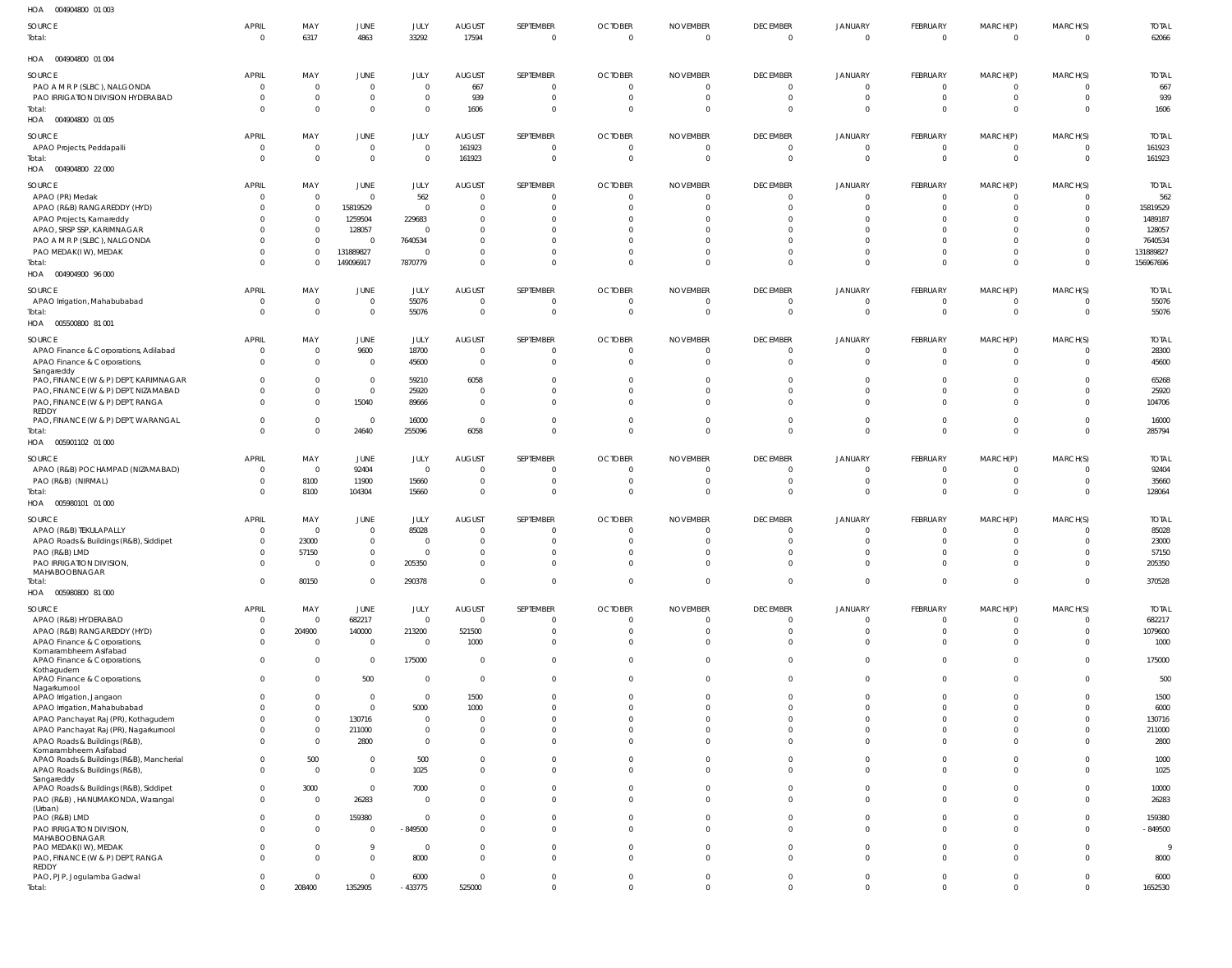| HOA   004904800  01  003                                                      |                                |                                  |                                  |                         |                                  |                                  |                                           |                                   |                                     |                                           |                            |                      |                          |                       |
|-------------------------------------------------------------------------------|--------------------------------|----------------------------------|----------------------------------|-------------------------|----------------------------------|----------------------------------|-------------------------------------------|-----------------------------------|-------------------------------------|-------------------------------------------|----------------------------|----------------------|--------------------------|-----------------------|
| SOURCE<br>Total:                                                              | <b>APRIL</b><br>$\overline{0}$ | MAY<br>6317                      | JUNE<br>4863                     | JULY<br>33292           | <b>AUGUST</b><br>17594           | SEPTEMBER<br>$\overline{0}$      | <b>OCTOBER</b><br>$\overline{0}$          | <b>NOVEMBER</b><br>$\overline{0}$ | <b>DECEMBER</b><br>$\overline{0}$   | JANUARY<br>$\overline{0}$                 | FEBRUARY<br>$\overline{0}$ | MARCH(P)<br>$\Omega$ | MARCH(S)<br>$\mathbf{0}$ | <b>TOTAL</b><br>62066 |
| HOA   004904800  01  004                                                      |                                |                                  |                                  |                         |                                  |                                  |                                           |                                   |                                     |                                           |                            |                      |                          |                       |
| SOURCE                                                                        | <b>APRIL</b>                   | MAY                              | JUNE                             | JULY                    | <b>AUGUST</b>                    | SEPTEMBER                        | <b>OCTOBER</b>                            | <b>NOVEMBER</b>                   | <b>DECEMBER</b>                     | <b>JANUARY</b>                            | FEBRUARY                   | MARCH(P)             | MARCH(S)                 | <b>TOTAL</b>          |
| PAO A M R P (SLBC), NALGONDA                                                  | 0                              | $\overline{0}$                   | $\overline{0}$                   | $\mathbf{0}$            | 667                              | $\mathbf{0}$                     | $\overline{0}$                            | $\overline{0}$                    | $\overline{0}$                      | $\overline{\mathbf{0}}$                   | $\overline{0}$             | $\Omega$             | $\Omega$                 | 667                   |
| PAO IRRIGATION DIVISION HYDERABAD                                             | $\overline{0}$                 | $\mathbf 0$                      | $\overline{0}$                   | 0                       | 939                              | $\mathbf 0$                      | $\overline{0}$                            | $\overline{0}$                    | $\overline{0}$                      | $\overline{\mathbf{0}}$                   | $\overline{0}$             | $\Omega$             | $\mathbf{0}$             | 939                   |
| Total:<br>HOA  004904800  01  005                                             | $\Omega$                       | $\overline{0}$                   | $\mathbf 0$                      | $\mathbf{0}$            | 1606                             | $\mathbf 0$                      | $\overline{0}$                            | $\overline{0}$                    | $\Omega$                            | $\overline{0}$                            | $\Omega$                   | $\Omega$             | $\mathbf 0$              | 1606                  |
| SOURCE                                                                        | <b>APRIL</b>                   | MAY                              | <b>JUNE</b>                      | JULY                    | <b>AUGUST</b>                    | SEPTEMBER                        | <b>OCTOBER</b>                            | <b>NOVEMBER</b>                   | <b>DECEMBER</b>                     | <b>JANUARY</b>                            | FEBRUARY                   | MARCH(P)             | MARCH(S)                 | <b>TOTAL</b>          |
| APAO Projects, Peddapalli                                                     | $\overline{0}$                 | $\overline{0}$                   | $\overline{0}$                   | $\mathbf{0}$            | 161923                           | $\overline{0}$                   | $\overline{0}$                            | $\overline{0}$                    | $\overline{0}$                      | $\overline{0}$                            | $\overline{0}$             |                      | 0                        | 161923                |
| Total:<br>HOA   004904800   22   000                                          | $\overline{0}$                 | $\overline{0}$                   | $\overline{0}$                   | $\mathbf{0}$            | 161923                           | $\overline{0}$                   | $\overline{0}$                            | $\overline{0}$                    | $\overline{0}$                      | $\overline{0}$                            | $\overline{0}$             | $\Omega$             | $\mathbf 0$              | 161923                |
| SOURCE                                                                        | <b>APRIL</b>                   | MAY                              | JUNE                             | JULY                    | <b>AUGUST</b>                    | SEPTEMBER                        | <b>OCTOBER</b>                            | <b>NOVEMBER</b>                   | <b>DECEMBER</b>                     | <b>JANUARY</b>                            | FEBRUARY                   | MARCH(P)             | MARCH(S)                 | <b>TOTAL</b>          |
| APAO (PR) Medak                                                               | $\overline{0}$                 | $\overline{0}$                   | $\Omega$                         | 562                     | $\overline{0}$                   | $\mathbf{0}$                     | $\overline{0}$                            | $\overline{0}$                    | $\overline{0}$                      | $\overline{0}$                            | $\overline{0}$             | $\Omega$             | 0                        | 562                   |
| APAO (R&B) RANGAREDDY (HYD)                                                   | $\Omega$                       | $\overline{0}$                   | 15819529                         | $\overline{0}$          | $\mathbf 0$                      | $\mathbf{0}$                     | $\overline{0}$                            | 0                                 | $\Omega$                            | $\overline{0}$                            | $\Omega$                   | $\Omega$             | $\mathbf 0$              | 15819529              |
| APAO Projects, Kamareddy                                                      |                                | 0                                | 1259504                          | 229683                  | $\mathbf{0}$                     | $\Omega$                         | $\overline{0}$                            | $\Omega$                          | $\Omega$                            | - 0                                       |                            |                      | $\Omega$                 | 1489187               |
| APAO, SRSP SSP, KARIMNAGAR<br>PAO A M R P (SLBC), NALGONDA                    | 0                              | $\overline{0}$<br>$\mathbf 0$    | 128057<br>$\Omega$               | $\Omega$<br>7640534     | $\Omega$<br>$\mathbf 0$          | $\Omega$<br>$\Omega$             | $\Omega$<br>$\Omega$                      | $\Omega$<br>-C                    | $\Omega$<br>$\Omega$                | $\Omega$<br>$\Omega$                      | $\Omega$                   |                      | $\Omega$<br>$\mathbf 0$  | 128057<br>7640534     |
| PAO MEDAK(IW), MEDAK                                                          | $\Omega$                       | $\overline{0}$                   | 131889827                        | $\Omega$                | $\mathbf 0$                      | $\Omega$                         | $\overline{0}$                            | $\Omega$                          | $\Omega$                            | $\overline{0}$                            | $\Omega$                   | $\Omega$             | $\mathbf{0}$             | 131889827             |
| Total:                                                                        | $\Omega$                       | $\overline{0}$                   | 149096917                        | 7870779                 | $\mathbf{0}$                     | $\mathbf 0$                      | $\overline{0}$                            | $\Omega$                          | $\Omega$                            | $\overline{0}$                            | $\Omega$                   | $\Omega$             | $\mathbf 0$              | 156967696             |
| HOA 004904900 96 000                                                          |                                |                                  |                                  |                         |                                  |                                  |                                           |                                   |                                     |                                           |                            |                      |                          |                       |
| SOURCE<br>APAO Irrigation, Mahabubabad                                        | <b>APRIL</b><br>$\mathbf{0}$   | MAY<br>0                         | JUNE<br>$\overline{0}$           | JULY<br>55076           | <b>AUGUST</b><br>$\overline{0}$  | SEPTEMBER<br>$\mathbf{0}$        | <b>OCTOBER</b><br>$\overline{0}$          | <b>NOVEMBER</b><br>$\overline{0}$ | <b>DECEMBER</b><br>$\overline{0}$   | <b>JANUARY</b><br>$\overline{0}$          | FEBRUARY<br>$\mathbf 0$    | MARCH(P)             | MARCH(S)<br>0            | <b>TOTAL</b><br>55076 |
| Total:                                                                        | $\overline{0}$                 | $\overline{0}$                   | $\overline{0}$                   | 55076                   | $\mathbf 0$                      | $\overline{0}$                   | $\overline{\phantom{0}}$                  | $\overline{0}$                    | $\overline{0}$                      | $\overline{0}$                            | $\overline{0}$             | $\Omega$             | $\mathbf 0$              | 55076                 |
| HOA   005500800   81   001                                                    |                                |                                  |                                  |                         |                                  |                                  |                                           |                                   |                                     |                                           |                            |                      |                          |                       |
| SOURCE                                                                        | <b>APRIL</b>                   | MAY                              | <b>JUNE</b>                      | JULY                    | <b>AUGUST</b>                    | SEPTEMBER                        | <b>OCTOBER</b>                            | <b>NOVEMBER</b>                   | <b>DECEMBER</b>                     | <b>JANUARY</b>                            | FEBRUARY                   | MARCH(P)             | MARCH(S)                 | <b>TOTAL</b>          |
| APAO Finance & Corporations, Adilabad<br>APAO Finance & Corporations,         | $\mathbf{0}$<br>$\mathbf{0}$   | $\overline{0}$<br>$\overline{0}$ | 9600<br>$\overline{0}$           | 18700<br>45600          | $\overline{0}$<br>$\overline{0}$ | $\mathbf 0$<br>$\mathbf 0$       | $\overline{0}$<br>$\overline{0}$          | $\overline{0}$<br>$\overline{0}$  | $\overline{\mathbf{0}}$<br>$\Omega$ | $\overline{\mathbf{0}}$<br>$\overline{0}$ | $\overline{0}$<br>$\Omega$ | $\Omega$<br>$\Omega$ | 0<br>$\mathbf{0}$        | 28300<br>45600        |
| Sangareddy                                                                    |                                |                                  |                                  |                         |                                  |                                  |                                           |                                   |                                     |                                           |                            |                      |                          |                       |
| PAO, FINANCE (W & P) DEPT, KARIMNAGAR<br>PAO, FINANCE (W & P) DEPT, NIZAMABAD | 0<br>$\Omega$                  | $\overline{0}$<br>$\overline{0}$ | $\overline{0}$<br>$\overline{0}$ | 59210<br>25920          | 6058<br>$\overline{0}$           | 0<br>$\mathbf{0}$                | $\overline{0}$<br>$\overline{0}$          | 0<br>$\Omega$                     | $\overline{0}$<br>$\Omega$          | $\overline{0}$<br>$\overline{0}$          | $\Omega$<br>$\Omega$       | $\Omega$<br>$\Omega$ | 0<br>$\mathbf 0$         | 65268<br>25920        |
| PAO, FINANCE (W & P) DEPT, RANGA                                              | $\Omega$                       | $\overline{0}$                   | 15040                            | 89666                   | $\overline{0}$                   | $\Omega$                         | $\Omega$                                  | $\Omega$                          | $\Omega$                            | - 0                                       | $\Omega$                   | $\Omega$             | $\Omega$                 | 104706                |
| REDDY<br>PAO, FINANCE (W & P) DEPT, WARANGAL                                  | $\mathbf{0}$                   | $\overline{0}$                   | $\overline{0}$                   | 16000                   | $\overline{0}$                   | $\mathbf 0$                      | $\overline{0}$                            | $\overline{0}$                    | $\overline{0}$                      | $\overline{0}$                            | $\mathbf 0$                | $\Omega$             | $\mathbf{0}$             | 16000                 |
| Total:                                                                        | $\Omega$                       | $\overline{0}$                   | 24640                            | 255096                  | 6058                             | $\overline{0}$                   | $\overline{0}$                            | $\overline{0}$                    | $\overline{0}$                      | $\overline{0}$                            | $\overline{0}$             | $\Omega$             | $\mathbf 0$              | 285794                |
| HOA   005901102   01   000                                                    |                                |                                  |                                  |                         |                                  |                                  |                                           |                                   |                                     |                                           |                            |                      |                          |                       |
| SOURCE                                                                        | <b>APRIL</b>                   | MAY                              | JUNE                             | JULY                    | <b>AUGUST</b>                    | SEPTEMBER                        | <b>OCTOBER</b>                            | <b>NOVEMBER</b>                   | <b>DECEMBER</b>                     | JANUARY                                   | FEBRUARY                   | MARCH(P)             | MARCH(S)                 | <b>TOTAL</b>          |
| APAO (R&B) POCHAMPAD (NIZAMABAD)<br>PAO (R&B) (NIRMAL)                        | $\mathbf{0}$<br>$\overline{0}$ | $\overline{\phantom{0}}$<br>8100 | 92404<br>11900                   | $\overline{0}$<br>15660 | $\mathbf 0$<br>$\overline{0}$    | $\mathbf{0}$<br>$\overline{0}$   | $\overline{0}$<br>$\overline{\mathbf{0}}$ | $\overline{0}$<br>$\overline{0}$  | $\overline{0}$<br>$\overline{0}$    | $\overline{0}$<br>$\overline{0}$          | 0<br>$\overline{0}$        | $\Omega$             | 0<br>$\mathbf{0}$        | 92404<br>35660        |
| Total:                                                                        | $\mathbf 0$                    | 8100                             | 104304                           | 15660                   | $\mathbf 0$                      | $\overline{0}$                   | $\overline{0}$                            | $\overline{0}$                    | $\overline{0}$                      | $\overline{0}$                            | $\overline{0}$             | $\Omega$             | $\mathbf{0}$             | 128064                |
| HOA   005980101   01   000                                                    |                                |                                  |                                  |                         |                                  |                                  |                                           |                                   |                                     |                                           |                            |                      |                          |                       |
| SOURCE                                                                        | <b>APRIL</b>                   | MAY                              | JUNE                             | JULY                    | <b>AUGUST</b>                    | SEPTEMBER                        | <b>OCTOBER</b>                            | <b>NOVEMBER</b>                   | <b>DECEMBER</b>                     | <b>JANUARY</b>                            | FEBRUARY                   | MARCH(P)             | MARCH(S)                 | <b>TOTAL</b>          |
| APAO (R&B) TEKULAPALLY<br>APAO Roads & Buildings (R&B), Siddipet              | $\Omega$<br>$\overline{0}$     | $\overline{0}$<br>23000          | $\overline{0}$<br>$\mathbf{0}$   | 85028<br>0              | $^{\circ}$<br>$\mathbf 0$        | $\overline{0}$<br>$\overline{0}$ | $\overline{0}$<br>$\overline{0}$          | $\Omega$<br>$\Omega$              | $\Omega$<br>$\Omega$                | - 0<br>$\Omega$                           | 0<br>$\Omega$              |                      | $\Omega$<br>$\Omega$     | 85028                 |
| PAO (R&B) LMD                                                                 |                                | 57150                            | $\mathbf{0}$                     | $\Omega$                | $\cap$                           |                                  | $\Omega$                                  |                                   |                                     |                                           |                            |                      | $\Omega$                 | 23000<br>57150        |
| PAO IRRIGATION DIVISION,                                                      | $\Omega$                       | $\mathbf{0}$                     | $\overline{0}$                   | 205350                  | $\mathbf 0$                      | $\overline{0}$                   | $\overline{0}$                            | $\mathbf{0}$                      | $\Omega$                            | $\overline{0}$                            | $\Omega$                   | $\Omega$             | $\mathbf{0}$             | 205350                |
| MAHABOOBNAGAR<br>Total:                                                       | $\mathbf 0$                    | 80150                            | $\overline{0}$                   | 290378                  | $\mathbf 0$                      | $\overline{0}$                   | $\overline{0}$                            | $\mathbf 0$                       | $\overline{0}$                      | $\overline{0}$                            | $\overline{0}$             | $\Omega$             | $\mathbf 0$              | 370528                |
| HOA   005980800   81   000                                                    |                                |                                  |                                  |                         |                                  |                                  |                                           |                                   |                                     |                                           |                            |                      |                          |                       |
| SOURCE                                                                        | <b>APRIL</b>                   | MAY                              | <b>JUNE</b>                      | JULY                    | <b>AUGUST</b>                    | SEPTEMBER                        | <b>OCTOBER</b>                            | <b>NOVEMBER</b>                   | <b>DECEMBER</b>                     | <b>JANUARY</b>                            | FEBRUARY                   | MARCH(P)             | MARCH(S)                 | <b>TOTAL</b>          |
| APAO (R&B) HYDERABAD                                                          | $\mathbf 0$                    | 0                                | 682217                           | $\overline{0}$          | $\overline{0}$                   | $\overline{0}$                   | $\overline{0}$                            | $\overline{0}$                    | $\overline{0}$                      | $\overline{0}$                            | $\overline{0}$             | - 0                  | $\mathbf{0}$             | 682217                |
| APAO (R&B) RANGAREDDY (HYD)                                                   | $\mathbf{0}$                   | 204900<br>$\overline{0}$         | 140000                           | 213200                  | 521500                           | $\mathbf 0$<br>$\overline{0}$    | $\overline{0}$<br>$\overline{0}$          | 0                                 | $\Omega$                            | $\overline{\mathbf{0}}$<br>$\overline{0}$ | $\Omega$<br>$\Omega$       |                      | $\mathbf{0}$             | 1079600               |
| APAO Finance & Corporations,<br>Komarambheem Asifabad                         | $\overline{0}$                 |                                  | $\overline{0}$                   | $\overline{0}$          | 1000                             |                                  |                                           | $\overline{0}$                    | $\overline{0}$                      |                                           |                            | $\Omega$             | $\mathbf{0}$             | 1000                  |
| APAO Finance & Corporations,<br>Kothagudem                                    | $\mathbf{0}$                   | $\overline{0}$                   | $\overline{0}$                   | 175000                  | $\mathbf 0$                      | $\overline{0}$                   | $\overline{0}$                            | $\mathbf{0}$                      | $\overline{0}$                      | $\overline{0}$                            | $\Omega$                   | $\Omega$             | $\mathbf{0}$             | 175000                |
| APAO Finance & Corporations,                                                  | $\mathbf{0}$                   | 0                                | 500                              | $\mathbf{0}$            | $\mathbf 0$                      | $\overline{0}$                   | $\overline{0}$                            | $\mathbf{0}$                      | $\Omega$                            | $\overline{0}$                            | $\Omega$                   | $\Omega$             | $\overline{0}$           | 500                   |
| Nagarkurnool<br>APAO Irrigation, Jangaon                                      | $\Omega$                       | 0                                | $\overline{0}$                   | $\overline{0}$          | 1500                             | $\Omega$                         | $\overline{0}$                            | $\Omega$                          | $\Omega$                            | - 0                                       | $\Omega$                   |                      | 0                        | 1500                  |
| APAO Irrigation, Mahabubabad                                                  |                                | 0                                | $\overline{0}$                   | 5000                    | 1000                             | $\Omega$                         | $\overline{0}$                            | $\Omega$                          | $\Omega$                            | $\Omega$                                  | $\Omega$                   |                      | $\mathbf 0$              | 6000                  |
| APAO Panchayat Raj (PR), Kothagudem                                           |                                | 0                                | 130716                           | $\mathbf{0}$            | $\overline{0}$                   | $\Omega$                         | $\overline{0}$                            | ſ                                 | $\Omega$                            | - 0                                       | $\Omega$                   |                      | 0                        | 130716                |
| APAO Panchayat Raj (PR), Nagarkurnool                                         | $\Omega$<br>$\Omega$           | 0                                | 211000                           | $\mathbf{0}$            | $\mathbf 0$                      | $\mathbf{0}$<br>$\Omega$         | $\overline{0}$<br>$\Omega$                | $\Omega$<br>$\Omega$              | $\Omega$<br>$\Omega$                | $\overline{0}$<br>$\Omega$                | $\Omega$<br>$\Omega$       | $\Omega$             | $\mathbf 0$<br>$\Omega$  | 211000                |
| APAO Roads & Buildings (R&B),<br>Komarambheem Asifabad                        |                                | 0                                | 2800                             | $\mathbf{0}$            | $\overline{0}$                   |                                  |                                           |                                   |                                     |                                           |                            |                      |                          | 2800                  |
| APAO Roads & Buildings (R&B), Mancherial                                      | $\Omega$                       | 500                              | $\Omega$                         | 500                     | $\mathbf{0}$                     | $\mathbf{0}$                     | $\overline{0}$                            | $\Omega$                          | $\Omega$                            | $\overline{0}$                            | $\Omega$                   | $\Omega$             | $\mathbf{0}$             | 1000                  |
| APAO Roads & Buildings (R&B),<br>Sangareddy                                   | $\Omega$                       | $\overline{0}$                   | $\overline{0}$                   | 1025                    | $\mathbf 0$                      | $\mathbf{0}$                     | $\overline{0}$                            | $\Omega$                          | $\Omega$                            | $\overline{0}$                            | $\Omega$                   | $\Omega$             | $\mathbf 0$              | 1025                  |
| APAO Roads & Buildings (R&B), Siddipet                                        | $\Omega$                       | 3000                             | $\overline{0}$                   | 7000                    | $\mathbf{0}$                     | $\mathbf{0}$                     | $\overline{0}$                            | $\Omega$                          | $\Omega$                            | $\overline{0}$                            | $\Omega$                   | $\Omega$             | $\mathbf{0}$             | 10000                 |
| PAO (R&B), HANUMAKONDA, Warangal<br>(Urban)                                   | $\Omega$                       | 0                                | 26283                            | $\overline{0}$          | $\mathbf 0$                      | $\mathbf{0}$                     | $\Omega$                                  | $\Omega$                          | $\Omega$                            | $\overline{0}$                            | $\Omega$                   | $\Omega$             | $\mathbf{0}$             | 26283                 |
| PAO (R&B) LMD                                                                 | $\Omega$                       | $\overline{0}$                   | 159380                           | $\mathbf{0}$            | $\mathbf{0}$                     | $\mathbf{0}$                     | $\overline{0}$                            | $\Omega$                          | $\Omega$                            | $\overline{0}$                            | $\Omega$                   | $\Omega$             | $\mathbf{0}$             | 159380                |
| PAO IRRIGATION DIVISION,<br>MAHABOOBNAGAR                                     | $\Omega$                       | $\overline{0}$                   | $\overline{0}$                   | -849500                 | $\overline{0}$                   | $\Omega$                         | $\overline{0}$                            | $\Omega$                          | $\Omega$                            | $\overline{0}$                            | $\Omega$                   | $\Omega$             | $\mathbf{0}$             | $-849500$             |
| PAO MEDAK(IW), MEDAK                                                          | $\Omega$                       | $\overline{0}$                   | 9                                | $\overline{0}$          | $\overline{0}$                   | $\overline{0}$                   | $\overline{0}$                            | $\Omega$                          | $\overline{0}$                      | $\overline{0}$                            | $\mathbf{0}$               | $\Omega$             | $\mathbf{0}$             |                       |
| PAO, FINANCE (W & P) DEPT, RANGA<br><b>REDDY</b>                              | $\Omega$                       | $\Omega$                         | $\Omega$                         | 8000                    | $\mathbf 0$                      | $\Omega$                         | $\Omega$                                  | $\Omega$                          | $\Omega$                            | $\overline{0}$                            | $\Omega$                   | $\Omega$             | $\mathbf 0$              | 8000                  |
| PAO, PJP, Jogulamba Gadwal                                                    | $\mathbf{0}$                   | 0                                | $\Omega$                         | 6000                    | $\overline{0}$                   | $\overline{0}$                   | $\overline{0}$                            | $\mathbf{0}$                      | $\overline{0}$                      | $\overline{0}$                            | $\mathbf{0}$               | $\Omega$             | $\mathbf{0}$             | 6000                  |
| Total:                                                                        | $\overline{0}$                 | 208400                           | 1352905                          | $-433775$               | 525000                           | $\mathbf 0$                      | $\overline{0}$                            | $\mathbf 0$                       | $\overline{0}$                      | $\mathbf{0}$                              | $\overline{0}$             | $\mathbf{0}$         | $\mathbf{0}$             | 1652530               |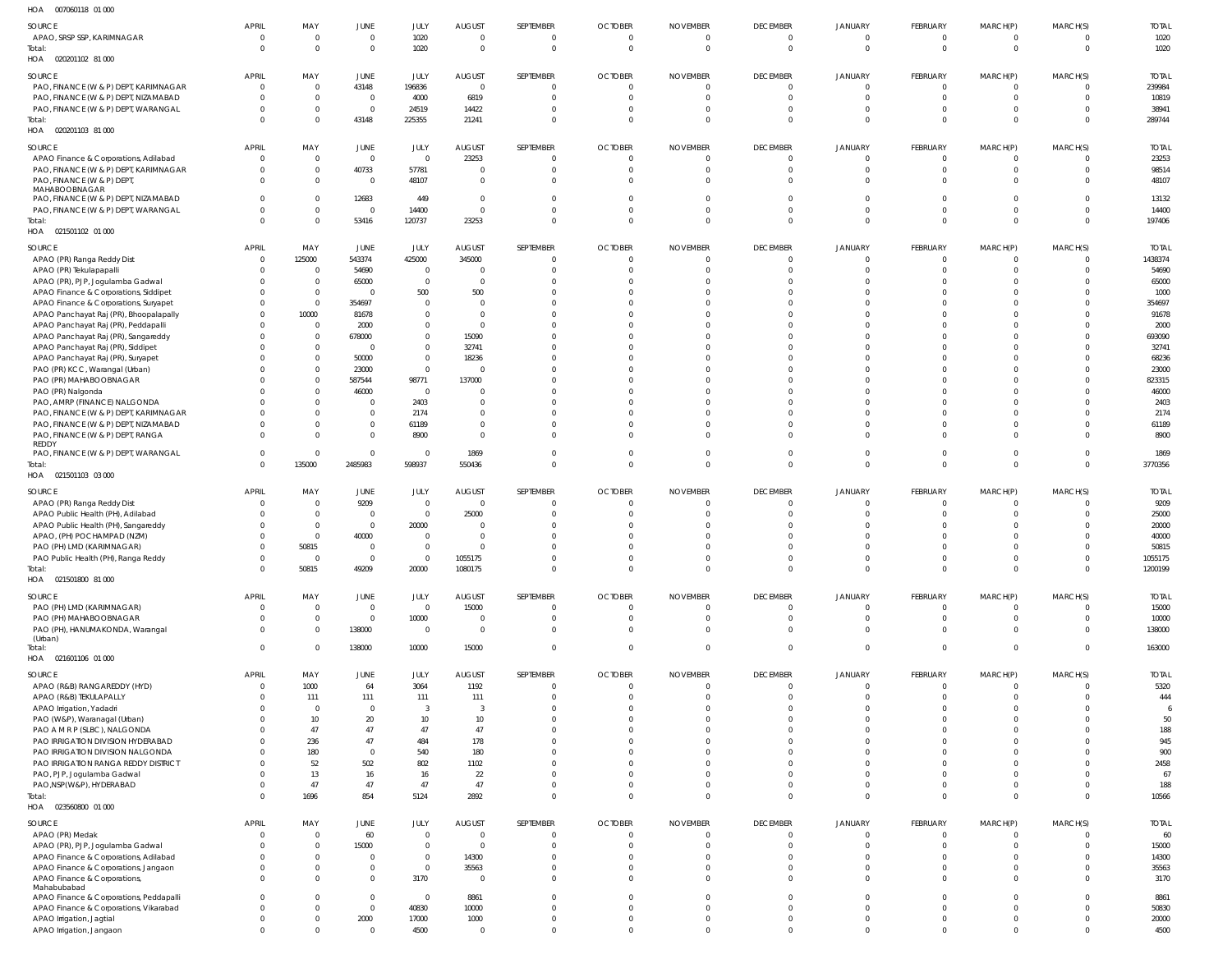| HOA  007060118  01  000                                                         |                          |                             |                          |                             |                         |                            |                                  |                                   |                             |                               |                                |                                  |                      |                    |
|---------------------------------------------------------------------------------|--------------------------|-----------------------------|--------------------------|-----------------------------|-------------------------|----------------------------|----------------------------------|-----------------------------------|-----------------------------|-------------------------------|--------------------------------|----------------------------------|----------------------|--------------------|
| SOURCE                                                                          | <b>APRIL</b>             | MAY                         | <b>JUNE</b>              | JULY                        | <b>AUGUST</b>           | SEPTEMBER                  | <b>OCTOBER</b>                   | <b>NOVEMBER</b>                   | <b>DECEMBER</b>             | JANUARY                       | FEBRUARY                       | MARCH(P)                         | MARCH(S)             | <b>TOTAL</b>       |
| APAO, SRSP SSP, KARIMNAGAR                                                      | 0                        | $\mathbf{0}$                | $\overline{0}$           | 1020                        | $\overline{0}$          | $\mathbf{0}$               | $\overline{0}$                   | $\overline{0}$                    | $\mathbf 0$                 | $\mathbf 0$                   | $\mathbf 0$                    | $\overline{0}$                   | - 0                  | 1020               |
| Total:<br>HOA  020201102  81  000                                               | $\Omega$                 | $\mathbf{0}$                | $\overline{0}$           | 1020                        | $\overline{0}$          | $\mathbf{0}$               | $\overline{0}$                   | $\mathbf 0$                       | $\Omega$                    | $\mathbf 0$                   | $\mathbf 0$                    | $\overline{0}$                   | $\Omega$             | 1020               |
| SOURCE                                                                          | <b>APRIL</b>             | MAY                         | <b>JUNE</b>              | JULY                        | <b>AUGUST</b>           | SEPTEMBER                  | <b>OCTOBER</b>                   | <b>NOVEMBER</b>                   | <b>DECEMBER</b>             | JANUARY                       | FEBRUARY                       | MARCH(P)                         | MARCH(S)             | <b>TOTAL</b>       |
| PAO, FINANCE (W & P) DEPT, KARIMNAGAR                                           | $\mathbf 0$              | $\mathbf{0}$                | 43148                    | 196836                      | 0                       | $\mathbf{0}$               | $\overline{0}$                   | $\overline{0}$                    | $\Omega$                    | 0                             | 0                              | $\overline{0}$                   |                      | 239984             |
| PAO, FINANCE (W & P) DEPT, NIZAMABAD                                            |                          | $\mathbf 0$                 | $\overline{0}$           | 4000                        | 6819                    | $\mathbf{0}$               | $\overline{0}$                   | $\mathbf{0}$                      |                             | 0                             | $\Omega$                       | $\overline{0}$                   |                      | 10819              |
| PAO, FINANCE (W & P) DEPT, WARANGAL<br>Total:                                   | $\Omega$<br>$\Omega$     | $\mathbf{0}$<br>$\mathbf 0$ | $\overline{0}$<br>43148  | 24519<br>225355             | 14422<br>21241          | $\Omega$<br>$\mathbf 0$    | $\overline{0}$<br>$\overline{0}$ | $\mathbf 0$<br>$\overline{0}$     | $\Omega$<br>$\Omega$        | $\Omega$<br>$\Omega$          | $\Omega$<br>$\Omega$           | $\overline{0}$<br>$\overline{0}$ |                      | 38941<br>289744    |
| HOA  020201103  81  000                                                         |                          |                             |                          |                             |                         |                            |                                  |                                   |                             |                               |                                |                                  |                      |                    |
| SOURCE                                                                          | <b>APRIL</b>             | MAY                         | JUNE                     | JULY                        | <b>AUGUST</b>           | SEPTEMBER                  | <b>OCTOBER</b>                   | <b>NOVEMBER</b>                   | <b>DECEMBER</b>             | JANUARY                       | FEBRUARY                       | MARCH(P)                         | MARCH(S)             | <b>TOTAL</b>       |
| APAO Finance & Corporations, Adilabad                                           | $\mathbf 0$              | $\mathbf{0}$                | $\overline{0}$           | $\overline{0}$              | 23253                   | $\mathbf 0$                | $\overline{0}$                   | $\overline{0}$                    | $\Omega$                    | 0                             | $\Omega$                       | $\overline{0}$                   |                      | 23253              |
| PAO, FINANCE (W & P) DEPT, KARIMNAGAR                                           | 0                        | $\mathbf{0}$                | 40733                    | 57781                       | 0                       | $\mathbf{0}$               | $\overline{0}$                   | $\mathbf 0$                       | $\Omega$                    | 0                             | $\Omega$                       | $\overline{0}$                   |                      | 98514              |
| PAO, FINANCE (W & P) DEPT,<br>MAHABOOBNAGAR                                     | $\Omega$                 | $\mathbf 0$                 | $\overline{0}$           | 48107                       | $\overline{0}$          | $\Omega$                   | $\Omega$                         | $\mathbf 0$                       |                             |                               | $\Omega$                       | $\Omega$                         |                      | 48107              |
| PAO, FINANCE (W & P) DEPT, NIZAMABAD                                            |                          | $\mathbf 0$                 | 12683                    | 449                         | 0                       | $\Omega$                   | $\Omega$                         | $\Omega$                          |                             |                               | $\Omega$                       | $\overline{0}$                   |                      | 13132              |
| PAO, FINANCE (W & P) DEPT, WARANGAL<br>Total:                                   | $\Omega$<br>$\Omega$     | $\mathbf 0$<br>$\mathbf 0$  | $\overline{0}$<br>53416  | 14400<br>120737             | $\overline{0}$<br>23253 | $\Omega$<br>$\mathbf 0$    | $\overline{0}$<br>$\overline{0}$ | $\mathbf 0$<br>$\overline{0}$     | $\Omega$<br>$\Omega$        | $\Omega$<br>$\Omega$          | $\Omega$<br>$\Omega$           | $\overline{0}$<br>$\overline{0}$ | $\Omega$<br>$\Omega$ | 14400<br>197406    |
| HOA  021501102  01  000                                                         |                          |                             |                          |                             |                         |                            |                                  |                                   |                             |                               |                                |                                  |                      |                    |
| SOURCE                                                                          | <b>APRIL</b>             | MAY                         | JUNE                     | JULY                        | <b>AUGUST</b>           | SEPTEMBER                  | <b>OCTOBER</b>                   | <b>NOVEMBER</b>                   | <b>DECEMBER</b>             | <b>JANUARY</b>                | FEBRUARY                       | MARCH(P)                         | MARCH(S)             | <b>TOTAL</b>       |
| APAO (PR) Ranga Reddy Dist                                                      | 0                        | 125000                      | 543374                   | 425000                      | 345000                  | $\overline{0}$             | $\overline{0}$                   | $\overline{0}$                    |                             | 0                             | $\Omega$                       | $\overline{0}$                   | $\Omega$             | 1438374            |
| APAO (PR) Tekulapapalli                                                         |                          | $\overline{0}$              | 54690                    | $\overline{0}$              | 0                       | $\Omega$                   | $\overline{0}$                   | $\mathbf 0$                       |                             | $\Omega$                      | $\Omega$                       | $\Omega$                         |                      | 54690              |
| APAO (PR), PJP, Jogulamba Gadwal                                                |                          | $\mathbf{0}$                | 65000                    | $\overline{0}$              | 0                       |                            | $\Omega$                         | $\Omega$                          |                             |                               |                                | $\Omega$                         |                      | 65000              |
| APAO Finance & Corporations, Siddipet                                           |                          | $\mathbf 0$                 | $\overline{0}$           | 500                         | 500                     |                            | $\Omega$                         | $\Omega$                          |                             |                               | $\Omega$                       | $\Omega$                         |                      | 1000               |
| APAO Finance & Corporations, Suryapet<br>APAO Panchayat Raj (PR), Bhoopalapally |                          | $\mathbf{0}$<br>10000       | 354697<br>81678          | $\mathbf{0}$<br>$\mathbf 0$ | 0<br>$\Omega$           |                            | $\Omega$<br>$\Omega$             | $\Omega$<br>$\Omega$              |                             |                               | n<br>n                         | $\Omega$<br>$\Omega$             |                      | 354697<br>91678    |
| APAO Panchayat Raj (PR), Peddapalli                                             |                          | $\mathbf{0}$                | 2000                     | $\mathbf 0$                 | - 0                     |                            | $\Omega$                         | $\Omega$                          |                             |                               |                                | $\Omega$                         |                      | 2000               |
| APAO Panchayat Raj (PR), Sangareddy                                             |                          | $\mathbf{0}$                | 678000                   | $\mathbf 0$                 | 15090                   |                            | $\Omega$                         | $\Omega$                          |                             |                               | $\Omega$                       | $\Omega$                         |                      | 693090             |
| APAO Panchayat Raj (PR), Siddipet                                               |                          | $\mathbf{0}$                | $\overline{\mathbf{0}}$  | $\mathbf 0$                 | 32741                   |                            | $\Omega$                         | $\Omega$                          |                             |                               | n                              | $\Omega$                         |                      | 32741              |
| APAO Panchayat Raj (PR), Suryapet                                               |                          | $\mathbf{0}$                | 50000                    | $\mathbf{0}$                | 18236                   |                            | $\Omega$                         | $\Omega$                          |                             |                               | $\Omega$                       | $\Omega$                         |                      | 68236              |
| PAO (PR) KCC, Warangal (Urban)                                                  |                          | $\mathbf{0}$                | 23000                    | $\overline{0}$              | 0                       |                            | $\Omega$                         | $\Omega$                          |                             |                               | n                              | $\Omega$                         |                      | 23000              |
| PAO (PR) MAHABOOBNAGAR                                                          |                          | $\mathbf 0$<br>$\mathbf{0}$ | 587544                   | 98771<br>$\overline{0}$     | 137000                  |                            | $\Omega$<br>$\Omega$             | $\Omega$<br>$\Omega$              |                             |                               | $\Omega$<br>n                  | $\Omega$<br>$\Omega$             |                      | 823315             |
| PAO (PR) Nalgonda<br>PAO, AMRP (FINANCE) NALGONDA                               |                          | $\mathbf 0$                 | 46000<br>$\overline{0}$  | 2403                        | 0<br>0                  |                            | $\Omega$                         | $\Omega$                          |                             |                               | n                              | $\Omega$                         |                      | 46000<br>2403      |
| PAO, FINANCE (W & P) DEPT, KARIMNAGAR                                           |                          | $\mathbf{0}$                | $\overline{0}$           | 2174                        | 0                       |                            | $\Omega$                         | $\Omega$                          |                             | <sup>0</sup>                  | n                              | $\Omega$                         |                      | 2174               |
| PAO, FINANCE (W & P) DEPT, NIZAMABAD                                            |                          | $\mathbf 0$                 | $\mathbf{0}$             | 61189                       | $\overline{0}$          | $\Omega$                   | $\Omega$                         | $\Omega$                          |                             |                               | $\Omega$                       | $\Omega$                         |                      | 61189              |
| PAO, FINANCE (W & P) DEPT, RANGA                                                | $\Omega$                 | $\mathbf 0$                 | $\overline{0}$           | 8900                        | $\Omega$                | $\Omega$                   | $\Omega$                         | $\Omega$                          |                             |                               | n                              | $\Omega$                         |                      | 8900               |
| REDDY<br>PAO, FINANCE (W & P) DEPT, WARANGAL                                    | $\mathbf 0$              | $\mathbf 0$                 | $\overline{0}$           | $\overline{0}$              | 1869                    | $\mathbf{0}$               | $\overline{0}$                   | $\overline{0}$                    | $\Omega$                    | $\Omega$                      | $\Omega$                       | $\overline{0}$                   | $\Omega$             | 1869               |
| Total:                                                                          | $\Omega$                 | 135000                      | 2485983                  | 598937                      | 550436                  | $\mathbf 0$                | $\overline{0}$                   | $\mathbf 0$                       | $\Omega$                    | $\Omega$                      | $\Omega$                       | $\overline{0}$                   | $\Omega$             | 3770356            |
| HOA  021501103  03  000                                                         |                          |                             |                          |                             |                         |                            |                                  |                                   |                             |                               |                                |                                  |                      |                    |
| SOURCE                                                                          | <b>APRIL</b>             | MAY                         | JUNE                     | JULY                        | <b>AUGUST</b>           | SEPTEMBER                  | <b>OCTOBER</b>                   | <b>NOVEMBER</b>                   | <b>DECEMBER</b>             | JANUARY                       | FEBRUARY                       | MARCH(P)                         | MARCH(S)             | <b>TOTAL</b>       |
| APAO (PR) Ranga Reddy Dist                                                      | 0                        | $\overline{0}$              | 9209                     | $\overline{0}$              | 0                       | $\Omega$                   | $\Omega$                         | $\mathbf{0}$                      | $\Omega$                    | 0                             | $\Omega$                       | $\Omega$                         |                      | 9209               |
| APAO Public Health (PH), Adilabad                                               |                          | $\mathbf{0}$                | $\overline{0}$           | $\overline{0}$              | 25000                   |                            | $\Omega$                         | $\Omega$                          |                             |                               | $\Omega$                       | $\Omega$                         |                      | 25000              |
| APAO Public Health (PH), Sangareddy                                             |                          | $\mathbf{0}$                | $\overline{0}$           | 20000                       | - 0                     |                            | n                                |                                   |                             |                               | n                              | $\Omega$                         |                      | 20000              |
| APAO, (PH) POCHAMPAD (NZM)                                                      | $\Omega$                 | $\mathbf 0$<br>50815        | 40000<br>$\Omega$        | $\mathbf 0$<br>$\mathbf 0$  | $\Omega$<br>$\Omega$    | $\Omega$                   | $\Omega$<br>$\Omega$             | $\Omega$<br>$\Omega$              |                             |                               | $\Omega$<br><sup>n</sup>       | $\Omega$<br>$\Omega$             |                      | 40000<br>50815     |
| PAO (PH) LMD (KARIMNAGAR)<br>PAO Public Health (PH), Ranga Reddy                |                          | 0                           |                          | 0                           | 1055175                 |                            |                                  | 0                                 |                             |                               |                                | 0                                |                      | 1055175            |
| Total:                                                                          | $\Omega$                 | 50815                       | 49209                    | 20000                       | 1080175                 | $\mathbf 0$                | $\mathbf 0$                      | $\overline{0}$                    | $\Omega$                    | $\Omega$                      | $\Omega$                       | $\overline{0}$                   | $\Omega$             | 1200199            |
| HOA  021501800  81  000                                                         |                          |                             |                          |                             |                         |                            |                                  |                                   |                             |                               |                                |                                  |                      |                    |
| SOURCE                                                                          | <b>APRIL</b>             | MAY                         | JUNE                     | JULY                        | <b>AUGUST</b>           | SEPTEMBER                  | <b>OCTOBER</b>                   | <b>NOVEMBER</b>                   | <b>DECEMBER</b>             | <b>JANUARY</b>                | <b>FEBRUARY</b>                | MARCH(P)                         | MARCH(S)             | <b>TOTAL</b>       |
| PAO (PH) LMD (KARIMNAGAR)                                                       | $\overline{0}$           | $\mathbf{0}$                | $\overline{0}$           | $\overline{0}$              | 15000                   | $\mathbf 0$                | $\overline{0}$                   | $\mathbf 0$                       | $\overline{0}$              | $\mathbf 0$                   | $\mathbf 0$                    | $\overline{0}$                   |                      | 15000              |
| PAO (PH) MAHABOOBNAGAR<br>PAO (PH), HANUMAKONDA, Warangal                       | $\Omega$<br>$\mathbf 0$  | $\mathbf 0$<br>$\mathbf{0}$ | $\overline{0}$<br>138000 | 10000<br>$\overline{0}$     | 0<br>$\overline{0}$     | $\mathbf 0$<br>$\mathbf 0$ | $\overline{0}$<br>$\mathbf 0$    | $\overline{0}$<br>$\overline{0}$  | $\Omega$<br>$\Omega$        | 0<br>$\mathbf 0$              | $\Omega$<br>$\mathbf 0$        | $\overline{0}$<br>$\overline{0}$ | $\Omega$             | 10000<br>138000    |
| (Urban)                                                                         |                          |                             |                          |                             |                         |                            |                                  |                                   |                             |                               |                                |                                  |                      |                    |
| Total:<br>HOA  021601106  01  000                                               | $\mathbf 0$              | $\mathbf{0}$                | 138000                   | 10000                       | 15000                   | $\mathbf 0$                | $\overline{0}$                   | $\overline{0}$                    | $\mathbf 0$                 | $\mathbf 0$                   | $\mathbf 0$                    | $\overline{0}$                   | $\Omega$             | 163000             |
| SOURCE                                                                          | <b>APRIL</b>             | MAY                         | JUNE                     | JULY                        | <b>AUGUST</b>           | SEPTEMBER                  | <b>OCTOBER</b>                   | <b>NOVEMBER</b>                   | <b>DECEMBER</b>             | JANUARY                       | <b>FEBRUARY</b>                | MARCH(P)                         | MARCH(S)             | <b>TOTAL</b>       |
| APAO (R&B) RANGAREDDY (HYD)                                                     | $\overline{0}$           | 1000                        | 64                       | 3064                        | 1192                    | $\mathbf{0}$               | $\overline{0}$                   | $\overline{0}$                    | $\Omega$                    | $\Omega$                      | $\mathbf 0$                    | $\overline{0}$                   |                      | 5320               |
| APAO (R&B) TEKULAPALLY                                                          |                          | 111                         | 111                      | 111                         | 111                     | $\mathbf{0}$               | $\overline{0}$                   | $\mathbf 0$                       | $\Omega$                    | $\Omega$                      | $\mathbf 0$                    | $\overline{0}$                   |                      | 444                |
| APAO Irrigation, Yadadri                                                        |                          | $\overline{0}$              | $\overline{0}$           | $\overline{3}$              | -3                      | $\Omega$                   | $\Omega$                         | $\Omega$                          |                             |                               | $\Omega$                       | $\Omega$                         |                      |                    |
| PAO (W&P), Waranagal (Urban)                                                    |                          | 10<br>47                    | 20<br>47                 | 10<br>47                    | 10<br>47                | $\Omega$<br>$\Omega$       | $\Omega$<br>$\Omega$             | $\mathbf 0$<br>$\Omega$           |                             |                               | $\Omega$<br>$\Omega$           | $\Omega$<br>$\Omega$             |                      | 50                 |
| PAO A M R P (SLBC), NALGONDA<br>PAO IRRIGATION DIVISION HYDERABAD               |                          | 236                         | 47                       | 484                         | 178                     |                            | $\Omega$                         | $\Omega$                          |                             |                               | $\Omega$                       | $\Omega$                         |                      | 188<br>945         |
| PAO IRRIGATION DIVISION NALGONDA                                                |                          | 180                         | $\overline{0}$           | 540                         | 180                     |                            | $\Omega$                         | $\Omega$                          |                             |                               | $\Omega$                       | $\Omega$                         |                      | 900                |
| PAO IRRIGATION RANGA REDDY DISTRICT                                             |                          | 52                          | 502                      | 802                         | 1102                    |                            | $\Omega$                         | $\Omega$                          |                             |                               | $\Omega$                       | $\Omega$                         |                      | 2458               |
| PAO, PJP, Jogulamba Gadwal                                                      |                          | 13                          | 16                       | 16                          | 22                      | $\Omega$                   | $\Omega$                         | $\Omega$                          |                             |                               | $\Omega$                       | $\Omega$                         |                      | 67                 |
| PAO, NSP(W&P), HYDERABAD                                                        |                          | 47                          | 47                       | 47                          | 47                      | $\mathbf 0$                | $\overline{0}$                   | $\mathbf 0$                       | $\Omega$                    | $\Omega$                      | $\Omega$                       | $\overline{0}$                   |                      | 188                |
| Total:<br>HOA  023560800  01  000                                               | $\Omega$                 | 1696                        | 854                      | 5124                        | 2892                    | $\Omega$                   | $\Omega$                         | $\overline{0}$                    | $\Omega$                    | $\Omega$                      | $\Omega$                       | $\overline{0}$                   | $\Omega$             | 10566              |
|                                                                                 |                          |                             |                          |                             |                         |                            |                                  |                                   |                             |                               |                                |                                  |                      |                    |
| SOURCE                                                                          | <b>APRIL</b><br>$\Omega$ | MAY<br>$\mathbf{0}$         | <b>JUNE</b><br>60        | JULY<br>$\overline{0}$      | <b>AUGUST</b><br>0      | SEPTEMBER<br>$\mathbf{0}$  | <b>OCTOBER</b><br>$\overline{0}$ | <b>NOVEMBER</b><br>$\overline{0}$ | <b>DECEMBER</b><br>$\Omega$ | <b>JANUARY</b><br>$\mathbf 0$ | <b>FEBRUARY</b><br>$\mathbf 0$ | MARCH(P)<br>$\overline{0}$       | MARCH(S)             | <b>TOTAL</b><br>60 |
| APAO (PR) Medak<br>APAO (PR), PJP, Jogulamba Gadwal                             | $\Omega$                 | $\mathbf{0}$                | 15000                    | $\mathbf 0$                 | 0                       | $\mathbf 0$                | $\overline{0}$                   | $\mathbf{0}$                      | $\Omega$                    | $\Omega$                      | $\mathbf 0$                    | $\overline{0}$                   |                      | 15000              |
| APAO Finance & Corporations, Adilabad                                           |                          | $\mathbf{0}$                | $\overline{0}$           | $\mathbf 0$                 | 14300                   | $\Omega$                   | $\Omega$                         | $\mathbf 0$                       | $\Omega$                    | 0                             | $\Omega$                       | $\overline{0}$                   |                      | 14300              |
| APAO Finance & Corporations, Jangaon                                            | 0                        | $\mathbf{0}$                | $\overline{0}$           | $\overline{0}$              | 35563                   | 0                          | $\overline{0}$                   | $\mathbf 0$                       | $\Omega$                    | 0                             | $\Omega$                       | $\overline{0}$                   |                      | 35563              |
| APAO Finance & Corporations,                                                    | $\Omega$                 | $\Omega$                    | $\overline{0}$           | 3170                        | - 0                     | $\Omega$                   | $\mathbf 0$                      | $\mathbf{0}$                      | $\Omega$                    | 0                             | $\Omega$                       | $\Omega$                         |                      | 3170               |
| Mahabubabad<br>APAO Finance & Corporations, Peddapalli                          | $\Omega$                 | $\mathbf{0}$                | $\overline{0}$           | $\overline{0}$              | 8861                    | $\mathbf{0}$               | $\overline{0}$                   | $\overline{0}$                    | $\Omega$                    | $\Omega$                      | $\Omega$                       | $\overline{0}$                   | $\Omega$             | 8861               |
| APAO Finance & Corporations, Vikarabad                                          | $\Omega$                 | $\mathbf{0}$                | $\overline{0}$           | 40830                       | 10000                   | $\Omega$                   | $\mathbf 0$                      | $\overline{0}$                    | $\Omega$                    | $\mathbf 0$                   | $\mathbf 0$                    | $\Omega$                         |                      | 50830              |
| APAO Irrigation, Jagtial                                                        | 0                        | $\overline{0}$              | 2000                     | 17000                       | 1000                    | $\mathbf{0}$               | $\mathbf 0$                      | $\overline{0}$                    | $\mathbf 0$                 | $\Omega$                      | $\mathbf 0$                    | $\overline{0}$                   | $\Omega$             | 20000              |
| APAO Irrigation, Jangaon                                                        | $\mathbf{0}$             | $\overline{0}$              | $\overline{0}$           | 4500                        | $\mathbf{0}$            | $\mathbf 0$                | $\Omega$                         | $\Omega$                          | $\mathbf 0$                 |                               | $\mathbf 0$                    | $\overline{0}$                   | $\Omega$             | 4500               |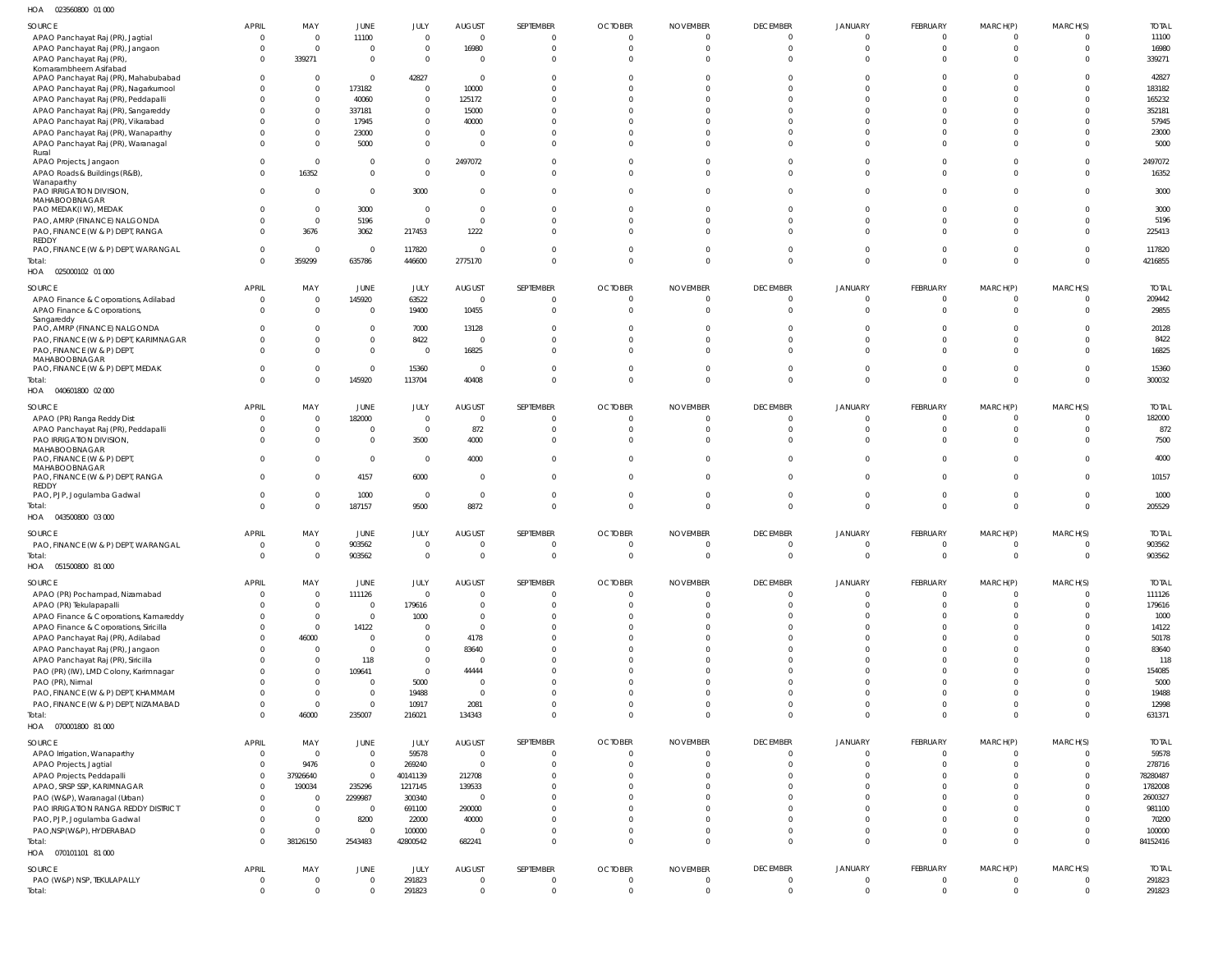| HOA<br>023560800 01 000                                                |                            |                            |                                  |                  |                                  |                     |                                  |                                  |                                  |                               |                            |                                |                            |                  |
|------------------------------------------------------------------------|----------------------------|----------------------------|----------------------------------|------------------|----------------------------------|---------------------|----------------------------------|----------------------------------|----------------------------------|-------------------------------|----------------------------|--------------------------------|----------------------------|------------------|
| SOURCE                                                                 | <b>APRIL</b>               | MAY                        | JUNE                             | JULY             | <b>AUGUST</b>                    | SEPTEMBER           | <b>OCTOBER</b>                   | <b>NOVEMBER</b>                  | <b>DECEMBER</b>                  | <b>JANUARY</b>                | FEBRUARY                   | MARCH(P)                       | MARCH(S)                   | <b>TOTAL</b>     |
| APAO Panchayat Raj (PR), Jagtial                                       | $\overline{0}$             | $\mathbf 0$                | 11100                            | $\Omega$         | $\overline{0}$                   | $\Omega$            | $\overline{0}$                   | $\overline{0}$                   | $\overline{\mathbf{0}}$          | $\Omega$                      | $\Omega$                   | $\overline{0}$                 | $\Omega$                   | 11100            |
| APAO Panchayat Raj (PR), Jangaon                                       | $\mathbf{0}$               | $\mathbf 0$                | $\overline{0}$                   | $\Omega$         | 16980                            | $\circ$             | $\overline{0}$                   | $\mathbf 0$                      | $\overline{0}$                   | $\Omega$                      | $\Omega$                   | $\overline{0}$                 | $\Omega$                   | 16980            |
| APAO Panchayat Raj (PR),                                               | $\Omega$                   | 339271                     | $\overline{0}$                   | $\Omega$         | $\overline{\mathbf{0}}$          | $\Omega$            | $\Omega$                         | $\Omega$                         | $\Omega$                         | $\Omega$                      | $\Omega$                   | $\Omega$                       | $\Omega$                   | 339271           |
| Komarambheem Asifabad                                                  |                            |                            |                                  |                  |                                  |                     |                                  |                                  |                                  |                               |                            |                                |                            |                  |
| APAO Panchayat Raj (PR), Mahabubabad                                   | $\Omega$                   | $\mathbf 0$                | $\overline{0}$                   | 42827            | $\overline{\mathbf{0}}$          | - 0                 | $\Omega$                         | $\Omega$                         | $\Omega$                         | $\Omega$                      |                            | $\Omega$                       | $\Omega$                   | 42827            |
| APAO Panchayat Raj (PR), Nagarkurnool                                  |                            | $\mathbf 0$                | 173182                           | $\overline{0}$   | 10000                            |                     | $\Omega$                         |                                  | $\Omega$                         |                               |                            | -C                             | <sup>0</sup>               | 183182           |
| APAO Panchayat Raj (PR), Peddapalli                                    |                            | $\mathbf 0$                | 40060                            | $\Omega$         | 125172                           |                     | $\Omega$                         | $\Omega$                         | $\Omega$                         | $\Omega$                      |                            | $\Omega$                       | $\Omega$                   | 165232           |
| APAO Panchayat Raj (PR), Sangareddy                                    |                            | $\mathbf 0$                | 337181                           | $\Omega$         | 15000                            |                     | - 0                              | $\Omega$                         | $\Omega$                         | $\Omega$                      |                            | $\Omega$                       | <sup>0</sup>               | 352181           |
| APAO Panchayat Raj (PR), Vikarabad                                     |                            | $\mathbf 0$                | 17945                            | $\Omega$         | 40000                            |                     | $\Omega$                         | $\Omega$                         | $\cap$                           | $\cap$                        |                            | $\Omega$                       | <sup>0</sup>               | 57945            |
| APAO Panchayat Raj (PR), Wanaparthy                                    |                            | $\mathbf 0$                | 23000                            | $\Omega$         | - 0                              |                     | -0                               | -0                               | $\Omega$                         | $\Omega$                      |                            | $\Omega$                       | $\Omega$                   | 23000            |
| APAO Panchayat Raj (PR), Waranagal<br>Rural                            | <sup>0</sup>               | $\mathbf 0$                | 5000                             | $\Omega$         | $\Omega$                         | $\Omega$            | $\Omega$                         | $\Omega$                         | $\Omega$                         | $\Omega$                      | $\Omega$                   | $\Omega$                       | $\Omega$                   | 5000             |
| APAO Projects, Jangaon                                                 | $\Omega$                   | $\mathbf 0$                | $\overline{0}$                   | $\Omega$         | 2497072                          |                     | $\Omega$                         | $\mathbf 0$                      | $\Omega$                         | $\Omega$                      |                            | $\Omega$                       | $\Omega$                   | 2497072          |
| APAO Roads & Buildings (R&B),                                          | $\Omega$                   | 16352                      | $\overline{0}$                   | $\Omega$         | $\Omega$                         | $\Omega$            | $\Omega$                         | $\Omega$                         | $\Omega$                         | $\Omega$                      | $\Omega$                   | $\Omega$                       | $\Omega$                   | 16352            |
| Wanaparthy                                                             |                            |                            |                                  |                  |                                  |                     |                                  |                                  |                                  |                               |                            |                                |                            |                  |
| PAO IRRIGATION DIVISION,                                               | $\Omega$                   | $\Omega$                   | $\overline{0}$                   | 3000             | $\Omega$                         | $\Omega$            | $\Omega$                         | $\Omega$                         | $\Omega$                         | $\Omega$                      | $\Omega$                   | $\Omega$                       | $\Omega$                   | 3000             |
| MAHABOOBNAGAR                                                          |                            |                            |                                  |                  |                                  |                     |                                  |                                  |                                  |                               |                            |                                |                            |                  |
| PAO MEDAK(IW), MEDAK                                                   |                            | $\mathbf 0$                | 3000                             | $\Omega$         | $\overline{0}$                   |                     | $\Omega$                         | $\Omega$                         | $\Omega$                         | $\Omega$                      | $\Omega$                   | $\Omega$                       | <sup>0</sup>               | 3000             |
| PAO, AMRP (FINANCE) NALGONDA                                           |                            | $\overline{0}$             | 5196                             | $\Omega$         | $\overline{0}$                   |                     | $\Omega$                         | $\Omega$                         | $\Omega$                         | $\Omega$                      | $\Omega$                   | $\Omega$                       | <sup>0</sup>               | 5196             |
| PAO, FINANCE (W & P) DEPT, RANGA                                       | <sup>0</sup>               | 3676                       | 3062                             | 217453           | 1222                             | $\Omega$            | $\Omega$                         | $\Omega$                         | $\Omega$                         | $\Omega$                      | $\Omega$                   | $\Omega$                       | $\Omega$                   | 225413           |
| REDDY<br>PAO, FINANCE (W & P) DEPT, WARANGAL                           | $\mathbf 0$                | $\overline{0}$             | $\overline{0}$                   | 117820           | $\overline{\mathbf{0}}$          | $\Omega$            | $\Omega$                         | $\Omega$                         | $\Omega$                         | - 0                           | $\Omega$                   | $\Omega$                       | $\Omega$                   | 117820           |
| Total:                                                                 | $\Omega$                   | 359299                     | 635786                           | 446600           | 2775170                          | $\Omega$            | $\Omega$                         | $\overline{0}$                   | $\Omega$                         | $\Omega$                      | $\Omega$                   | $\mathbf{0}$                   | $\Omega$                   | 4216855          |
| HOA  025000102  01 000                                                 |                            |                            |                                  |                  |                                  |                     |                                  |                                  |                                  |                               |                            |                                |                            |                  |
|                                                                        |                            |                            |                                  |                  |                                  |                     |                                  |                                  |                                  |                               |                            |                                |                            |                  |
| SOURCE                                                                 | <b>APRIL</b>               | MAY                        | JUNE                             | JULY             | <b>AUGUST</b>                    | SEPTEMBER           | <b>OCTOBER</b>                   | <b>NOVEMBER</b>                  | <b>DECEMBER</b>                  | JANUARY                       | FEBRUARY                   | MARCH(P)                       | MARCH(S)                   | <b>TOTAL</b>     |
| APAO Finance & Corporations, Adilabad                                  | $\overline{0}$             | $\mathbf 0$                | 145920                           | 63522            | $\overline{0}$                   | - 0                 | $\overline{0}$                   | 0                                | $\overline{0}$                   | $\overline{0}$                | $\Omega$                   | $\overline{0}$                 | $\overline{0}$             | 209442           |
| APAO Finance & Corporations,                                           | $\Omega$                   | $\mathbf 0$                | $\overline{0}$                   | 19400            | 10455                            | - 0                 | $\Omega$                         | $\Omega$                         | $\Omega$                         | $\Omega$                      | $\Omega$                   | $\overline{0}$                 | $\Omega$                   | 29855            |
| Sangareddy<br>PAO, AMRP (FINANCE) NALGONDA                             | $\Omega$                   | $\Omega$                   | $\overline{0}$                   | 7000             | 13128                            | $\Omega$            | $\Omega$                         | $\Omega$                         | $\Omega$                         | $\Omega$                      | $\Omega$                   | $\Omega$                       | $\Omega$                   | 20128            |
|                                                                        | $\Omega$                   | $\Omega$                   | $\overline{0}$                   |                  | $\overline{\phantom{0}}$         |                     | $\Omega$                         | $\Omega$                         | $\Omega$                         | $\Omega$                      |                            | $\Omega$                       | $\Omega$                   | 8422             |
| PAO, FINANCE (W & P) DEPT, KARIMNAGAR<br>PAO, FINANCE (W & P) DEPT,    | $\Omega$                   | $\mathbf 0$                | $\overline{0}$                   | 8422<br>$\Omega$ | 16825                            | $\Omega$            | $\Omega$                         | $\Omega$                         | $\Omega$                         | $\Omega$                      | $\Omega$                   | $\Omega$                       | $\Omega$                   | 16825            |
| MAHABOOBNAGAR                                                          |                            |                            |                                  |                  |                                  |                     |                                  |                                  |                                  |                               |                            |                                |                            |                  |
| PAO, FINANCE (W & P) DEPT, MEDAK                                       | 0                          | $\mathbf 0$                | $\overline{0}$                   | 15360            | $\overline{\phantom{0}}$         | - 0                 | $\Omega$                         | 0                                | $\overline{0}$                   | - 0                           | $\Omega$                   | $\Omega$                       | $\Omega$                   | 15360            |
| Total:                                                                 | $\Omega$                   | $\mathbf 0$                | 145920                           | 113704           | 40408                            | $\Omega$            | $\Omega$                         | $\mathbf 0$                      | $\Omega$                         | $\overline{0}$                | $\Omega$                   | $\overline{0}$                 | $\overline{0}$             | 300032           |
| HOA  040601800  02  000                                                |                            |                            |                                  |                  |                                  |                     |                                  |                                  |                                  |                               |                            |                                |                            |                  |
|                                                                        |                            |                            |                                  |                  |                                  |                     |                                  |                                  |                                  |                               |                            |                                |                            |                  |
| SOURCE                                                                 | <b>APRIL</b>               | MAY                        | JUNE                             | <b>JULY</b>      | <b>AUGUST</b>                    | SEPTEMBER           | <b>OCTOBER</b>                   | <b>NOVEMBER</b>                  | <b>DECEMBER</b>                  | <b>JANUARY</b>                | FEBRUARY                   | MARCH(P)                       | MARCH(S)                   | <b>TOTAL</b>     |
| APAO (PR) Ranga Reddy Dist                                             | 0                          | $\mathbf 0$                | 182000                           | $\Omega$         | $\overline{\mathbf{0}}$          | $\Omega$            | $\overline{0}$                   | 0                                | $\Omega$                         | $\Omega$                      | $\Omega$                   | $\overline{0}$                 | $\Omega$                   | 182000           |
| APAO Panchayat Raj (PR), Peddapalli                                    | $\Omega$                   | $\mathbf 0$                | $\overline{0}$                   | $\overline{0}$   | 872                              | -0                  | $\Omega$                         | $\Omega$                         | $\Omega$                         | $\Omega$                      | $\Omega$                   | $\Omega$                       | <sup>0</sup>               | 872              |
| PAO IRRIGATION DIVISION,<br>MAHABOOBNAGAR                              | <sup>0</sup>               | $\Omega$                   | $\overline{0}$                   | 3500             | 4000                             | $\Omega$            | $\Omega$                         | $\Omega$                         | $\Omega$                         | $\Omega$                      | $\Omega$                   | $\Omega$                       | $\Omega$                   | 7500             |
| PAO, FINANCE (W & P) DEPT,                                             | $\Omega$                   | $\mathbf 0$                | $\overline{0}$                   | $\Omega$         | 4000                             | $\Omega$            | $\overline{0}$                   | $\Omega$                         | $\Omega$                         | $\Omega$                      | $\Omega$                   | $\Omega$                       | $\Omega$                   | 4000             |
| MAHABOOBNAGAR                                                          |                            |                            |                                  |                  |                                  |                     |                                  |                                  |                                  |                               |                            |                                |                            |                  |
| PAO, FINANCE (W & P) DEPT, RANGA                                       | <sup>0</sup>               | $\Omega$                   | 4157                             | 6000             | - 0                              | $\Omega$            | $\Omega$                         | $\Omega$                         | $\Omega$                         | $\Omega$                      | $\Omega$                   | $\Omega$                       | <sup>0</sup>               | 10157            |
| REDDY                                                                  |                            |                            |                                  |                  |                                  |                     |                                  |                                  |                                  |                               |                            |                                |                            |                  |
| PAO, PJP, Jogulamba Gadwal                                             | $\mathbf 0$                | $\mathbf 0$                | 1000                             | $\overline{0}$   | $\overline{0}$                   | $\Omega$            | $\overline{0}$                   | $\overline{0}$                   | $\overline{0}$                   | $\overline{0}$                | $\Omega$                   | $\mathbf{0}$                   | $\Omega$                   | 1000             |
| Total:                                                                 | $\Omega$                   | $\mathbf 0$                | 187157                           | 9500             | 8872                             | $\Omega$            | $\overline{0}$                   | $\overline{0}$                   | $\Omega$                         | $\Omega$                      | $\Omega$                   | $\overline{0}$                 | $\Omega$                   | 205529           |
| HOA  043500800  03  000                                                |                            |                            |                                  |                  |                                  |                     |                                  |                                  |                                  |                               |                            |                                |                            |                  |
| SOURCE                                                                 | <b>APRIL</b>               | MAY                        | JUNE                             | JULY             | <b>AUGUST</b>                    | SEPTEMBER           | <b>OCTOBER</b>                   | <b>NOVEMBER</b>                  | <b>DECEMBER</b>                  | JANUARY                       | FEBRUARY                   | MARCH(P)                       | MARCH(S)                   | <b>TOTAL</b>     |
| PAO, FINANCE (W & P) DEPT, WARANGAL                                    | $\overline{0}$             | $\overline{0}$             | 903562                           | $\overline{0}$   | $\overline{0}$                   | $\Omega$            | $\overline{0}$                   | 0                                | $\overline{0}$                   | $\mathbf{0}$                  | $\overline{0}$             | $\overline{0}$                 | $\Omega$                   | 903562           |
| Total                                                                  |                            | $\cap$                     | 903562                           | $\Omega$         | $\Omega$                         |                     |                                  |                                  | $\cap$                           |                               |                            |                                |                            | 903562           |
| HOA  051500800  81 000                                                 |                            |                            |                                  |                  |                                  |                     |                                  |                                  |                                  |                               |                            |                                |                            |                  |
| SOURCE                                                                 | <b>APRIL</b>               | MAY                        | JUNE                             | JULY             | <b>AUGUST</b>                    | SEPTEMBER           | <b>OCTOBER</b>                   | <b>NOVEMBER</b>                  | <b>DECEMBER</b>                  | <b>JANUARY</b>                | FEBRUARY                   | MARCH(P)                       | MARCH(S)                   | <b>TOTAL</b>     |
| APAO (PR) Pochampad, Nizamabad                                         | $\mathbf{0}$               | $\mathbf 0$                | 111126                           | $\overline{0}$   | $\overline{0}$                   | $\overline{0}$      | $\overline{0}$                   | $\overline{0}$                   | $\overline{0}$                   | $\overline{0}$                | $\Omega$                   | $\Omega$                       | $\Omega$                   | 111126           |
|                                                                        | $\Omega$                   | $\mathbf 0$                | $\overline{0}$                   | 179616           | $\overline{0}$                   | $\Omega$            | $\Omega$                         | $\Omega$                         | $\Omega$                         | $\Omega$                      | $\Omega$                   | $\Omega$                       | $\Omega$                   |                  |
| APAO (PR) Tekulapapalli                                                | $\Omega$                   | $\mathbf 0$                | $\overline{0}$                   | 1000             | $\overline{0}$                   | $\Omega$            | $\Omega$                         | $\Omega$                         | $\Omega$                         | $\Omega$                      | $\Omega$                   | $\Omega$                       | <sup>0</sup>               | 179616<br>1000   |
| APAO Finance & Corporations, Kamareddy                                 | $\Omega$                   | $\mathbf 0$                | 14122                            | $\Omega$         | $\overline{\mathbf{0}}$          | $\Omega$            | $\Omega$                         | $\Omega$                         | $\Omega$                         | $\Omega$                      | $\Omega$                   | $\Omega$                       | <sup>0</sup>               | 14122            |
| APAO Finance & Corporations, Siricilla                                 | $\Omega$                   | 46000                      | $\overline{0}$                   | $\Omega$         | 4178                             |                     | $\Omega$                         | $\Omega$                         | $\Omega$                         | $\Omega$                      | $\Omega$                   | $\Omega$                       |                            | 50178            |
| APAO Panchayat Raj (PR), Adilabad                                      | <sup>0</sup>               | $\Omega$                   | $\overline{0}$                   | $\Omega$         |                                  |                     | $\Omega$                         | $\Omega$                         | $\Omega$                         | $\Omega$                      | $\Omega$                   | $\Omega$                       | <sup>0</sup>               |                  |
| APAO Panchayat Raj (PR), Jangaon<br>APAO Panchayat Raj (PR), Siricilla |                            | $\Omega$                   | 118                              | $\Omega$         | 83640<br>$\overline{\mathbf{0}}$ |                     | $\Omega$                         | $\Omega$                         | $\Omega$                         | $\Omega$                      | $\Omega$                   | $\Omega$                       | <sup>0</sup>               | 83640<br>118     |
|                                                                        |                            | $\Omega$                   |                                  | $\overline{0}$   |                                  |                     | $\Omega$                         | $\Omega$                         | $\Omega$                         | $\Omega$                      | $\Omega$                   | $\Omega$                       | <sup>0</sup>               |                  |
| PAO (PR) (IW), LMD Colony, Karimnagar<br>PAO (PR), Nirmal              |                            | $\Omega$                   | 109641<br>$\overline{0}$         | 5000             | 44444<br>$\overline{\mathbf{0}}$ |                     | $\Omega$                         | $\Omega$                         | $\Omega$                         | $\Omega$                      | $\Omega$                   | $\Omega$                       |                            | 154085<br>5000   |
|                                                                        | <sup>0</sup>               | $\Omega$                   | $\overline{0}$                   | 19488            | $\overline{\mathbf{0}}$          |                     | $\Omega$                         | $\Omega$                         | $\Omega$                         | $\Omega$                      | $\Omega$                   | $\Omega$                       | <sup>0</sup>               | 19488            |
| PAO, FINANCE (W & P) DEPT, KHAMMAM                                     | $\Omega$                   | $\mathbf 0$                | $\overline{0}$                   | 10917            | 2081                             | $\Omega$            | $\Omega$                         | $\mathbf 0$                      | $\overline{0}$                   | $\overline{0}$                | $\Omega$                   | $\overline{0}$                 | $\Omega$                   | 12998            |
| PAO, FINANCE (W & P) DEPT, NIZAMABAD                                   | $\Omega$                   |                            |                                  |                  |                                  | $\Omega$            | $\Omega$                         | $\Omega$                         | $\Omega$                         | $\Omega$                      | $\Omega$                   | $\Omega$                       | $\Omega$                   |                  |
| Total:                                                                 |                            | 46000                      | 235007                           | 216021           | 134343                           |                     |                                  |                                  |                                  |                               |                            |                                |                            | 631371           |
| HOA  070001800  81 000                                                 |                            |                            |                                  |                  |                                  |                     |                                  |                                  |                                  |                               |                            |                                |                            |                  |
| SOURCE                                                                 | <b>APRIL</b>               | MAY                        | JUNE                             | JULY             | <b>AUGUST</b>                    | SEPTEMBER           | <b>OCTOBER</b>                   | <b>NOVEMBER</b>                  | <b>DECEMBER</b>                  | <b>JANUARY</b>                | FEBRUARY                   | MARCH(P)                       | MARCH(S)                   | <b>TOTAL</b>     |
| APAO Irrigation, Wanaparthy                                            | $\mathbf 0$                | $\mathbf 0$                | $\overline{0}$                   | 59578            | $\overline{0}$                   | - 0                 | $\overline{0}$                   | $\overline{0}$                   | $\overline{0}$                   | $\overline{0}$                | $\overline{0}$             | $\overline{0}$                 | $\Omega$                   | 59578            |
| APAO Projects, Jagtial                                                 | $\overline{0}$             | 9476                       | $\overline{0}$                   | 269240           | $\overline{0}$                   |                     | $\Omega$                         | $\Omega$                         | $\overline{0}$                   | $\Omega$                      | $\Omega$                   | 0                              | $\Omega$                   | 278716           |
| APAO Projects, Peddapalli                                              | $\overline{0}$             | 37926640                   | $\overline{0}$                   | 40141139         | 212708                           |                     | $\Omega$                         | $\Omega$                         | $\Omega$                         | $\Omega$                      | $\Omega$                   | $\Omega$                       | $\Omega$                   | 78280487         |
| APAO, SRSP SSP, KARIMNAGAR                                             | $\overline{0}$             | 190034                     | 235296                           | 1217145          | 139533                           |                     | -0                               | $\Omega$                         | $\Omega$                         | $\Omega$                      | $\Omega$                   | $\Omega$                       | $\Omega$                   | 1782008          |
| PAO (W&P), Waranagal (Urban)                                           | $\Omega$                   | $\mathbf 0$                | 2299987                          | 300340           | $\overline{\mathbf{0}}$          |                     | $\Omega$                         | $\Omega$                         | $\Omega$                         | $\Omega$                      | $\Omega$                   | $\Omega$                       | <sup>0</sup>               | 2600327          |
| PAO IRRIGATION RANGA REDDY DISTRICT                                    | $\Omega$                   | $\mathbf 0$                | $\overline{0}$                   | 691100           | 290000                           |                     | - 0                              | $\Omega$                         | $\Omega$                         | $\Omega$                      | $\Omega$                   | $\Omega$                       | <sup>0</sup>               | 981100           |
| PAO, PJP, Jogulamba Gadwal                                             | $\Omega$                   | $\mathbf 0$                | 8200                             | 22000            | 40000                            |                     | $\Omega$                         | $\Omega$                         | $\Omega$                         | $\Omega$                      | $\Omega$                   | $\Omega$                       | $\Omega$                   | 70200            |
| PAO, NSP(W&P), HYDERABAD                                               | $\Omega$                   | $\mathbf 0$                | $\overline{0}$                   | 100000           | $\overline{\mathbf{0}}$          | $\Omega$            | $\Omega$                         | $\mathbf 0$                      | $\Omega$                         | $\Omega$                      | $\Omega$                   | $\mathbf{0}$                   | $\Omega$                   | 100000           |
| Total:                                                                 | $\Omega$                   | 38126150                   | 2543483                          | 42800542         | 682241                           | $\Omega$            | $\Omega$                         | $\overline{0}$                   | $\overline{0}$                   | $\overline{0}$                | $\Omega$                   | $\mathbf{0}$                   | $\Omega$                   | 84152416         |
| HOA  070101101  81  000                                                |                            |                            |                                  |                  |                                  |                     |                                  |                                  |                                  |                               |                            |                                |                            |                  |
|                                                                        |                            |                            |                                  |                  |                                  |                     |                                  |                                  |                                  |                               |                            |                                |                            |                  |
|                                                                        |                            |                            |                                  |                  |                                  |                     |                                  |                                  |                                  |                               |                            |                                |                            |                  |
| SOURCE                                                                 | <b>APRIL</b>               | MAY                        | JUNE                             | JULY             | <b>AUGUST</b>                    | SEPTEMBER           | <b>OCTOBER</b>                   | <b>NOVEMBER</b>                  | <b>DECEMBER</b>                  | <b>JANUARY</b>                | FEBRUARY                   | MARCH(P)                       | MARCH(S)                   | <b>TOTAL</b>     |
| PAO (W&P) NSP, TEKULAPALLY<br>Total:                                   | $\mathbf 0$<br>$\mathbf 0$ | $\mathbf 0$<br>$\mathbf 0$ | $\overline{0}$<br>$\overline{0}$ | 291823<br>291823 | $\overline{0}$<br>$\overline{0}$ | - 0<br>$\mathbf{0}$ | $\overline{0}$<br>$\overline{0}$ | $\overline{0}$<br>$\overline{0}$ | $\overline{0}$<br>$\overline{0}$ | $\overline{0}$<br>$\mathbf 0$ | $\overline{0}$<br>$\Omega$ | $\overline{0}$<br>$\mathbf{0}$ | $\Omega$<br>$\overline{0}$ | 291823<br>291823 |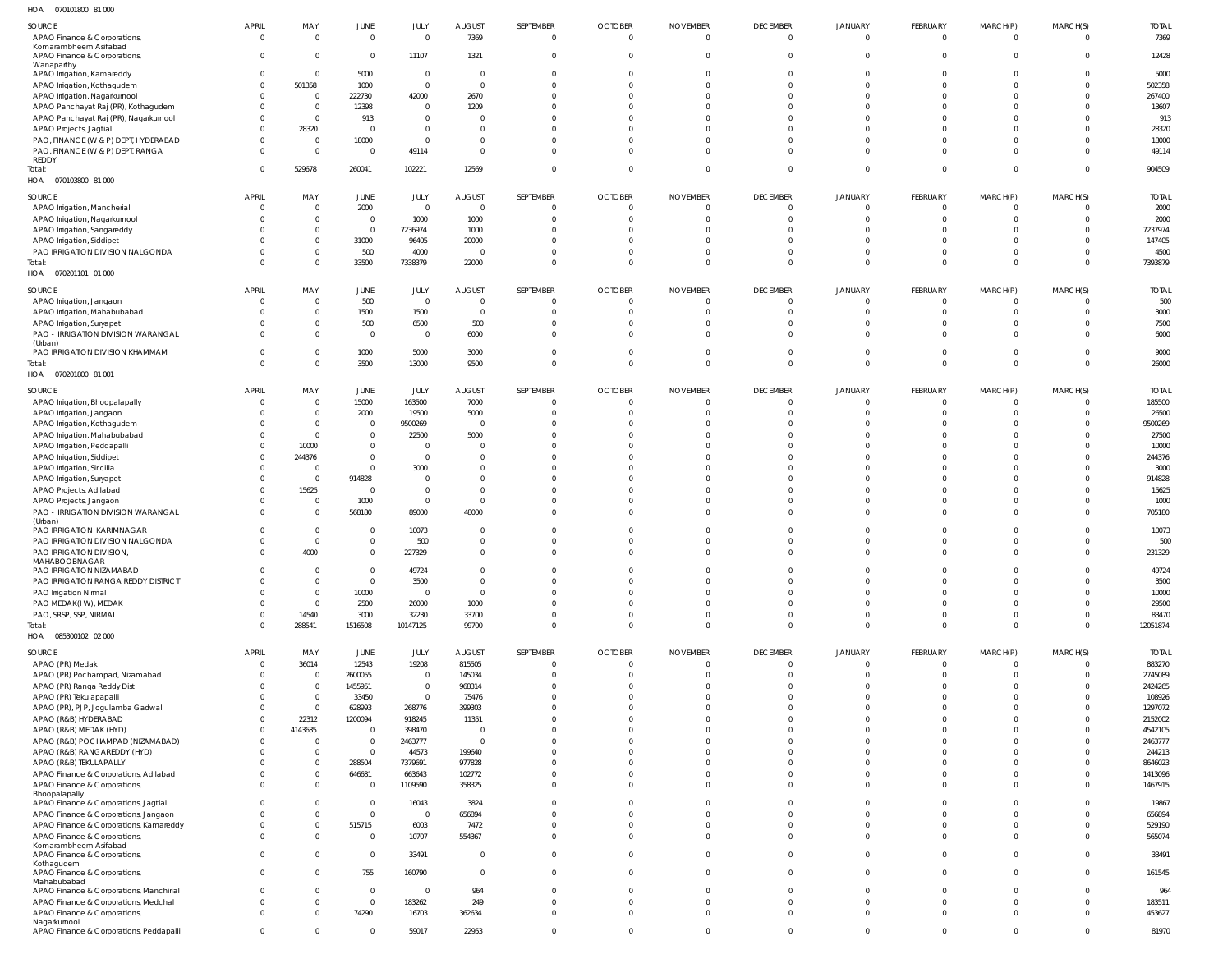070101800 81 000 HOA

| 107<br><b>UIUIUUU UIUUU</b>                             |                          |                                  |                        |                  |                         |           |                        |                            |                             |                      |                      |                         |          |                  |
|---------------------------------------------------------|--------------------------|----------------------------------|------------------------|------------------|-------------------------|-----------|------------------------|----------------------------|-----------------------------|----------------------|----------------------|-------------------------|----------|------------------|
| SOURCE                                                  | <b>APRIL</b>             | MAY                              | JUNE                   | JULY             | <b>AUGUST</b>           | SEPTEMBER | <b>OCTOBER</b>         | <b>NOVEMBER</b>            | <b>DECEMBER</b>             | <b>JANUARY</b>       | FEBRUARY             | MARCH(P)                | MARCH(S) | <b>TOTAL</b>     |
| APAO Finance & Corporations,                            | $\mathbf{0}$             | $\mathbf{0}$                     | $\overline{0}$         | $\Omega$         | 7369                    | $\Omega$  | $\overline{0}$         | $\overline{0}$             | $\Omega$                    | $\Omega$             | $\Omega$             | $\mathbf 0$             | $\Omega$ | 7369             |
| Komarambheem Asifabad                                   |                          |                                  |                        |                  |                         |           |                        |                            |                             |                      |                      |                         |          |                  |
| APAO Finance & Corporations,<br>Wanaparthy              | $\Omega$                 | $\overline{0}$                   | $\overline{0}$         | 11107            | 1321                    | $\Omega$  | $\overline{0}$         | $\overline{0}$             | $\Omega$                    | $^{\circ}$           | $\Omega$             | $\Omega$                | $\Omega$ | 12428            |
| APAO Irrigation, Kamareddy                              | $\Omega$                 | $\overline{0}$                   | 5000                   | $\overline{0}$   | $\overline{\mathbf{0}}$ | - 0       | $\overline{0}$         | $\Omega$                   | $\Omega$                    | $\Omega$             | $\cap$               | $\Omega$                | $\Omega$ | 5000             |
| APAO Irrigation, Kothagudem                             | $\Omega$                 | 501358                           | 1000                   | $\overline{0}$   | $\overline{0}$          |           | $\Omega$               | $\Omega$                   | $\Omega$                    |                      |                      |                         |          | 502358           |
| APAO Irrigation, Nagarkurnool                           |                          | $\overline{0}$                   | 222730                 | 42000            | 2670                    |           | $\Omega$               | $\Omega$                   | $\Omega$                    |                      |                      |                         |          | 267400           |
| APAO Panchayat Raj (PR), Kothagudem                     |                          | $\mathbf{0}$                     | 12398                  | $\overline{0}$   | 1209                    |           | $\Omega$               | $\Omega$                   | $\Omega$                    |                      |                      |                         |          | 13607            |
| APAO Panchayat Raj (PR), Nagarkurnool                   |                          | $\overline{0}$                   | 913                    | $\overline{0}$   | $\Omega$                |           | $\Omega$               | $\Omega$                   | $\cap$                      |                      |                      |                         |          | 913              |
| APAO Projects, Jagtial                                  |                          | 28320                            | $\overline{0}$         | $\overline{0}$   | $\Omega$                |           | $\Omega$               | $\Omega$                   | $\Omega$                    | $\Omega$             |                      |                         |          | 28320            |
| PAO, FINANCE (W & P) DEPT, HYDERABAD                    |                          | $\overline{0}$                   | 18000                  | $\Omega$         | $\Omega$                |           | $\Omega$               | $\Omega$                   | $\cap$                      | $\Omega$             |                      |                         |          | 18000            |
| PAO, FINANCE (W & P) DEPT, RANGA                        | $\Omega$                 | $\overline{0}$                   | $\overline{0}$         | 49114            | $\Omega$                |           | $\Omega$               | $\Omega$                   | $\Omega$                    | $\Omega$             |                      | $\Omega$                | $\Omega$ | 49114            |
| REDDY<br>Total:                                         | $\Omega$                 | 529678                           | 260041                 | 102221           | 12569                   | $\Omega$  | $\overline{0}$         | $\mathbf{0}$               | $\Omega$                    | $\Omega$             | $\Omega$             | $\mathbf 0$             | $\Omega$ | 904509           |
| HOA<br>070103800 81 000                                 |                          |                                  |                        |                  |                         |           |                        |                            |                             |                      |                      |                         |          |                  |
|                                                         |                          |                                  |                        |                  |                         |           |                        |                            |                             |                      |                      |                         |          |                  |
| SOURCE                                                  | <b>APRIL</b>             | MAY                              | JUNE                   | JULY             | <b>AUGUST</b>           | SEPTEMBER | <b>OCTOBER</b>         | <b>NOVEMBER</b>            | <b>DECEMBER</b>             | JANUARY              | FEBRUARY             | MARCH(P)                | MARCH(S) | <b>TOTAL</b>     |
| APAO Irrigation, Mancherial                             | $\mathbf{0}$             | $\overline{0}$                   | 2000                   | $\Omega$         | $\overline{0}$          |           | $\overline{0}$         | $\overline{0}$             | $\Omega$                    | $\mathbf{0}$         | $\Omega$             | $\mathbf 0$             |          | 2000             |
| APAO Irrigation, Nagarkurnool                           | $\Omega$                 | $\overline{0}$                   | $\overline{0}$         | 1000             | 1000                    |           | - 0                    | $\Omega$                   | $\Omega$                    | $\Omega$             | $\Omega$             | $\Omega$                |          | 2000             |
| APAO Irrigation, Sangareddy                             |                          | $\mathbf{0}$                     | $\overline{0}$         | 7236974          | 1000                    |           | $\Omega$               | $\Omega$                   | $\Omega$                    | $\Omega$             | $\cap$               |                         |          | 7237974          |
| APAO Irrigation, Siddipet                               |                          | $\mathbf{0}$                     | 31000                  | 96405            | 20000                   |           | $\Omega$               | $\Omega$                   | $\Omega$                    | $\Omega$             |                      | 0                       |          | 147405           |
| PAO IRRIGATION DIVISION NALGONDA                        | $\Omega$                 | $\overline{0}$<br>$\mathbf{0}$   | 500                    | 4000             | $\overline{0}$          | $\Omega$  | $\Omega$<br>$\Omega$   | $\Omega$<br>$\mathbf{0}$   | $\Omega$<br>$\Omega$        | $\Omega$<br>$\Omega$ | $\Omega$<br>$\Omega$ | $\Omega$<br>$\Omega$    | $\Omega$ | 4500<br>7393879  |
| Total:<br>HOA<br>070201101 01 000                       |                          |                                  | 33500                  | 7338379          | 22000                   |           |                        |                            |                             |                      |                      |                         |          |                  |
|                                                         |                          |                                  |                        |                  |                         |           |                        |                            |                             |                      |                      |                         |          |                  |
| SOURCE                                                  | <b>APRIL</b>             | MAY                              | JUNE                   | JULY             | <b>AUGUST</b>           | SEPTEMBER | <b>OCTOBER</b>         | <b>NOVEMBER</b>            | <b>DECEMBER</b>             | <b>JANUARY</b>       | FEBRUARY             | MARCH(P)                | MARCH(S) | <b>TOTAL</b>     |
| APAO Irrigation, Jangaon                                | 0                        | $\overline{0}$                   | 500                    | $\Omega$         | $\overline{0}$          |           | $\overline{0}$         | $\overline{0}$             | - 0                         | $\Omega$             | - 0                  | $\Omega$                |          | 500              |
| APAO Irrigation, Mahabubabad                            |                          | $\mathbf{0}$                     | 1500                   | 1500             | $\overline{0}$          | - 0       | $\overline{0}$         | $\overline{0}$             | $\Omega$                    | $\Omega$             | $\Omega$             | $\Omega$                | $\Omega$ | 3000             |
| APAO Irrigation, Suryapet                               |                          | $\overline{0}$                   | 500                    | 6500             | 500                     |           | $\Omega$               | $\Omega$                   | $\Omega$                    | $\Omega$             |                      | $\Omega$                |          | 7500             |
| PAO - IRRIGATION DIVISION WARANGAL                      | $\Omega$                 | $\mathbf{0}$                     | $\overline{0}$         | $\Omega$         | 6000                    | $\Omega$  | $\Omega$               | $\Omega$                   | $\Omega$                    | $\Omega$             | $\Omega$             | $\Omega$                |          | 6000             |
| (Urban)<br>PAO IRRIGATION DIVISION KHAMMAM              | $\Omega$                 | $\mathbf{0}$                     | 1000                   | 5000             | 3000                    | $\Omega$  | $\overline{0}$         | $\overline{0}$             | $\Omega$                    | $\Omega$             | - 0                  | $\mathbf 0$             | $\Omega$ | 9000             |
| Total:                                                  | $\Omega$                 | $\mathbf{0}$                     | 3500                   | 13000            | 9500                    | $\Omega$  | $\overline{0}$         | $\mathbf{0}$               | $\Omega$                    | $\mathbf{0}$         | $\Omega$             | $\Omega$                | $\Omega$ | 26000            |
| HOA  070201800  81 001                                  |                          |                                  |                        |                  |                         |           |                        |                            |                             |                      |                      |                         |          |                  |
|                                                         |                          |                                  |                        |                  |                         |           |                        |                            |                             |                      |                      |                         |          |                  |
| SOURCE                                                  | <b>APRIL</b>             | MAY                              | JUNE                   | JULY             | <b>AUGUST</b>           | SEPTEMBER | <b>OCTOBER</b>         | <b>NOVEMBER</b>            | <b>DECEMBER</b><br>$\Omega$ | JANUARY<br>$\Omega$  | FEBRUARY<br>$\Omega$ | MARCH(P)                | MARCH(S) | <b>TOTAL</b>     |
| APAO Irrigation, Bhoopalapally                          | $\mathbf{0}$<br>$\Omega$ | $\overline{0}$<br>$\overline{0}$ | 15000                  | 163500           | 7000                    |           | $\circ$                | $\overline{0}$<br>$\Omega$ | $\Omega$                    | $\Omega$             | $\Omega$             | $\mathbf 0$<br>$\Omega$ |          | 185500           |
| APAO Irrigation, Jangaon<br>APAO Irrigation, Kothagudem | $\Omega$                 | $\mathbf{0}$                     | 2000<br>$\overline{0}$ | 19500<br>9500269 | 5000<br>$\overline{0}$  |           | $^{\circ}$<br>$\Omega$ | $\Omega$                   | $\Omega$                    |                      | $\Omega$             |                         |          | 26500<br>9500269 |
| APAO Irrigation, Mahabubabad                            | $\Omega$                 | $\mathbf{0}$                     | $\overline{0}$         | 22500            | 5000                    |           | $\Omega$               | $\Omega$                   | $\Omega$                    |                      |                      |                         |          | 27500            |
| APAO Irrigation, Peddapalli                             | $\Omega$                 | 10000                            | $\overline{0}$         | $\Omega$         | $\mathbf{0}$            |           | $\Omega$               | $\Omega$                   | $\Omega$                    | $\cap$               |                      |                         |          | 10000            |
| APAO Irrigation, Siddipet                               | $\Omega$                 | 244376                           | $\overline{0}$         | $\overline{0}$   | $\Omega$                |           | $\Omega$               | $\Omega$                   | $\Omega$                    | $\Omega$             |                      |                         |          | 244376           |
| APAO Irrigation, Siricilla                              | $\Omega$                 | $\overline{0}$                   | $\overline{0}$         | 3000             | $\Omega$                |           | $\Omega$               | $\Omega$                   | $\Omega$                    | $\Omega$             |                      |                         |          | 3000             |
| APAO Irrigation, Suryapet                               |                          | $\mathbf{0}$                     | 914828                 | $\Omega$         | $\Omega$                |           | $\Omega$               | $\Omega$                   | $\Omega$                    |                      |                      |                         |          | 914828           |
| APAO Projects, Adilabad                                 | $\Omega$                 | 15625                            | $\overline{0}$         | $\overline{0}$   | $\Omega$                |           | $\Omega$               | $\Omega$                   | $\Omega$                    | $\Omega$             |                      |                         |          | 15625            |
| APAO Projects, Jangaon                                  |                          | $\overline{0}$                   | 1000                   | $\overline{0}$   | $\overline{0}$          |           | $\Omega$               | $\Omega$                   | $\Omega$                    | $\Omega$             |                      | $\Omega$                |          | 1000             |
| PAO - IRRIGATION DIVISION WARANGAL                      | $\Omega$                 | $\overline{0}$                   | 568180                 | 89000            | 48000                   |           | $\Omega$               | $\Omega$                   | $\Omega$                    | $\Omega$             | $\Omega$             | $\Omega$                |          | 705180           |
| (Urban)                                                 |                          |                                  |                        |                  |                         |           |                        |                            |                             |                      |                      |                         |          |                  |
| PAO IRRIGATION KARIMNAGAR                               | $\Omega$                 | $\overline{0}$                   | $\mathbf{0}$           | 10073            | $\mathbf{0}$            |           | $\Omega$               | $\Omega$                   | $\Omega$                    | $\Omega$             | $\Omega$             | $\Omega$                |          | 10073            |
| PAO IRRIGATION DIVISION NALGONDA                        | $\Omega$                 | $\overline{0}$                   | $\mathbf{0}$           | 500              | $\Omega$                |           | $\Omega$               | $\Omega$                   | $\Omega$                    | $\Omega$             | $\Omega$             | $\Omega$                |          | 500              |
| PAO IRRIGATION DIVISION,<br>MAHABOOBNAGAR               | $\Omega$                 | 4000                             | $\mathbf 0$            | 227329           | $\Omega$                |           | $\Omega$               | $\Omega$                   | $\Omega$                    | $\Omega$             | $\Omega$             | $\Omega$                |          | 231329           |
| PAO IRRIGATION NIZAMABAD                                | $\Omega$                 | $\overline{0}$                   | $\mathbf 0$            | 49724            | $\Omega$                |           | $\Omega$               | $\Omega$                   | $\Omega$                    | $\Omega$             | $\Omega$             | 0                       |          | 49724            |
| PAO IRRIGATION RANGA REDDY DISTRICT                     | $\Omega$                 | $\overline{0}$                   | $\overline{0}$         | 3500             | $\mathbf 0$             | $\Omega$  | $\overline{0}$         | $\overline{0}$             | $\overline{0}$              | $\Omega$             | $\Omega$             | $\mathbf 0$             |          | 3500             |
| PAO Irrigation Nirmal                                   | $\Omega$                 | $\overline{0}$                   | 10000                  | $\Omega$         | $\overline{0}$          |           | $\Omega$               | $\overline{0}$             | $\Omega$                    | $\Omega$             | $\Omega$             | $\Omega$                |          | 10000            |
| PAO MEDAK(IW), MEDAK                                    | $\Omega$                 | $\mathbf{0}$                     | 2500                   | 26000            | 1000                    |           | $\Omega$               | $\overline{0}$             | $\Omega$                    | $\Omega$             | $\Omega$             | $\Omega$                |          | 29500            |
| PAO, SRSP, SSP, NIRMAL                                  | $\Omega$                 | 14540                            | 3000                   | 32230            | 33700                   |           | $\overline{0}$         | $\overline{0}$             | $\Omega$                    | $\Omega$             | $\Omega$             | $\mathbf 0$             |          | 83470            |
| Total:                                                  | $\Omega$                 | 288541                           | 1516508                | 10147125         | 99700                   | $\Omega$  | $\Omega$               | $\overline{0}$             | $\Omega$                    | $\overline{0}$       | $\Omega$             | $\mathbf 0$             | $\Omega$ | 12051874         |
| HOA  085300102  02  000                                 |                          |                                  |                        |                  |                         |           |                        |                            |                             |                      |                      |                         |          |                  |
| SOURCE                                                  | APRIL                    | MAY                              | JUNE                   | JULY             | <b>AUGUST</b>           | SEPTEMBER | <b>OCTOBER</b>         | <b>NOVEMBER</b>            | <b>DECEMBER</b>             | JANUARY              | FEBRUARY             | MARCH(P)                | MARCH(S) | <b>TOTAL</b>     |
| APAO (PR) Medak                                         | $\Omega$                 | 36014                            | 12543                  | 19208            | 815505                  | - 0       | $\overline{0}$         | $\overline{0}$             | $\Omega$                    | $\Omega$             | $\Omega$             | $\mathbf 0$             | $\Omega$ | 883270           |
| APAO (PR) Pochampad, Nizamabad                          | $\Omega$                 | $\overline{0}$                   | 2600055                | $\Omega$         | 145034                  | $\Omega$  | $\overline{0}$         | $\overline{0}$             | $\Omega$                    | $\Omega$             | $\Omega$             | $\mathbf 0$             | $\Omega$ | 2745089          |
| APAO (PR) Ranga Reddy Dist                              |                          | $\overline{0}$                   | 1455951                | $\overline{0}$   | 968314                  | $\Omega$  | $\Omega$               | $\overline{0}$             | $\Omega$                    | $\Omega$             | $\Omega$             | $\Omega$                |          | 2424265          |
| APAO (PR) Tekulapapalli                                 |                          | $\mathbf{0}$                     | 33450                  | $\Omega$         | 75476                   | $\Omega$  | $\Omega$               | $\Omega$                   | $\Omega$                    | $\Omega$             | $\cap$               | $\Omega$                |          | 108926           |
| APAO (PR), PJP, Jogulamba Gadwal                        |                          | $\overline{0}$                   | 628993                 | 268776           | 399303                  |           | $\Omega$               | $\Omega$                   | $\Omega$                    | $\Omega$             | $\Omega$             | $\Omega$                |          | 1297072          |
| APAO (R&B) HYDERABAD                                    | $\Omega$                 | 22312                            | 1200094                | 918245           | 11351                   |           | $\Omega$               | $\Omega$                   | $\Omega$                    | $\Omega$             |                      | $\Omega$                |          | 2152002          |
| APAO (R&B) MEDAK (HYD)                                  | $\Omega$                 | 4143635                          | $\overline{0}$         | 398470           | $\overline{0}$          |           | $\Omega$               | $\Omega$                   | $\Omega$                    | $\Omega$             | $\cap$               | $\Omega$                |          | 4542105          |
| APAO (R&B) POCHAMPAD (NIZAMABAD)                        | $\Omega$                 | $\overline{0}$                   | $\overline{0}$         | 2463777          | $\overline{0}$          | $\Omega$  | $\Omega$               | $\Omega$                   | $\Omega$                    | $\Omega$             | $\Omega$             | $\Omega$                |          | 2463777          |
| APAO (R&B) RANGAREDDY (HYD)                             |                          | $\overline{0}$                   | $\Omega$               | 44573            | 199640                  |           | $\Omega$               | $\Omega$                   | $\Omega$                    | $\Omega$             |                      | $\Omega$                |          | 244213           |
| APAO (R&B) TEKULAPALLY                                  |                          | $\overline{0}$                   | 288504                 | 7379691          | 977828                  | $\Omega$  | $\Omega$               | $\Omega$                   | $\Omega$                    | $\Omega$             | $\Omega$             | $\Omega$                |          | 8646023          |
| APAO Finance & Corporations, Adilabad                   |                          | $\mathbf{0}$                     | 646681                 | 663643           | 102772                  | $\Omega$  | $\Omega$               | $\overline{0}$             | $\Omega$                    | $\Omega$             | $\Omega$             | $\Omega$                |          | 1413096          |
| APAO Finance & Corporations,                            | $\Omega$                 | $\overline{0}$                   | - 0                    | 1109590          | 358325                  | $\Omega$  | $\Omega$               | $\overline{0}$             | $\Omega$                    | $\Omega$             | $\Omega$             | $\Omega$                | $\Omega$ | 1467915          |
| Bhoopalapally<br>APAO Finance & Corporations, Jagtial   |                          | $\overline{0}$                   | $\overline{0}$         | 16043            | 3824                    | $\Omega$  | $\Omega$               | $\Omega$                   | $\Omega$                    | $\Omega$             |                      | $\Omega$                |          | 19867            |
| APAO Finance & Corporations, Jangaon                    | $\Omega$                 | $\mathbf{0}$                     | $\mathbf{0}$           | $\Omega$         | 656894                  | $\Omega$  | $\Omega$               | $\Omega$                   | $\Omega$                    | $\Omega$             | $\Omega$             | $\Omega$                | $\Omega$ | 656894           |
| APAO Finance & Corporations, Kamareddy                  |                          | $\overline{0}$                   | 515715                 | 6003             | 7472                    | $\Omega$  | $\Omega$               | $\overline{0}$             | $\Omega$                    | $\Omega$             | $\Omega$             | $\Omega$                |          | 529190           |
| APAO Finance & Corporations,                            | $\Omega$                 | $\overline{0}$                   | $\mathbf{0}$           | 10707            | 554367                  | $\Omega$  | $\Omega$               | $\overline{0}$             | $\Omega$                    | $\Omega$             | $\Omega$             | $\Omega$                | $\Omega$ | 565074           |
| Komarambheem Asifabad                                   |                          |                                  |                        |                  |                         |           |                        |                            |                             |                      |                      |                         |          |                  |
| APAO Finance & Corporations,                            | $\Omega$                 | $\Omega$                         | $\overline{0}$         | 33491            | $\overline{0}$          | $\Omega$  | $\Omega$               | $\Omega$                   | $\Omega$                    | $\Omega$             | $\Omega$             | $\mathbf 0$             |          | 33491            |
| Kothagudem<br>APAO Finance & Corporations,              | $\Omega$                 | $\Omega$                         | 755                    | 160790           | $\overline{0}$          | $\Omega$  | $\Omega$               | $\Omega$                   | $\Omega$                    | $\Omega$             | $\Omega$             | $\Omega$                | $\Omega$ | 161545           |
| Mahabubabad                                             |                          |                                  |                        |                  |                         |           |                        |                            |                             |                      |                      |                         |          |                  |
| APAO Finance & Corporations, Manchirial                 | $\Omega$                 | $\Omega$                         | $\overline{0}$         | $\Omega$         | 964                     |           | $\Omega$               | $\Omega$                   | $\Omega$                    | $\Omega$             | $\Omega$             | $\mathbf 0$             |          | 964              |
| APAO Finance & Corporations, Medchal                    | $\Omega$                 | $\Omega$                         | $\overline{0}$         | 183262           | 249                     | $\Omega$  | $\Omega$               | $\Omega$                   | $\Omega$                    | $\Omega$             | $\Omega$             | $\Omega$                |          | 183511           |
| APAO Finance & Corporations,                            | $\Omega$                 | $\Omega$                         | 74290                  | 16703            | 362634                  | $\Omega$  | $\Omega$               | $\Omega$                   | $\overline{0}$              | $\Omega$             | $\Omega$             | $\mathbf 0$             | $\Omega$ | 453627           |
| Nagarkurnool<br>APAO Finance & Corporations, Peddapalli | $\Omega$                 | $\overline{0}$                   | 0                      | 59017            | 22953                   | $\Omega$  | $\overline{0}$         | $\overline{0}$             | $\Omega$                    | $\Omega$             | $\Omega$             | $\Omega$                |          | 81970            |
|                                                         |                          |                                  |                        |                  |                         |           |                        |                            |                             |                      |                      |                         |          |                  |
|                                                         |                          |                                  |                        |                  |                         |           |                        |                            |                             |                      |                      |                         |          |                  |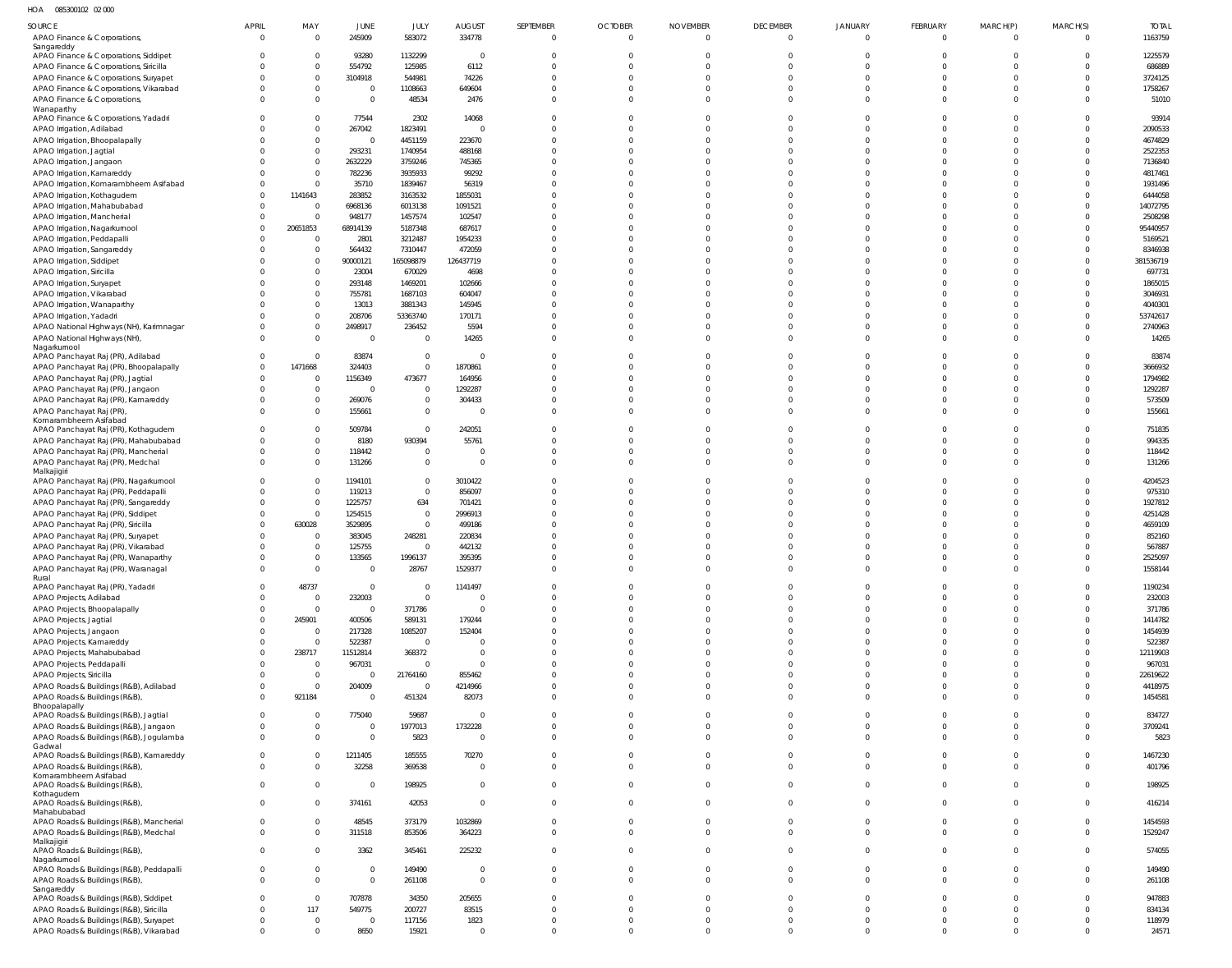HOA 085300102 02 000

| SOURCE                                                     | APRIL    | MAY                        | JUNE                     | JULY               | <b>AUGUST</b>    | SEPTEMBER               | <b>OCTOBER</b>             | <b>NOVEMBER</b>            | <b>DECEMBER</b>      | JANUARY              | <b>FEBRUARY</b> | MARCH(P)             | MARCH(S)             | <b>TOTAL</b>       |
|------------------------------------------------------------|----------|----------------------------|--------------------------|--------------------|------------------|-------------------------|----------------------------|----------------------------|----------------------|----------------------|-----------------|----------------------|----------------------|--------------------|
| APAO Finance & Corporations,                               | $\Omega$ | $\Omega$                   | 245909                   | 583072             | 334778           | $\mathbf 0$             | $\overline{0}$             | $\overline{0}$             | $\overline{0}$       | $\mathbf 0$          | $\mathbf 0$     | $\Omega$             | $\overline{0}$       | 1163759            |
| Sangareddy<br>APAO Finance & Corporations, Siddipet        |          | $\Omega$                   | 93280                    | 1132299            | $\overline{0}$   | $\Omega$                | $\Omega$                   | $\Omega$                   | $\Omega$             | 0                    | <sup>0</sup>    | $\Omega$             | $\Omega$             | 1225579            |
| APAO Finance & Corporations, Siricilla                     |          | $\Omega$                   | 554792                   | 125985             | 6112             | $\Omega$                | $\Omega$                   |                            | $\Omega$             |                      |                 | $\Omega$             | $\Omega$             | 686889             |
| APAO Finance & Corporations, Suryapet                      |          | $\overline{0}$             | 3104918                  | 544981             | 74226            | $\Omega$                | $\Omega$                   | $\Omega$                   | $\Omega$             |                      |                 | $\Omega$             | $\overline{0}$       | 3724125            |
| APAO Finance & Corporations, Vikarabad                     |          | $\overline{0}$             | 0                        | 1108663            | 649604           | $\Omega$                | $\Omega$                   | $\Omega$                   | $\Omega$             | U                    |                 | $\Omega$             | $\Omega$             | 1758267            |
| APAO Finance & Corporations,                               |          | $\Omega$                   | $\pmb{0}$                | 48534              | 2476             | $\Omega$                | $\Omega$                   | $\Omega$                   | $\Omega$             | $\Omega$             | $\Omega$        | $\Omega$             | $\Omega$             | 51010              |
| Wanaparthy                                                 |          |                            |                          |                    |                  |                         |                            |                            |                      |                      |                 |                      |                      |                    |
| APAO Finance & Corporations, Yadadri                       |          | $\Omega$                   | 77544                    | 2302               | 14068            | $\Omega$                | $\Omega$                   | $\Omega$                   | $\Omega$             |                      |                 | $\Omega$             | $\overline{0}$       | 93914              |
| APAO Irrigation, Adilabad                                  |          | $\Omega$                   | 267042                   | 1823491            | $\overline{0}$   | $\Omega$<br>$\Omega$    | $\Omega$<br>$\Omega$       | $\Omega$<br>$\Omega$       | $\Omega$<br>$\Omega$ |                      |                 | $\Omega$<br>$\Omega$ | $\Omega$<br>$\Omega$ | 2090533            |
| APAO Irrigation, Bhoopalapally<br>APAO Irrigation, Jagtial |          | $\overline{0}$<br>$\Omega$ | $\overline{0}$<br>293231 | 4451159<br>1740954 | 223670<br>488168 | $\Omega$                | $\Omega$                   | $\Omega$                   | $\Omega$             |                      |                 | $\Omega$             | $\Omega$             | 4674829<br>2522353 |
| APAO Irrigation, Jangaon                                   |          | $\overline{0}$             | 2632229                  | 3759246            | 745365           |                         | $\Omega$                   | $\Omega$                   | $\Omega$             |                      |                 | $\Omega$             | $\Omega$             | 7136840            |
| APAO Irrigation, Kamareddy                                 |          | $\Omega$                   | 782236                   | 3935933            | 99292            | $\Omega$                | $\Omega$                   |                            | $\Omega$             |                      |                 | $\Omega$             | $\Omega$             | 4817461            |
| APAO Irrigation, Komarambheem Asifabad                     |          | $\Omega$                   | 35710                    | 1839467            | 56319            |                         | $\Omega$                   | $\Omega$                   | $\Omega$             |                      |                 | $\Omega$             | $\Omega$             | 1931496            |
| APAO Irrigation, Kothagudem                                |          | 1141643                    | 283852                   | 3163532            | 1855031          | $\Omega$                | $\Omega$                   | $\Omega$                   | $\Omega$             |                      |                 | $\Omega$             | $\Omega$             | 6444058            |
| APAO Irrigation, Mahabubabad                               |          | $\Omega$                   | 6968136                  | 6013138            | 1091521          |                         | $\Omega$                   |                            | $\Omega$             |                      |                 | $\Omega$             | $\Omega$             | 14072795           |
| APAO Irrigation, Mancherial                                |          | $\Omega$                   | 948177                   | 1457574            | 102547           |                         | $\Omega$                   |                            | $\Omega$             |                      |                 | $\Omega$             | $\Omega$             | 2508298            |
| APAO Irrigation, Nagarkurnool                              | $\Omega$ | 20651853                   | 68914139                 | 5187348            | 687617           |                         | $\Omega$                   | $\cap$                     | $\Omega$             |                      |                 | $\Omega$             | $\Omega$             | 95440957           |
| APAO Irrigation, Peddapalli                                |          | $\overline{0}$             | 2801                     | 3212487            | 1954233          | $\Omega$                | $\Omega$                   | $\Omega$                   | $\Omega$             |                      |                 | $\Omega$             | $\Omega$             | 5169521            |
| APAO Irrigation, Sangareddy                                |          | $\Omega$                   | 564432                   | 7310447            | 472059           |                         | $\Omega$                   | $\Omega$                   | $\Omega$             |                      |                 | $\Omega$             | $\Omega$             | 8346938            |
| APAO Irrigation, Siddipet                                  |          | $\overline{0}$             | 90000121                 | 165098879          | 126437719        |                         | $\Omega$                   |                            | $\Omega$             |                      |                 | $\Omega$             | $\Omega$             | 381536719          |
| APAO Irrigation, Siricilla                                 |          | $\overline{0}$<br>$\Omega$ | 23004                    | 670029             | 4698             | $\Omega$                | $\Omega$<br>$\Omega$       | $\Omega$<br>$\Omega$       | $\Omega$<br>$\Omega$ |                      |                 | $\Omega$<br>$\Omega$ | $\Omega$<br>$\Omega$ | 697731             |
| APAO Irrigation, Suryapet                                  |          | $\Omega$                   | 293148<br>755781         | 1469201<br>1687103 | 102666<br>604047 |                         | $\Omega$                   |                            | $\Omega$             |                      |                 | $\Omega$             | $\Omega$             | 1865015<br>3046931 |
| APAO Irrigation, Vikarabad<br>APAO Irrigation, Wanaparthy  |          | $\Omega$                   | 13013                    | 3881343            | 145945           |                         | $\Omega$                   |                            | $\Omega$             |                      |                 | $\Omega$             | $\Omega$             | 4040301            |
| APAO Irrigation, Yadadri                                   |          | $\overline{0}$             | 208706                   | 53363740           | 170171           |                         | $\Omega$                   | $\Omega$                   | $\Omega$             |                      |                 | $\Omega$             | $\Omega$             | 53742617           |
| APAO National Highways (NH), Karimnagar                    |          | $\overline{0}$             | 2498917                  | 236452             | 5594             | $\Omega$                | $\Omega$                   | $\Omega$                   | $\Omega$             |                      |                 | $\Omega$             | $\Omega$             | 2740963            |
| APAO National Highways (NH)                                |          | $\Omega$                   | $\overline{0}$           | $\mathbf 0$        | 14265            |                         | $\Omega$                   | $\Omega$                   | $\Omega$             | $\Omega$             |                 | $\Omega$             | $\Omega$             | 14265              |
| Nagarkurnool                                               |          |                            |                          |                    |                  |                         |                            |                            |                      |                      |                 |                      |                      |                    |
| APAO Panchayat Raj (PR), Adilabad                          | $\Omega$ | $\Omega$                   | 83874                    | $\overline{0}$     | $\overline{0}$   | $\Omega$                | $\Omega$                   | $\Omega$                   | $\Omega$             |                      |                 | $\Omega$             | $\Omega$             | 83874              |
| APAO Panchayat Raj (PR), Bhoopalapally                     | $\Omega$ | 1471668                    | 324403                   | $\overline{0}$     | 1870861          |                         | $\Omega$                   | $\Omega$                   | $\Omega$             |                      |                 | $\Omega$             | $\Omega$             | 3666932            |
| APAO Panchayat Raj (PR), Jagtial                           |          | $\Omega$                   | 1156349                  | 473677             | 164956           |                         | $\Omega$                   | $\Omega$                   | $\Omega$             |                      |                 | $\Omega$             | $\Omega$             | 1794982            |
| APAO Panchayat Raj (PR), Jangaon                           |          | $\overline{0}$             | $\overline{0}$           | $\mathbf 0$        | 1292287          |                         | $\Omega$                   | $\Omega$                   | $\Omega$             |                      |                 | $\Omega$             | $\Omega$             | 1292287            |
| APAO Panchayat Raj (PR), Kamareddy                         |          | $\overline{0}$             | 269076                   | $\mathbf 0$        | 304433           | $\Omega$                | $\Omega$<br>$\Omega$       | $\Omega$                   | $\Omega$             |                      |                 | $\Omega$             | $\Omega$             | 573509             |
| APAO Panchayat Raj (PR),<br>Komarambheem Asifabad          |          | $\Omega$                   | 155661                   | $\overline{0}$     | $\Omega$         |                         |                            | $\Omega$                   | $\Omega$             | $\Omega$             |                 | $\Omega$             | $\Omega$             | 155661             |
| APAO Panchayat Raj (PR), Kothagudem                        |          | $\Omega$                   | 509784                   | $\mathbf 0$        | 242051           | $\Omega$                | $\Omega$                   | $\Omega$                   | $\Omega$             |                      |                 | $\Omega$             | $\Omega$             | 751835             |
| APAO Panchayat Raj (PR), Mahabubabad                       |          | $\overline{0}$             | 8180                     | 930394             | 55761            |                         | $\Omega$                   | $\Omega$                   | $\Omega$             |                      |                 | $\Omega$             | $\Omega$             | 994335             |
| APAO Panchayat Raj (PR), Mancherial                        |          | $\mathbf{0}$               | 118442                   | $\mathbf 0$        | $\circ$          | $\Omega$                | $\Omega$                   | $\Omega$                   | $\Omega$             | $\Omega$             | $\Omega$        | $\Omega$             | $\overline{0}$       | 118442             |
| APAO Panchayat Raj (PR), Medchal                           |          | $\Omega$                   | 131266                   | $\overline{0}$     | $\mathbf 0$      | $\Omega$                | $\Omega$                   | $\Omega$                   | $\Omega$             | $\Omega$             |                 | $\Omega$             | $\Omega$             | 131266             |
| Malkajigiri<br>APAO Panchayat Raj (PR), Nagarkurnool       |          | $\Omega$                   | 1194101                  | $\mathbf 0$        | 3010422          |                         | $\Omega$                   |                            | $\Omega$             |                      |                 |                      | $\Omega$             | 4204523            |
| APAO Panchayat Raj (PR), Peddapalli                        |          | $\Omega$                   | 119213                   | $\overline{0}$     | 856097           |                         | $\Omega$                   | $\Omega$                   | $\Omega$             |                      |                 | $\Omega$             | $\Omega$             | 975310             |
| APAO Panchayat Raj (PR), Sangareddy                        |          | $\overline{0}$             | 1225757                  | 634                | 701421           | $\Omega$                | $\Omega$                   | $\Omega$                   | $\Omega$             |                      |                 | $\Omega$             | $\Omega$             | 1927812            |
| APAO Panchayat Raj (PR), Siddipet                          |          | $\overline{0}$             | 1254515                  | $\mathbf 0$        | 2996913          |                         | $\Omega$                   |                            | $\Omega$             |                      |                 | $\Omega$             | $\Omega$             | 4251428            |
| APAO Panchayat Raj (PR), Siricilla                         |          | 630028                     | 3529895                  | $\overline{0}$     | 499186           |                         | $\Omega$                   |                            |                      |                      |                 |                      | $\Omega$             | 4659109            |
| APAO Panchayat Raj (PR), Suryapet                          |          | $\overline{0}$             | 383045                   | 248281             | 220834           |                         | $\Omega$                   |                            | $\Omega$             |                      |                 |                      |                      | 852160             |
| APAO Panchayat Raj (PR), Vikarabad                         |          | $\overline{0}$             | 125755                   | $\mathbf 0$        | 442132           |                         | $\Omega$                   |                            |                      |                      |                 |                      | $\Omega$             | 567887             |
| APAO Panchayat Raj (PR), Wanaparthy                        |          | $\Omega$                   | 133565                   | 1996137            | 395395           |                         |                            |                            |                      |                      |                 |                      | $\Omega$             | 2525097            |
| APAO Panchayat Raj (PR), Waranagal                         | $\Omega$ | $\mathbf 0$                | $\mathbf 0$              | 28767              | 1529377          | $\Omega$                | $\mathbf{0}$               | $\Omega$                   | $\Omega$             | $\Omega$             | $\Omega$        | $\Omega$             | $\overline{0}$       | 1558144            |
| Rural<br>APAO Panchayat Raj (PR), Yadadri                  | $\Omega$ | 48737                      | $\overline{0}$           | $\overline{0}$     | 1141497          | $\Omega$                | $\mathbf{0}$               | $\Omega$                   | $\Omega$             | $\Omega$             | 0               | $\mathbf 0$          | $\Omega$             | 1190234            |
| APAO Projects, Adilabad                                    | $\Omega$ | $\Omega$                   | 232003                   | $\mathbf 0$        | $\overline{0}$   | $\Omega$                | $\Omega$                   | $\Omega$                   | $\Omega$             | $\Omega$             | $\Omega$        | $\Omega$             | $\Omega$             | 232003             |
| APAO Projects, Bhoopalapally                               | $\Omega$ | $\Omega$                   | $\mathbf 0$              | 371786             | $\overline{0}$   | $\Omega$                | $\Omega$                   | $\Omega$                   | $\Omega$             | $\Omega$             |                 | $\Omega$             | $\Omega$             | 371786             |
| APAO Projects, Jagtial                                     | $\Omega$ | 245901                     | 400506                   | 589131             | 179244           | $\Omega$                | $\Omega$                   | $\Omega$                   | $\Omega$             | $\Omega$             |                 | $\Omega$             | $\Omega$             | 1414782            |
| APAO Projects, Jangaon                                     | $\Omega$ | $\Omega$                   | 217328                   | 1085207            | 152404           | $\Omega$                | $\Omega$                   | $\Omega$                   | $\Omega$             | $\Omega$             |                 | $\Omega$             | $\Omega$             | 1454939            |
| APAO Projects, Kamareddy                                   | $\Omega$ | $\Omega$                   | 522387                   | $\mathbf 0$        | $\Omega$         | $\Omega$                | $\Omega$                   | $\Omega$                   | $\Omega$             | $\Omega$             |                 | $\Omega$             | $\Omega$             | 522387             |
| APAO Projects, Mahabubabad                                 | $\Omega$ | 238717                     | 11512814                 | 368372             | $\mathbf 0$      | $\Omega$                | $\Omega$                   | $\Omega$                   | $\Omega$             | $\Omega$             |                 | $\Omega$             | $\overline{0}$       | 12119903           |
| APAO Projects, Peddapalli                                  |          | $\Omega$                   | 967031                   | $\overline{0}$     | $\mathbf 0$      | $\Omega$                | $\Omega$                   | $\Omega$                   | $\Omega$             | $\Omega$             |                 | $\Omega$             | $\Omega$             | 967031             |
| APAO Projects, Siricilla                                   | $\Omega$ | $\overline{0}$             | $\mathbf 0$              | 21764160           | 855462           | $\Omega$                | $\Omega$                   | $\Omega$                   | $\Omega$             | $\Omega$             |                 | $\Omega$             | $\overline{0}$       | 22619622           |
| APAO Roads & Buildings (R&B), Adilabad                     | $\Omega$ | $\Omega$                   | 204009                   | $\overline{0}$     | 4214966          | $\Omega$                | $\Omega$                   | $\Omega$                   | $\Omega$             | $\Omega$             | $\Omega$        | $\Omega$             | $\Omega$             | 4418975            |
| APAO Roads & Buildings (R&B),                              | $\Omega$ | 921184                     | $\mathbf 0$              | 451324             | 82073            | $\Omega$                | $\Omega$                   | $\Omega$                   | $\Omega$             | $\Omega$             | $\Omega$        | $\Omega$             | $\Omega$             | 1454581            |
| Bhoopalapally<br>APAO Roads & Buildings (R&B), Jagtial     | $\Omega$ | $\Omega$                   | 775040                   | 59687              | $\overline{0}$   | $\Omega$                | $\Omega$                   | $\Omega$                   | $\Omega$             | $\Omega$             | $\Omega$        | $\Omega$             | $\Omega$             | 834727             |
| APAO Roads & Buildings (R&B), Jangaon                      | $\Omega$ | $\Omega$                   | $\mathbf 0$              | 1977013            | 1732228          | $\mathbf 0$             | $\Omega$                   | $\Omega$                   | $\Omega$             | $\Omega$             | $\Omega$        | $\mathbf{0}$         | $\overline{0}$       | 3709241            |
| APAO Roads & Buildings (R&B), Jogulamba                    | $\Omega$ | $\Omega$                   | $\mathbf 0$              | 5823               | $\overline{0}$   | $\mathbf 0$             | $\Omega$                   | $\Omega$                   | $\mathbf 0$          | $\Omega$             | $\Omega$        | $\mathbf{0}$         | $\Omega$             | 5823               |
| Gadwal                                                     |          |                            |                          |                    |                  |                         |                            |                            |                      |                      |                 |                      |                      |                    |
| APAO Roads & Buildings (R&B), Kamareddy                    | $\Omega$ | $\Omega$                   | 1211405                  | 185555             | 70270            | $\Omega$                | $\Omega$                   | $\Omega$                   | $\Omega$             | $\Omega$             | 0               | $\Omega$             | $\Omega$             | 1467230            |
| APAO Roads & Buildings (R&B)<br>Komarambheem Asifabad      | $\Omega$ | $\Omega$                   | 32258                    | 369538             | $\overline{0}$   | $\Omega$                | $\Omega$                   | $\Omega$                   | $\Omega$             | $\Omega$             | $\Omega$        | $\mathbf 0$          | $\Omega$             | 401796             |
| APAO Roads & Buildings (R&B),                              | $\Omega$ | $\Omega$                   | $\mathbf 0$              | 198925             | $\mathbf 0$      | $\Omega$                | $\Omega$                   | $\Omega$                   | $\Omega$             | $\mathbf{0}$         | $\Omega$        | $\Omega$             | $\Omega$             | 198925             |
| Kothagudem                                                 |          |                            |                          |                    |                  |                         |                            |                            |                      |                      |                 |                      |                      |                    |
| APAO Roads & Buildings (R&B),<br>Mahabubabad               | $\Omega$ | $\Omega$                   | 374161                   | 42053              | $\overline{0}$   | $\Omega$                | $\Omega$                   | $\Omega$                   | $\Omega$             | $\Omega$             | $\Omega$        | $\Omega$             | $\Omega$             | 416214             |
| APAO Roads & Buildings (R&B), Mancherial                   | $\Omega$ | $\Omega$                   | 48545                    | 373179             | 1032869          | $\Omega$                | $\overline{0}$             | $\Omega$                   | $\mathbf{0}$         | 0                    | 0               | $\Omega$             | $\overline{0}$       | 1454593            |
| APAO Roads & Buildings (R&B), Medchal                      | $\Omega$ | $\Omega$                   | 311518                   | 853506             | 364223           | $\Omega$                | $\Omega$                   | $\Omega$                   | $\Omega$             | $\Omega$             | $\Omega$        | $\Omega$             | $\Omega$             | 1529247            |
| Malkajigiri                                                |          |                            |                          |                    |                  |                         |                            |                            |                      |                      |                 |                      |                      |                    |
| APAO Roads & Buildings (R&B),                              | $\Omega$ | $\Omega$                   | 3362                     | 345461             | 225232           | $\Omega$                | $\Omega$                   | $\Omega$                   | $\Omega$             | $\Omega$             | $\Omega$        | $\Omega$             | $\Omega$             | 574055             |
| Nagarkurnool<br>APAO Roads & Buildings (R&B), Peddapalli   | $\Omega$ | $\Omega$                   | $\overline{0}$           | 149490             | $\overline{0}$   | $\Omega$                | $\Omega$                   | $\Omega$                   | $\Omega$             | $\Omega$             | 0               | $\Omega$             | $\Omega$             | 149490             |
| APAO Roads & Buildings (R&B),                              | $\Omega$ | $\Omega$                   | $\mathbf{0}$             | 261108             | $\overline{0}$   | $\Omega$                | $\Omega$                   | $\Omega$                   | $\Omega$             | $\Omega$             | $\Omega$        | $\Omega$             | $\Omega$             | 261108             |
| Sangareddy                                                 |          |                            |                          |                    |                  |                         |                            |                            |                      |                      |                 |                      |                      |                    |
| APAO Roads & Buildings (R&B), Siddipet                     | $\Omega$ | $\Omega$                   | 707878                   | 34350              | 205655           | $\Omega$                | $\Omega$                   | $\Omega$                   | $\Omega$             | $\Omega$             |                 | $\Omega$             | $\Omega$             | 947883             |
| APAO Roads & Buildings (R&B), Siricilla                    |          | 117                        | 549775                   | 200727             | 83515            | $\Omega$                | $\Omega$                   | $\Omega$                   | $\Omega$             | $\Omega$             |                 | $\Omega$             | $\Omega$             | 834134             |
| APAO Roads & Buildings (R&B), Suryapet                     | $\Omega$ | $\overline{0}$             | $\mathbf 0$              | 117156             | 1823             | $\mathbf 0$<br>$\Omega$ | $\overline{0}$<br>$\Omega$ | $\overline{0}$<br>$\Omega$ | $\Omega$<br>$\Omega$ | $\Omega$<br>$\Omega$ | 0<br>$\Omega$   | $\Omega$<br>$\Omega$ | $\Omega$<br>$\Omega$ | 118979             |
| APAO Roads & Buildings (R&B), Vikarabad                    | $\Omega$ | $\Omega$                   | 8650                     | 15921              | $\overline{0}$   |                         |                            |                            |                      |                      |                 |                      |                      | 24571              |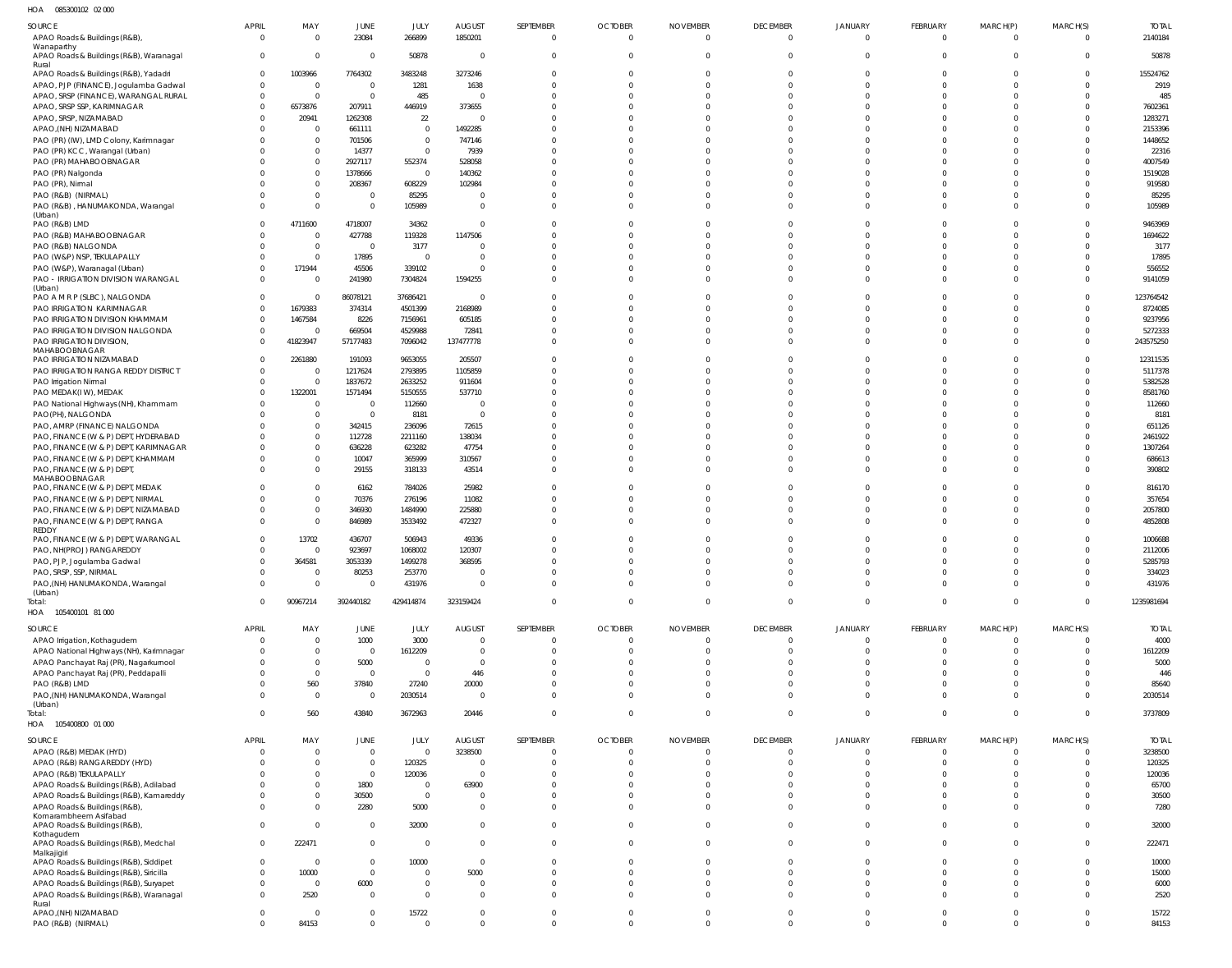| HOA<br>085300102 02 000                                                  |                             |                         |                               |                          |                                  |                            |                            |                          |                                 |                                |                                  |                             |                               |                    |
|--------------------------------------------------------------------------|-----------------------------|-------------------------|-------------------------------|--------------------------|----------------------------------|----------------------------|----------------------------|--------------------------|---------------------------------|--------------------------------|----------------------------------|-----------------------------|-------------------------------|--------------------|
| <b>SOURCE</b>                                                            | <b>APRIL</b>                | MAY                     | JUNE                          | JULY                     | <b>AUGUST</b>                    | SEPTEMBER                  | <b>OCTOBER</b>             | <b>NOVEMBER</b>          | <b>DECEMBER</b>                 | JANUARY                        | FEBRUARY                         | MARCH(P)                    | MARCH(S)                      | <b>TOTAL</b>       |
| APAO Roads & Buildings (R&B),                                            | $\mathbf 0$                 | $\Omega$                | 23084                         | 266899                   | 1850201                          | $\Omega$                   | $\mathbf 0$                | $\Omega$                 | $\overline{0}$                  | $\overline{0}$                 | $\overline{0}$                   | $\overline{\mathbf{0}}$     | $\Omega$                      | 2140184            |
| Wanaparthy                                                               |                             |                         |                               |                          |                                  |                            |                            |                          |                                 |                                |                                  |                             |                               |                    |
| APAO Roads & Buildings (R&B), Waranagal<br>Rural                         | $\overline{0}$              | $\overline{\mathbf{0}}$ | $\overline{0}$                | 50878                    | $\overline{0}$                   | $\Omega$                   | $\Omega$                   |                          | $\overline{0}$                  | $\overline{0}$                 | $\Omega$                         | $\Omega$                    | $\Omega$                      | 50878              |
| APAO Roads & Buildings (R&B), Yadadri                                    | $^{\circ}$                  | 1003966                 | 7764302                       | 3483248                  | 3273246                          |                            |                            |                          | $\mathbf{0}$                    | 0                              | $\Omega$                         | $\Omega$                    | $\Omega$                      | 15524762           |
| APAO, PJP (FINANCE), Jogulamba Gadwal                                    | $\mathbf{0}$                | - 0                     | $\overline{0}$                | 1281                     | 1638                             |                            |                            |                          | $\Omega$                        | $\Omega$                       | $\Omega$                         | $\Omega$                    | $\Omega$                      | 2919               |
| APAO, SRSP (FINANCE), WARANGAL RURAL                                     | $\mathbf{0}$                | $\Omega$                | $\overline{0}$                | 485                      | $\overline{0}$                   |                            |                            |                          | $\Omega$                        | $\Omega$                       | $\Omega$                         |                             | $\Omega$                      | 485                |
| APAO, SRSP SSP, KARIMNAGAR                                               | $\Omega$                    | 6573876                 | 207911                        | 446919                   | 373655                           |                            |                            |                          | $\Omega$                        | $\Omega$                       | $\Omega$                         |                             | $\Omega$                      | 7602361            |
| APAO, SRSP, NIZAMABAD                                                    | $\Omega$                    | 20941                   | 1262308                       | 22                       | $\overline{0}$                   |                            |                            |                          | $\Omega$                        |                                | $\Omega$                         |                             | $\Omega$                      | 1283271            |
| APAO, (NH) NIZAMABAD                                                     | $\Omega$                    | - 0                     | 661111                        | $\overline{0}$           | 1492285                          |                            |                            |                          | $\Omega$                        | $\Omega$                       | $\Omega$                         | <sup>n</sup>                | -0                            | 2153396            |
| PAO (PR) (IW), LMD Colony, Karimnagar                                    |                             | $\Omega$                | 701506                        | $\mathbf 0$              | 747146                           |                            |                            |                          | $\Omega$                        | $\Omega$                       | $\Omega$                         |                             |                               | 1448652            |
| PAO (PR) KCC, Warangal (Urban)                                           |                             | $\Omega$                | 14377                         | $\overline{0}$           | 7939                             |                            |                            |                          | $\cap$                          | $\Omega$                       | $\cap$                           |                             | - 0                           | 22316              |
| PAO (PR) MAHABOOBNAGAR                                                   |                             | $\Omega$                | 2927117                       | 552374                   | 528058                           |                            |                            |                          | $\Omega$                        | $\Omega$                       | $\Omega$                         |                             |                               | 4007549            |
| PAO (PR) Nalgonda                                                        |                             | $\Omega$                | 1378666                       | $\overline{\mathbf{0}}$  | 140362                           |                            |                            |                          | $\cap$                          | $\Omega$                       | $\cap$                           | <sup>n</sup>                | - 0                           | 1519028            |
| PAO (PR), Nirmal                                                         |                             | $\Omega$                | 208367                        | 608229                   | 102984                           |                            |                            |                          | $\Omega$                        | $\Omega$                       | $\Omega$                         |                             |                               | 919580             |
| PAO (R&B) (NIRMAL)                                                       |                             | $\Omega$                | $\overline{0}$                | 85295                    | - 0                              |                            |                            |                          | $\Omega$                        | $\Omega$                       | $\Omega$                         | $\Omega$                    | $\Omega$                      | 85295              |
| PAO (R&B), HANUMAKONDA, Warangal                                         | $\Omega$                    | $\Omega$                | $\overline{0}$                | 105989                   | $\overline{0}$                   |                            |                            |                          | $\Omega$                        | $\Omega$                       | $\Omega$                         | $\Omega$                    | $\Omega$                      | 105989             |
| (Urban)<br>PAO (R&B) LMD                                                 | $\Omega$                    | 4711600                 | 4718007                       | 34362                    | $\overline{0}$                   |                            |                            |                          | $\Omega$                        | $\Omega$                       | $\Omega$                         | $\Omega$                    | $\Omega$                      | 9463969            |
| PAO (R&B) MAHABOOBNAGAR                                                  | 0                           | $\Omega$                | 427788                        | 119328                   | 1147506                          |                            |                            |                          | $\Omega$                        | $\Omega$                       | $\Omega$                         |                             |                               | 1694622            |
| PAO (R&B) NALGONDA                                                       | $\Omega$                    | $\Omega$                | $\Omega$                      | 3177                     | - 0                              |                            |                            |                          | $\Omega$                        | $\Omega$                       | $\Omega$                         | $\Omega$                    |                               | 3177               |
| PAO (W&P) NSP, TEKULAPALLY                                               | 0                           | $\Omega$                | 17895                         | $\overline{\mathbf{0}}$  | $\circ$                          |                            |                            |                          | $\Omega$                        | $\Omega$                       | $\Omega$                         |                             |                               | 17895              |
| PAO (W&P), Waranagal (Urban)                                             | $\Omega$                    | 171944                  | 45506                         | 339102                   | $\Omega$                         |                            |                            |                          | $\Omega$                        | $\Omega$                       | $\Omega$                         | $\Omega$                    | $\Omega$                      | 556552             |
| PAO - IRRIGATION DIVISION WARANGAL                                       | $\Omega$                    | - 0                     | 241980                        | 7304824                  | 1594255                          |                            |                            |                          | $\Omega$                        | $\Omega$                       | $\Omega$                         | $\Omega$                    | $\Omega$                      | 9141059            |
| (Urban)                                                                  |                             |                         |                               |                          |                                  |                            |                            |                          |                                 |                                |                                  |                             |                               |                    |
| PAO A M R P (SLBC), NALGONDA                                             | $\overline{0}$              | - 0                     | 86078121                      | 37686421                 | $\overline{0}$                   |                            |                            |                          | $\Omega$                        | $\Omega$                       | $\Omega$                         | $\Omega$                    | $\Omega$                      | 123764542          |
| PAO IRRIGATION KARIMNAGAR                                                | $\Omega$                    | 1679383                 | 374314                        | 4501399                  | 2168989                          |                            |                            |                          | $\Omega$                        | $\Omega$                       | $\Omega$                         | $\Omega$                    | $\Omega$                      | 8724085            |
| PAO IRRIGATION DIVISION KHAMMAM                                          | $\Omega$                    | 1467584                 | 8226                          | 7156961                  | 605185                           |                            |                            |                          | $\Omega$                        | $\Omega$                       | $\Omega$                         | $\Omega$                    | $\Omega$                      | 9237956            |
| PAO IRRIGATION DIVISION NALGONDA                                         | $\mathbf{0}$                | $\sqrt{ }$              | 669504                        | 4529988                  | 72841                            |                            |                            |                          | $\Omega$                        | $\Omega$                       | $\Omega$                         | $\Omega$                    | $\overline{0}$                | 5272333            |
| PAO IRRIGATION DIVISION,                                                 | $\Omega$                    | 41823947                | 57177483                      | 7096042                  | 137477778                        |                            |                            |                          | $\Omega$                        | $\Omega$                       | $\Omega$                         | $\Omega$                    | $\Omega$                      | 243575250          |
| MAHABOOBNAGAR<br>PAO IRRIGATION NIZAMABAD                                | $^{\circ}$                  | 2261880                 | 191093                        | 9653055                  | 205507                           |                            |                            |                          | $\Omega$                        | 0                              | $\Omega$                         |                             | -0                            | 12311535           |
| PAO IRRIGATION RANGA REDDY DISTRICT                                      | $\Omega$                    | - 0                     | 1217624                       | 2793895                  | 1105859                          |                            |                            |                          | $\Omega$                        | $\Omega$                       | $\Omega$                         | $\Omega$                    | $\Omega$                      | 5117378            |
|                                                                          | $\Omega$                    | $\Omega$                | 1837672                       | 2633252                  | 911604                           |                            |                            |                          | $\Omega$                        | $\Omega$                       | $\Omega$                         | $\Omega$                    | $\Omega$                      | 5382528            |
| PAO Irrigation Nirmal<br>PAO MEDAK(IW), MEDAK                            | $\Omega$                    | 1322001                 | 1571494                       | 5150555                  | 537710                           |                            |                            |                          | $\Omega$                        | $\Omega$                       | $\Omega$                         | $\Omega$                    | $\Omega$                      | 8581760            |
| PAO National Highways (NH), Khammam                                      | 0                           | - 0                     | $\overline{0}$                | 112660                   | $\overline{0}$                   |                            |                            |                          | $\Omega$                        | $\Omega$                       | $\Omega$                         |                             |                               | 112660             |
| PAO(PH), NALGONDA                                                        | $\cap$                      | $\Omega$                | $\overline{0}$                | 8181                     | $\overline{0}$                   |                            |                            |                          | $\Omega$                        | $\Omega$                       | $\cap$                           |                             |                               | 8181               |
| PAO, AMRP (FINANCE) NALGONDA                                             |                             | $\Omega$                | 342415                        | 236096                   | 72615                            |                            |                            |                          | $\Omega$                        | $\Omega$                       | $\Omega$                         |                             |                               | 651126             |
| PAO, FINANCE (W & P) DEPT, HYDERABAD                                     | $\Omega$                    | $\Omega$                | 112728                        | 2211160                  | 138034                           |                            |                            |                          | $\cap$                          | $\Omega$                       | $\cap$                           | <sup>n</sup>                | - 0                           | 2461922            |
| PAO, FINANCE (W & P) DEPT, KARIMNAGAR                                    |                             | $\Omega$                | 636228                        | 623282                   | 47754                            |                            |                            |                          | $\Omega$                        | $\Omega$                       | $\Omega$                         |                             | $\Omega$                      | 1307264            |
| PAO, FINANCE (W & P) DEPT, KHAMMAM                                       | $\Omega$                    | $\Omega$                | 10047                         | 365999                   | 310567                           |                            |                            |                          | $\Omega$                        | $\Omega$                       | $\Omega$                         | $\Omega$                    | $\Omega$                      | 686613             |
| PAO, FINANCE (W & P) DEPT                                                | $\Omega$                    | $\Omega$                | 29155                         | 318133                   | 43514                            |                            |                            |                          | $\Omega$                        | $\Omega$                       | $\Omega$                         | $\Omega$                    | $\Omega$                      | 390802             |
| MAHABOOBNAGAR                                                            |                             |                         |                               |                          |                                  |                            |                            |                          |                                 |                                |                                  |                             |                               |                    |
| PAO, FINANCE (W & P) DEPT, MEDAK                                         | $\Omega$                    | $\Omega$                | 6162                          | 784026                   | 25982                            |                            |                            |                          | $\Omega$                        | $\Omega$                       | $\Omega$                         | $\Omega$                    | $\Omega$                      | 816170             |
| PAO, FINANCE (W & P) DEPT, NIRMAL                                        |                             | $\Omega$                | 70376                         | 276196                   | 11082                            |                            |                            |                          | $\Omega$                        | $\Omega$                       | $\Omega$                         | $\Omega$                    | $\Omega$                      | 357654             |
| PAO, FINANCE (W & P) DEPT, NIZAMABAD                                     | $\Omega$                    | $\Omega$                | 346930                        | 1484990                  | 225880                           |                            |                            |                          | $\Omega$                        | $\Omega$                       | $\Omega$                         | $\Omega$                    | $\Omega$                      | 2057800            |
| PAO, FINANCE (W & P) DEPT, RANGA                                         | $\Omega$                    | $\Omega$                | 846989                        | 3533492                  | 472327                           |                            |                            |                          | $\Omega$                        | $\Omega$                       | $\Omega$                         |                             | $\Omega$                      | 4852808            |
| REDDY<br>PAO, FINANCE (W & P) DEPT, WARANGAL                             | $\mathbf 0$                 | 13702                   | 436707                        | 506943                   | 49336                            |                            |                            |                          | $\Omega$                        | $\Omega$                       | $\Omega$                         |                             |                               |                    |
| PAO, NH(PROJ) RANGAREDDY                                                 | $\Omega$                    | $\cap$                  | 923697                        | 1068002                  | 120307                           |                            |                            |                          | $\Omega$                        | $\Omega$                       | $\Omega$                         | $\Omega$                    | $\Omega$                      | 1006688<br>2112006 |
| PAO, PJP, Jogulamba Gadwal                                               | $\overline{0}$              | 364581                  | 3053339                       | 1499278                  | 368595                           |                            | $\Omega$                   | $\Omega$                 | $\overline{0}$                  | $\mathbf 0$                    | $\overline{0}$                   | $\overline{0}$              | $\Omega$                      | 5285793            |
| PAO, SRSP, SSP, NIRMAL                                                   | $\mathbf{0}$                | - 0                     | 80253                         | 253770                   | $\overline{0}$                   | 0                          | $\Omega$                   | $\Omega$                 | $\overline{0}$                  | $\mathbf 0$                    | $\mathbf{0}$                     | $\overline{0}$              | $\overline{0}$                | 334023             |
| PAO, (NH) HANUMAKONDA, Warangal                                          | $\Omega$                    |                         |                               |                          | $\overline{0}$                   | $\Omega$                   |                            |                          | $\overline{0}$                  |                                |                                  |                             |                               | 431976             |
| (Urban)                                                                  |                             |                         |                               |                          |                                  |                            |                            |                          |                                 |                                |                                  |                             |                               |                    |
| Total:                                                                   |                             | $\Omega$                | $\Omega$                      | 431976                   |                                  |                            | $\Omega$                   | $\Omega$                 |                                 | $\overline{0}$                 | $\overline{0}$                   | $\overline{0}$              | $\Omega$                      |                    |
| HOA  105400101  81 000                                                   | $\Omega$                    | 90967214                | 392440182                     | 429414874                | 323159424                        | $\mathbf 0$                | $\Omega$                   | $\overline{0}$           | $\mathbf{0}$                    | $\mathbf{0}$                   | $\overline{0}$                   | $\mathbf{0}$                | $\Omega$                      | 1235981694         |
|                                                                          |                             |                         |                               |                          |                                  |                            |                            |                          |                                 |                                |                                  |                             |                               |                    |
|                                                                          |                             |                         |                               |                          |                                  |                            |                            |                          |                                 |                                |                                  |                             |                               |                    |
| SOURCE                                                                   | <b>APRIL</b>                | MAY                     | JUNE                          | JULY                     | <b>AUGUST</b>                    | SEPTEMBER                  | <b>OCTOBER</b>             | <b>NOVEMBER</b>          | <b>DECEMBER</b>                 | JANUARY                        | <b>FEBRUARY</b>                  | MARCH(P)                    | MARCH(S)                      | <b>TOTAL</b>       |
| APAO Irrigation, Kothagudem                                              | 0                           | $\Omega$                | 1000                          | 3000                     | $\overline{0}$                   | $\mathbf{0}$               | $\mathbf{0}$               | $\mathbf{0}$             | $\overline{0}$                  | $\overline{0}$                 | $\overline{0}$                   | $\overline{0}$              |                               | 4000               |
| APAO National Highways (NH), Karimnagar                                  | 0<br>$\Omega$               | - 0<br>$\Omega$         | $\overline{0}$                | 1612209                  | $\mathbf 0$                      | $\Omega$<br>$\Omega$       | $\Omega$<br>$\Omega$       | $\Omega$<br>$\Omega$     | $\mathbf{0}$                    | $\mathbf{0}$                   | $\mathbf{0}$                     | $\overline{0}$              | $\mathbf{0}$<br>-0            | 1612209            |
| APAO Panchayat Raj (PR), Nagarkurnool                                    |                             |                         | 5000                          | 0                        | $\overline{0}$                   |                            |                            |                          | $\overline{0}$                  | $\overline{0}$                 | $\overline{0}$                   | $\overline{0}$              |                               | 5000               |
| APAO Panchayat Raj (PR), Peddapalli                                      | $\Omega$<br>$\Omega$        | $\Omega$                | $\overline{0}$                | $\overline{0}$           | 446                              | $\Omega$                   | $\Omega$                   | $\Omega$<br>$\Omega$     | $\overline{0}$                  | $\mathbf 0$                    | $\mathbf 0$                      | $\overline{0}$              | $\Omega$                      | 446                |
| PAO (R&B) LMD                                                            | $\Omega$                    | 560                     | 37840                         | 27240                    | 20000                            | $\Omega$<br>$\Omega$       | $\Omega$<br>$\Omega$       | $\Omega$                 | $\overline{0}$                  | $\overline{0}$                 | $\mathbf 0$                      | $\overline{0}$              | -0                            | 85640              |
| PAO, (NH) HANUMAKONDA, Warangal<br>(Urban)                               |                             | $\overline{0}$          | $\overline{0}$                | 2030514                  | $\overline{0}$                   |                            |                            |                          | $\overline{0}$                  | $\overline{0}$                 | $\overline{0}$                   | $\overline{0}$              | $\mathbf{0}$                  | 2030514            |
| Total:                                                                   | $\Omega$                    | 560                     | 43840                         | 3672963                  | 20446                            | $\mathbf 0$                | $\Omega$                   | $\Omega$                 | $\overline{0}$                  | $\mathbf 0$                    | $\mathbf{0}$                     | $\mathbf{0}$                | $\Omega$                      | 3737809            |
| HOA 105400800 01 000                                                     |                             |                         |                               |                          |                                  |                            |                            |                          |                                 |                                |                                  |                             |                               |                    |
|                                                                          |                             |                         |                               |                          |                                  |                            |                            |                          |                                 |                                |                                  |                             |                               |                    |
| SOURCE                                                                   | <b>APRIL</b><br>$\Omega$    | MAY<br>$\Omega$         | JUNE                          | JULY<br>$\Omega$         | <b>AUGUST</b>                    | SEPTEMBER<br>0             | <b>OCTOBER</b><br>$\Omega$ | <b>NOVEMBER</b><br>0     | <b>DECEMBER</b><br>$\mathbf{0}$ | JANUARY<br>$\Omega$            | FEBRUARY<br>$\Omega$             | MARCH(P)<br>$\Omega$        | MARCH(S)<br>$\Omega$          | <b>TOTAL</b>       |
| APAO (R&B) MEDAK (HYD)                                                   | $\Omega$                    | $\Omega$                | $\mathbf 0$<br>$\overline{0}$ |                          | 3238500<br>$\overline{0}$        | $\Omega$                   | $\Omega$                   |                          | $\Omega$                        | $\Omega$                       | $\Omega$                         | $\Omega$                    | $\Omega$                      | 3238500            |
| APAO (R&B) RANGAREDDY (HYD)                                              | - ( )                       | $\Omega$                |                               | 120325                   | $\overline{0}$                   | <sup>0</sup>               |                            |                          | $\Omega$                        | $\Omega$                       | $\Omega$                         | $\Omega$                    | $\Omega$                      | 120325             |
| APAO (R&B) TEKULAPALLY<br>APAO Roads & Buildings (R&B), Adilabad         | $\Omega$                    | $\Omega$                | $\overline{0}$<br>1800        | 120036<br>$\overline{0}$ | 63900                            |                            | <sup>0</sup>               | $\Omega$                 | $\Omega$                        | $\Omega$                       | $\Omega$                         | $\Omega$                    | $\Omega$                      | 120036<br>65700    |
|                                                                          | $\Omega$                    | $\Omega$                | 30500                         | $\mathbf 0$              | $\overline{0}$                   | <sup>0</sup>               | $\Omega$                   | $\Omega$                 | $\Omega$                        | $\Omega$                       | $\Omega$                         | $\overline{0}$              | $\Omega$                      | 30500              |
| APAO Roads & Buildings (R&B), Kamareddy<br>APAO Roads & Buildings (R&B), | $\Omega$                    | $\Omega$                | 2280                          | 5000                     | $\mathbf 0$                      | $\Omega$                   | $\Omega$                   | $\Omega$                 | $\Omega$                        | $\Omega$                       | $\Omega$                         | $\Omega$                    | $\Omega$                      | 7280               |
| Komarambheem Asifabad                                                    |                             |                         |                               |                          |                                  |                            |                            |                          |                                 |                                |                                  |                             |                               |                    |
| APAO Roads & Buildings (R&B)                                             | $\mathbf{0}$                | $\Omega$                | $\overline{0}$                | 32000                    | $\overline{0}$                   | $\Omega$                   | $\Omega$                   | $\Omega$                 | $\Omega$                        | $\Omega$                       | $\Omega$                         | $\Omega$                    | $\Omega$                      | 32000              |
| Kothagudem                                                               |                             |                         |                               |                          |                                  |                            |                            |                          |                                 |                                |                                  |                             |                               |                    |
| APAO Roads & Buildings (R&B), Medchal                                    | $\overline{0}$              | 222471                  | $\overline{0}$                | $\overline{0}$           | $\overline{0}$                   | $\Omega$                   | $\Omega$                   | $\Omega$                 | $\Omega$                        | $\Omega$                       | $\Omega$                         | $\overline{0}$              | $\Omega$                      | 222471             |
| Malkajigiri<br>APAO Roads & Buildings (R&B), Siddipet                    | $\overline{0}$              | $\Omega$                | $\overline{0}$                | 10000                    | $\overline{0}$                   | <sup>0</sup>               | <sup>0</sup>               | <sup>0</sup>             | $\Omega$                        | $\Omega$                       | $\Omega$                         | $\overline{0}$              | $\Omega$                      | 10000              |
| APAO Roads & Buildings (R&B), Siricilla                                  | $\Omega$                    | 10000                   | $\overline{0}$                | $\mathbf 0$              | 5000                             | $\Omega$                   | $\Omega$                   | $\Omega$                 | $\Omega$                        | $\Omega$                       | $\Omega$                         | $\Omega$                    | $\Omega$                      | 15000              |
| APAO Roads & Buildings (R&B), Suryapet                                   | $\Omega$                    | $\overline{0}$          | 6000                          | $\mathbf 0$              | $\overline{0}$                   | $\Omega$                   | $\Omega$                   | $\Omega$                 | $\Omega$                        | $\Omega$                       | $\Omega$                         | $\overline{0}$              | $\Omega$                      | 6000               |
| APAO Roads & Buildings (R&B), Waranagal                                  | $\Omega$                    | 2520                    | $\overline{0}$                | $\Omega$                 | $\Omega$                         | $\Omega$                   | $\Omega$                   | $\Omega$                 | $\Omega$                        | $\Omega$                       | $\Omega$                         | $\Omega$                    | $\Omega$                      | 2520               |
| Rural                                                                    |                             |                         |                               |                          |                                  |                            |                            |                          |                                 |                                |                                  |                             |                               |                    |
| APAO, (NH) NIZAMABAD<br>PAO (R&B) (NIRMAL)                               | $\mathbf{0}$<br>$\mathbf 0$ | $\overline{0}$<br>84153 | $\overline{0}$<br>$\mathbf 0$ | 15722<br>$\Omega$        | $\overline{0}$<br>$\overline{0}$ | $\mathbf 0$<br>$\mathbf 0$ | $\mathbf 0$<br>$\Omega$    | $\mathbf{0}$<br>$\Omega$ | $\overline{0}$<br>$\mathbf{0}$  | $\overline{0}$<br>$\mathbf{0}$ | $\overline{0}$<br>$\overline{0}$ | $\mathbf 0$<br>$\mathbf{0}$ | $\overline{0}$<br>$\mathbf 0$ | 15722<br>84153     |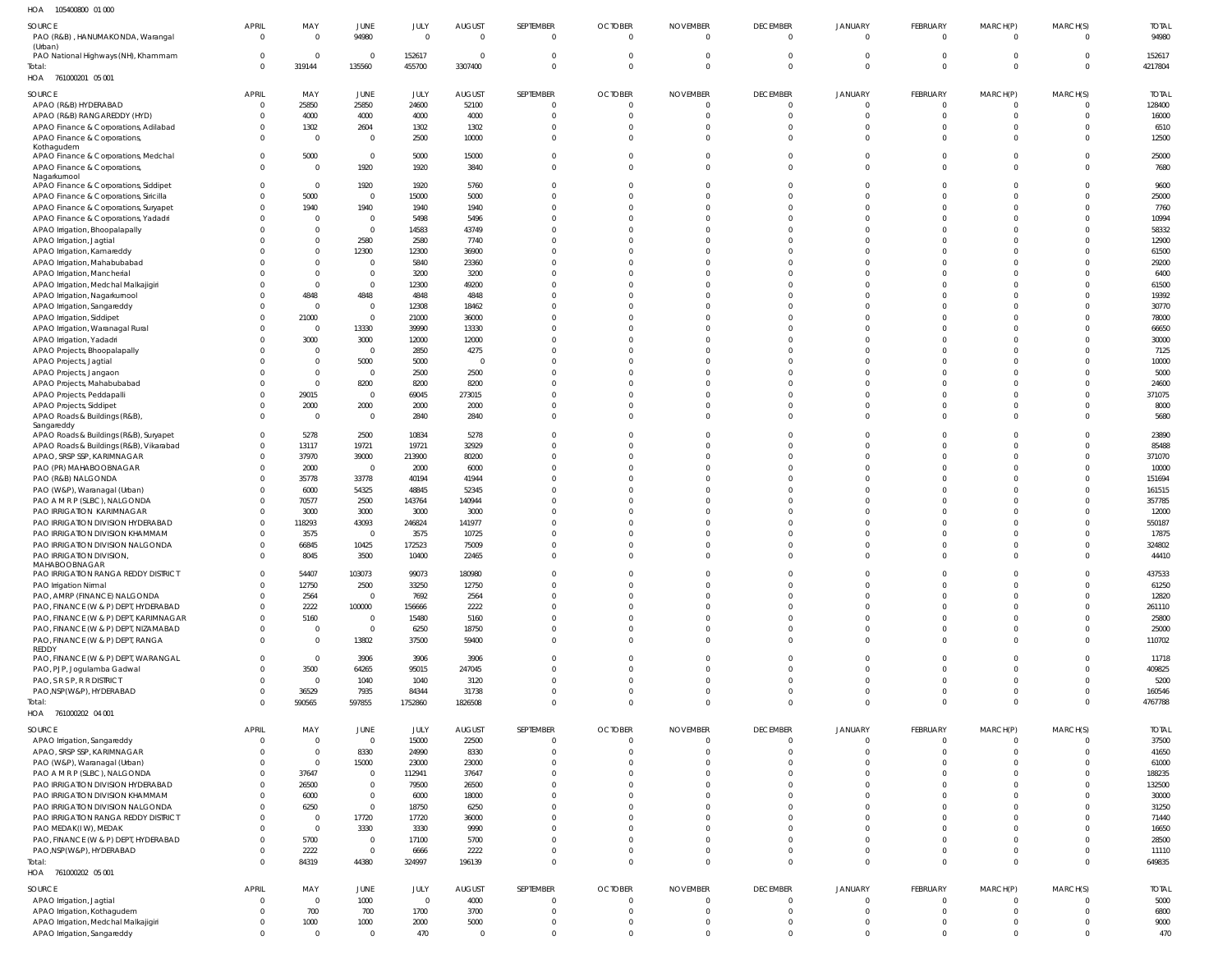105400800 01 000 HOA

| SOURCE<br>PAO (R&B), HANUMAKONDA, Warangal<br>(Urban)               | <b>APRIL</b><br>$\overline{0}$ | MAY<br>$\Omega$      | JUNE<br>94980                    | JULY<br>$\overline{0}$ | <b>AUGUST</b><br>$\mathbf 0$ | SEPTEMBER<br>$\mathbf 0$         | <b>OCTOBER</b><br>$\mathbf 0$ | <b>NOVEMBER</b><br>$\mathbf 0$ | <b>DECEMBER</b><br>$\overline{0}$ | <b>JANUARY</b><br>$\overline{0}$ | FEBRUARY<br>$\overline{0}$     | MARCH(P)<br>$\overline{0}$ | MARCH(S)<br>$\Omega$     | <b>TOTAL</b><br>94980  |
|---------------------------------------------------------------------|--------------------------------|----------------------|----------------------------------|------------------------|------------------------------|----------------------------------|-------------------------------|--------------------------------|-----------------------------------|----------------------------------|--------------------------------|----------------------------|--------------------------|------------------------|
| PAO National Highways (NH), Khammam<br>Total:                       | $^{\circ}$<br>$\Omega$         | $\Omega$<br>319144   | $\overline{0}$<br>135560         | 152617<br>455700       | $\mathbf 0$<br>3307400       | $\overline{0}$<br>$\overline{0}$ | $\mathbf 0$<br>$\Omega$       | $\Omega$                       | $\overline{0}$<br>$\mathbf{0}$    | $\mathbf 0$<br>$\mathbf{0}$      | $\overline{0}$<br>$\mathbf{0}$ | $\Omega$<br>$\Omega$       | $\mathbf{0}$<br>$\Omega$ | 152617<br>4217804      |
| HOA 761000201 05 001                                                |                                |                      |                                  |                        |                              |                                  |                               |                                |                                   |                                  |                                |                            |                          |                        |
| SOURCE<br>APAO (R&B) HYDERABAD                                      | <b>APRIL</b><br>-0             | MAY<br>25850         | <b>JUNE</b><br>25850             | JULY<br>24600          | <b>AUGUST</b><br>52100       | SEPTEMBER<br>$\overline{0}$      | <b>OCTOBER</b><br>$\mathbf 0$ | <b>NOVEMBER</b>                | <b>DECEMBER</b><br>0              | JANUARY<br>0                     | FEBRUARY<br>$\mathbf{0}$       | MARCH(P)<br>$\Omega$       | MARCH(S)<br>$\Omega$     | <b>TOTAL</b><br>128400 |
| APAO (R&B) RANGAREDDY (HYD)                                         | -0                             | 4000                 | 4000                             | 4000                   | 4000                         | $\Omega$                         | $\Omega$                      |                                | $\mathbf 0$                       | $\mathbf 0$                      | $\mathbf{0}$                   | $\Omega$                   | $\mathbf{0}$             | 16000                  |
| APAO Finance & Corporations, Adilabad                               | $\Omega$                       | 1302                 | 2604                             | 1302                   | 1302                         | $\Omega$                         | $\Omega$                      |                                | $\mathbf 0$                       | $\mathbf 0$                      | $\mathbf{0}$                   | $\Omega$                   | $\Omega$                 | 6510                   |
| APAO Finance & Corporations,                                        | $\Omega$                       | $\Omega$             | $\overline{0}$                   | 2500                   | 10000                        | $\Omega$                         | $\Omega$                      |                                | $\Omega$                          | $\mathbf 0$                      | $\Omega$                       | $\Omega$                   | $\Omega$                 | 12500                  |
| Kothagudem<br>APAO Finance & Corporations, Medchal                  | $\Omega$                       | 5000                 | $\overline{0}$                   | 5000                   | 15000                        | $\Omega$                         | $\Omega$                      |                                | $\Omega$                          | $\Omega$                         | $\Omega$                       | $\Omega$                   | $\Omega$                 | 25000                  |
| APAO Finance & Corporations,                                        | $\Omega$                       | $\Omega$             | 1920                             | 1920                   | 3840                         | $\Omega$                         | $\Omega$                      | $\Omega$                       | $\Omega$                          | $\Omega$                         | $\Omega$                       | $\Omega$                   | $\Omega$                 | 7680                   |
| Nagarkurnool<br>APAO Finance & Corporations, Siddipet               | $\Omega$                       | $\Omega$             | 1920                             | 1920                   | 5760                         | <sup>0</sup>                     | <sup>0</sup>                  |                                | $\Omega$                          | $\Omega$                         | $\Omega$                       | $\Omega$                   |                          | 9600                   |
| APAO Finance & Corporations, Siricilla                              | - 0                            | 5000                 | $\mathbf 0$                      | 15000                  | 5000                         |                                  | $\Omega$                      |                                | $\Omega$                          | $\Omega$                         | $\Omega$                       | $\Omega$                   | $\Omega$                 | 25000                  |
| APAO Finance & Corporations, Suryapet                               | $\Omega$                       | 1940                 | 1940                             | 1940                   | 1940                         | <sup>0</sup>                     | <sup>0</sup>                  |                                | $\Omega$                          | $\Omega$                         | $\Omega$                       | $\Omega$                   |                          | 7760                   |
| APAO Finance & Corporations, Yadadri                                |                                | - 0                  | $\mathbf 0$                      | 5498                   | 5496                         |                                  |                               |                                | $\Omega$                          | $\Omega$                         | $\Omega$                       | $\Omega$                   |                          | 10994                  |
| APAO Irrigation, Bhoopalapally<br>APAO Irrigation, Jagtial          |                                | $\Omega$<br>- 0      | $\mathbf{0}$<br>2580             | 14583<br>2580          | 43749<br>7740                |                                  |                               |                                | $\Omega$<br>$\Omega$              | $\Omega$<br>$\Omega$             | $\Omega$<br>$\Omega$           | $\Omega$<br>$\Omega$       |                          | 58332<br>12900         |
| APAO Irrigation, Kamareddy                                          |                                | $\Omega$             | 12300                            | 12300                  | 36900                        | <sup>0</sup>                     | <sup>0</sup>                  |                                | $\Omega$                          | $\Omega$                         | $\Omega$                       | $\Omega$                   | $\Omega$                 | 61500                  |
| APAO Irrigation, Mahabubabad                                        |                                | $\Omega$             | $\overline{0}$                   | 5840                   | 23360                        |                                  |                               |                                | $\Omega$                          | $\Omega$                         | $\Omega$                       | $\Omega$                   |                          | 29200                  |
| APAO Irrigation, Mancherial                                         |                                | $\Omega$             | $\mathbf 0$                      | 3200                   | 3200                         |                                  |                               |                                | $\Omega$                          | $\Omega$                         | $\Omega$                       | $\Omega$                   |                          | 6400                   |
| APAO Irrigation, Medchal Malkajigiri                                |                                | $\Omega$             | $\mathbf 0$                      | 12300                  | 49200                        | <sup>0</sup>                     |                               |                                | $\Omega$                          | $\Omega$                         | $\Omega$                       | $\Omega$                   |                          | 61500                  |
| APAO Irrigation, Nagarkurnool<br>APAO Irrigation, Sangareddy        |                                | 4848<br>$\Omega$     | 4848<br>$\mathbf{0}$             | 4848<br>12308          | 4848<br>18462                |                                  |                               |                                | $\Omega$<br>$\Omega$              | $\Omega$<br>$\Omega$             | $\Omega$<br>$\Omega$           | $\Omega$<br>$\Omega$       |                          | 19392<br>30770         |
| APAO Irrigation, Siddipet                                           | - 0                            | 21000                | $\mathbf{0}$                     | 21000                  | 36000                        |                                  |                               |                                | $\Omega$                          | $\Omega$                         | $\Omega$                       | $\Omega$                   |                          | 78000                  |
| APAO Irrigation, Waranagal Rural                                    | - 0                            | $\Omega$             | 13330                            | 39990                  | 13330                        |                                  |                               |                                | $\Omega$                          | $\Omega$                         | $\Omega$                       | $\Omega$                   | $\Omega$                 | 66650                  |
| APAO Irrigation, Yadadri                                            |                                | 3000                 | 3000                             | 12000                  | 12000                        | <sup>0</sup>                     |                               |                                | $\Omega$                          | $\Omega$                         | $\Omega$                       | $\Omega$                   |                          | 30000                  |
| APAO Projects, Bhoopalapally                                        |                                | - 0                  | $\overline{0}$                   | 2850                   | 4275                         |                                  |                               |                                | $\Omega$                          | $\Omega$                         | $\Omega$                       | $\Omega$                   |                          | 7125                   |
| APAO Projects, Jagtial<br>APAO Projects, Jangaon                    |                                | $\Omega$<br>$\Omega$ | 5000<br>$\overline{0}$           | 5000<br>2500           | $\Omega$<br>2500             | <sup>0</sup>                     |                               |                                | $\Omega$<br>$\Omega$              | $\Omega$<br>$\Omega$             | $\Omega$<br>$\Omega$           | $\Omega$<br>$\Omega$       |                          | 10000<br>5000          |
| APAO Projects, Mahabubabad                                          | - 0                            | $\Omega$             | 8200                             | 8200                   | 8200                         | $\Omega$                         | <sup>0</sup>                  |                                | $\Omega$                          | $\Omega$                         | $\Omega$                       | $\Omega$                   | $\Omega$                 | 24600                  |
| APAO Projects, Peddapalli                                           |                                | 29015                | $\overline{0}$                   | 69045                  | 273015                       |                                  |                               |                                | $\Omega$                          | $\Omega$                         | $\Omega$                       | $\Omega$                   |                          | 371075                 |
| APAO Projects, Siddipet                                             | - 0                            | 2000                 | 2000                             | 2000                   | 2000                         | <sup>0</sup>                     | <sup>0</sup>                  |                                | $\Omega$                          | $\Omega$                         | $\Omega$                       | $\Omega$                   | $\Omega$                 | 8000                   |
| APAO Roads & Buildings (R&B),                                       | $\Omega$                       | $\Omega$             | $\overline{0}$                   | 2840                   | 2840                         | $\Omega$                         | $\Omega$                      |                                | $\Omega$                          | $\Omega$                         | $\Omega$                       | $\Omega$                   | $\Omega$                 | 5680                   |
| Sangareddy<br>APAO Roads & Buildings (R&B), Suryapet                | $\Omega$                       | 5278                 | 2500                             | 10834                  | 5278                         | <sup>0</sup>                     | <sup>0</sup>                  |                                | $\Omega$                          | $\Omega$                         | $\Omega$                       | $\Omega$                   |                          | 23890                  |
| APAO Roads & Buildings (R&B), Vikarabad                             | $\Omega$                       | 13117                | 19721                            | 19721                  | 32929                        |                                  | $\Omega$                      |                                | $\Omega$                          | $\Omega$                         | $\Omega$                       | $\Omega$                   |                          | 85488                  |
| APAO, SRSP SSP, KARIMNAGAR                                          | $\Omega$                       | 37970                | 39000                            | 213900                 | 80200                        | <sup>0</sup>                     | $\Omega$                      |                                | $\Omega$                          | $\Omega$                         | $\Omega$                       | $\Omega$                   | $\Omega$                 | 371070                 |
| PAO (PR) MAHABOOBNAGAR                                              | $\Omega$<br>- 0                | 2000<br>35778        | $\overline{0}$<br>33778          | 2000<br>40194          | 6000<br>41944                |                                  |                               |                                | $\Omega$<br>$\Omega$              | $\Omega$<br>$\Omega$             | $\Omega$<br>$\Omega$           | $\Omega$<br>$\Omega$       |                          | 10000<br>151694        |
| PAO (R&B) NALGONDA<br>PAO (W&P), Waranagal (Urban)                  | - 0                            | 6000                 | 54325                            | 48845                  | 52345                        |                                  |                               |                                | $\Omega$                          | $\Omega$                         | $\Omega$                       | $\Omega$                   |                          | 161515                 |
| PAO A M R P (SLBC), NALGONDA                                        | $\Omega$                       | 70577                | 2500                             | 143764                 | 140944                       |                                  |                               |                                | $\Omega$                          | $\Omega$                         | $\Omega$                       | $\Omega$                   |                          | 357785                 |
| PAO IRRIGATION KARIMNAGAR                                           | $\Omega$                       | 3000                 | 3000                             | 3000                   | 3000                         |                                  |                               |                                | $\Omega$                          | $\Omega$                         | $\Omega$                       |                            |                          | 12000                  |
| PAO IRRIGATION DIVISION HYDERABAD                                   | $\Omega$                       | 118293               | 43093                            | 246824                 | 141977                       |                                  |                               |                                | $\Omega$                          |                                  | $\Omega$                       |                            |                          | 550187                 |
| PAO IRRIGATION DIVISION KHAMMAM<br>PAO IRRIGATION DIVISION NALGONDA | $\Omega$<br>- 0                | 3575<br>66845        | $\overline{0}$<br>10425          | 3575<br>172523         | 10725<br>75009               |                                  |                               |                                | $\Omega$<br>$\Omega$              | $\Omega$<br>$\Omega$             | $\Omega$<br>$\Omega$           | $\Omega$                   |                          | 17875<br>324802        |
| PAO IRRIGATION DIVISION,                                            | $\Omega$                       | 8045                 | 3500                             | 10400                  | 22465                        | $\Omega$                         |                               |                                | $\Omega$                          | $\Omega$                         | $\Omega$                       | $\Omega$                   | $\Omega$                 | 44410                  |
| MAHABOOBNAGAR                                                       |                                |                      |                                  |                        |                              |                                  |                               |                                |                                   |                                  |                                |                            |                          |                        |
| PAO IRRIGATION RANGA REDDY DISTRICT                                 | $\mathbf 0$<br>$\Omega$        | 54407<br>12750       | 103073<br>2500                   | 99073<br>33250         | 180980<br>12750              | $\Omega$<br>$\mathbf{0}$         | 0<br>$\Omega$                 | <sup>0</sup><br>$\Omega$       | $\Omega$<br>$\overline{0}$        | $\Omega$<br>$\mathbf{0}$         | $\Omega$<br>$\mathbf{0}$       | $\Omega$<br>$\Omega$       | $\Omega$<br>$\Omega$     | 437533<br>61250        |
| PAO Irrigation Nirmal<br>PAO, AMRP (FINANCE) NALGONDA               | $\Omega$                       | 2564                 | $\Omega$                         | 7692                   | 2564                         | $\mathbf 0$                      | $\Omega$                      | $\Omega$                       | $\Omega$                          | $\Omega$                         | $\Omega$                       | $\Omega$                   | $\Omega$                 | 12820                  |
| PAO, FINANCE (W & P) DEPT, HYDERABAD                                | $\Omega$                       | 2222                 | 100000                           | 156666                 | 2222                         | $\Omega$                         | $\Omega$                      | $\Omega$                       | $\Omega$                          | $\Omega$                         | $\Omega$                       | $\Omega$                   | $\Omega$                 | 261110                 |
| PAO, FINANCE (W & P) DEPT, KARIMNAGAR                               | $\Omega$                       | 5160                 | $\overline{0}$                   | 15480                  | 5160                         | $\Omega$                         | $\Omega$                      | $\Omega$                       | $\Omega$                          | $\Omega$                         | $\Omega$                       | $\Omega$                   | $\Omega$                 | 25800                  |
| PAO, FINANCE (W & P) DEPT, NIZAMABAD                                | $\Omega$                       | $\Omega$             | $\mathbf{0}$                     | 6250                   | 18750                        | $\mathbf{0}$                     | $\Omega$                      | $\Omega$                       | $\Omega$                          | $\mathbf 0$                      | $\Omega$                       | $\Omega$                   | $\Omega$                 | 25000                  |
| PAO, FINANCE (W & P) DEPT, RANGA<br>REDDY                           | $\Omega$                       | $\overline{0}$       | 13802                            | 37500                  | 59400                        | $\Omega$                         | $\Omega$                      | $\Omega$                       | $\Omega$                          | $\Omega$                         | $\Omega$                       | $\Omega$                   | $\Omega$                 | 110702                 |
| PAO, FINANCE (W & P) DEPT, WARANGAL                                 | $\Omega$                       | $\Omega$             | 3906                             | 3906                   | 3906                         | $\Omega$                         | $\Omega$                      | $\Omega$                       | $\Omega$                          | $\mathbf 0$                      | $\Omega$                       | $\Omega$                   | $\Omega$                 | 11718                  |
| PAO, PJP, Jogulamba Gadwal                                          | $\Omega$                       | 3500                 | 64265                            | 95015                  | 247045                       | $\mathbf 0$                      | $\Omega$                      | $\Omega$                       | $\Omega$                          | $\Omega$                         | $\Omega$                       | $\overline{0}$             | $\Omega$                 | 409825                 |
| PAO, S R S P, R R DISTRICT<br>PAO, NSP(W&P), HYDERABAD              | $\Omega$<br>$\Omega$           | $\Omega$<br>36529    | 1040<br>7935                     | 1040<br>84344          | 3120<br>31738                | $\Omega$<br>$\Omega$             | $\Omega$<br>$\Omega$          | $\Omega$<br>$\Omega$           | $\Omega$<br>$\Omega$              | $\mathbf{0}$<br>$\mathbf{0}$     | $\Omega$<br>$\Omega$           | $\Omega$<br>$\overline{0}$ | $\Omega$<br>$\Omega$     | 5200<br>160546         |
| Total:                                                              | $\Omega$                       | 590565               | 597855                           | 1752860                | 1826508                      | $\Omega$                         | $\Omega$                      | $\Omega$                       | $\Omega$                          | $\Omega$                         | $\Omega$                       | $\Omega$                   | $\Omega$                 | 4767788                |
| HOA 761000202 04 001                                                |                                |                      |                                  |                        |                              |                                  |                               |                                |                                   |                                  |                                |                            |                          |                        |
| SOURCE                                                              | <b>APRIL</b>                   | MAY                  | <b>JUNE</b>                      | JULY                   | <b>AUGUST</b>                | SEPTEMBER                        | <b>OCTOBER</b>                | <b>NOVEMBER</b>                | <b>DECEMBER</b>                   | JANUARY                          | <b>FEBRUARY</b>                | MARCH(P)                   | MARCH(S)                 | <b>TOTAL</b>           |
| APAO Irrigation, Sangareddy                                         | $\overline{0}$                 | $\Omega$             | $\overline{0}$                   | 15000                  | 22500                        | $\mathbf 0$                      | $\mathbf 0$                   | $\mathbf 0$                    | $\overline{0}$                    | $\mathbf 0$                      | $\mathbf 0$                    | $\overline{0}$             | $\Omega$                 | 37500                  |
| APAO, SRSP SSP, KARIMNAGAR                                          | $\Omega$                       | $\Omega$             | 8330                             | 24990                  | 8330                         | $\mathbf 0$                      | $\mathbf 0$                   | $\mathbf 0$                    | $\overline{0}$                    | $\mathbf 0$                      | $\mathbf{0}$                   | $\Omega$                   | $\Omega$                 | 41650                  |
| PAO (W&P), Waranagal (Urban)                                        | $\Omega$                       | $\Omega$             | 15000                            | 23000                  | 23000                        | $\mathbf 0$                      | $\Omega$                      | $\Omega$                       | $\overline{0}$                    | $\mathbf{0}$                     | $\mathbf{0}$                   | $\Omega$                   | $\Omega$                 | 61000                  |
| PAO A M R P (SLBC), NALGONDA<br>PAO IRRIGATION DIVISION HYDERABAD   | $\Omega$<br>$\Omega$           | 37647<br>26500       | $\overline{0}$<br>$\mathbf 0$    | 112941<br>79500        | 37647<br>26500               | $\mathbf 0$<br>$\Omega$          | $\Omega$<br>$\Omega$          | $\Omega$<br>$\Omega$           | $\mathbf 0$<br>$\overline{0}$     | $\mathbf{0}$<br>$\mathbf{0}$     | $\Omega$<br>$\mathbf{0}$       | $\Omega$<br>$\Omega$       | $\Omega$<br>$\Omega$     | 188235<br>132500       |
| PAO IRRIGATION DIVISION KHAMMAM                                     | $\Omega$                       | 6000                 | $\mathbf{0}$                     | 6000                   | 18000                        | $\Omega$                         | $\Omega$                      | $\Omega$                       | $\Omega$                          | $\mathbf 0$                      | $\Omega$                       | $\Omega$                   | $\Omega$                 | 30000                  |
| PAO IRRIGATION DIVISION NALGONDA                                    | $\Omega$                       | 6250                 | $\mathbf{0}$                     | 18750                  | 6250                         | $\mathbf 0$                      | $\Omega$                      | $\Omega$                       | $\mathbf 0$                       | $\mathbf{0}$                     | $\mathbf 0$                    | $\Omega$                   | $\Omega$                 | 31250                  |
| PAO IRRIGATION RANGA REDDY DISTRICT                                 | $\Omega$                       | $\Omega$             | 17720                            | 17720                  | 36000                        | $\mathbf 0$                      | $\Omega$                      | $\Omega$                       | $\Omega$                          | $\mathbf 0$                      | $\Omega$                       | $\overline{0}$             | $\Omega$                 | 71440                  |
| PAO MEDAK(IW), MEDAK                                                | $\Omega$                       | $\Omega$             | 3330                             | 3330                   | 9990                         | $\Omega$                         | $\Omega$                      | $\Omega$                       | $\mathbf 0$                       | $\overline{0}$                   | $\overline{0}$                 | $\Omega$                   | $\Omega$                 | 16650                  |
| PAO, FINANCE (W & P) DEPT, HYDERABAD<br>PAO, NSP(W&P), HYDERABAD    | $\Omega$<br>$\Omega$           | 5700<br>2222         | $\overline{0}$<br>$\overline{0}$ | 17100<br>6666          | 5700<br>2222                 | $\Omega$<br>$\mathbf 0$          | $\Omega$<br>$\Omega$          | $\Omega$<br>$\Omega$           | $\Omega$<br>$\overline{0}$        | $\overline{0}$<br>$\mathbf 0$    | $\Omega$<br>$\mathbf{0}$       | $\Omega$<br>$\overline{0}$ | $\Omega$<br>$\Omega$     | 28500<br>11110         |
| Total:                                                              | $\Omega$                       | 84319                | 44380                            | 324997                 | 196139                       | $\mathbf 0$                      | $\Omega$                      | $\Omega$                       | $\mathbf{0}$                      | $\mathbf{0}$                     | $\mathbf{0}$                   | $\Omega$                   | $\Omega$                 | 649835                 |
| HOA 761000202 05 001                                                |                                |                      |                                  |                        |                              |                                  |                               |                                |                                   |                                  |                                |                            |                          |                        |
| SOURCE                                                              | APRIL                          | MAY                  | <b>JUNE</b>                      | JULY                   | <b>AUGUST</b>                | SEPTEMBER                        | <b>OCTOBER</b>                | <b>NOVEMBER</b>                | <b>DECEMBER</b>                   | <b>JANUARY</b>                   | FEBRUARY                       | MARCH(P)                   | MARCH(S)                 | <b>TOTAL</b>           |
| APAO Irrigation, Jagtial                                            | $\Omega$                       | $\Omega$             | 1000                             | $\overline{0}$         | 4000                         | $\mathbf{0}$                     | $\mathbf 0$                   | $\Omega$                       | $\overline{0}$                    | $\overline{0}$                   | $\overline{0}$                 | $\Omega$                   | $\Omega$                 | 5000                   |
| APAO Irrigation, Kothagudem                                         | -0                             | 700                  | 700                              | 1700                   | 3700                         | $\mathbf 0$                      | $\Omega$                      | $\mathbf 0$                    | $\overline{0}$                    | $\overline{0}$                   | $\Omega$                       | $\overline{0}$             | $\Omega$                 | 6800                   |
| APAO Irrigation, Medchal Malkajigiri                                | 0                              | 1000                 | 1000                             | 2000                   | 5000                         | $\mathbf{0}$                     | $\mathbf 0$                   | $\mathbf 0$                    | $\mathbf 0$<br>$\Omega$           | $\mathbf 0$                      | $\mathbf{0}$<br>$\Omega$       | $\overline{0}$             | $^{\circ}$               | 9000                   |
| APAO Irrigation, Sangareddy                                         | $\Omega$                       | $\Omega$             | $\mathbf{0}$                     | 470                    | $\mathbf 0$                  | $\mathbf 0$                      | $\mathbf 0$                   | $\mathbf 0$                    |                                   | $\mathbf{0}$                     |                                | $\overline{0}$             | $\Omega$                 | 470                    |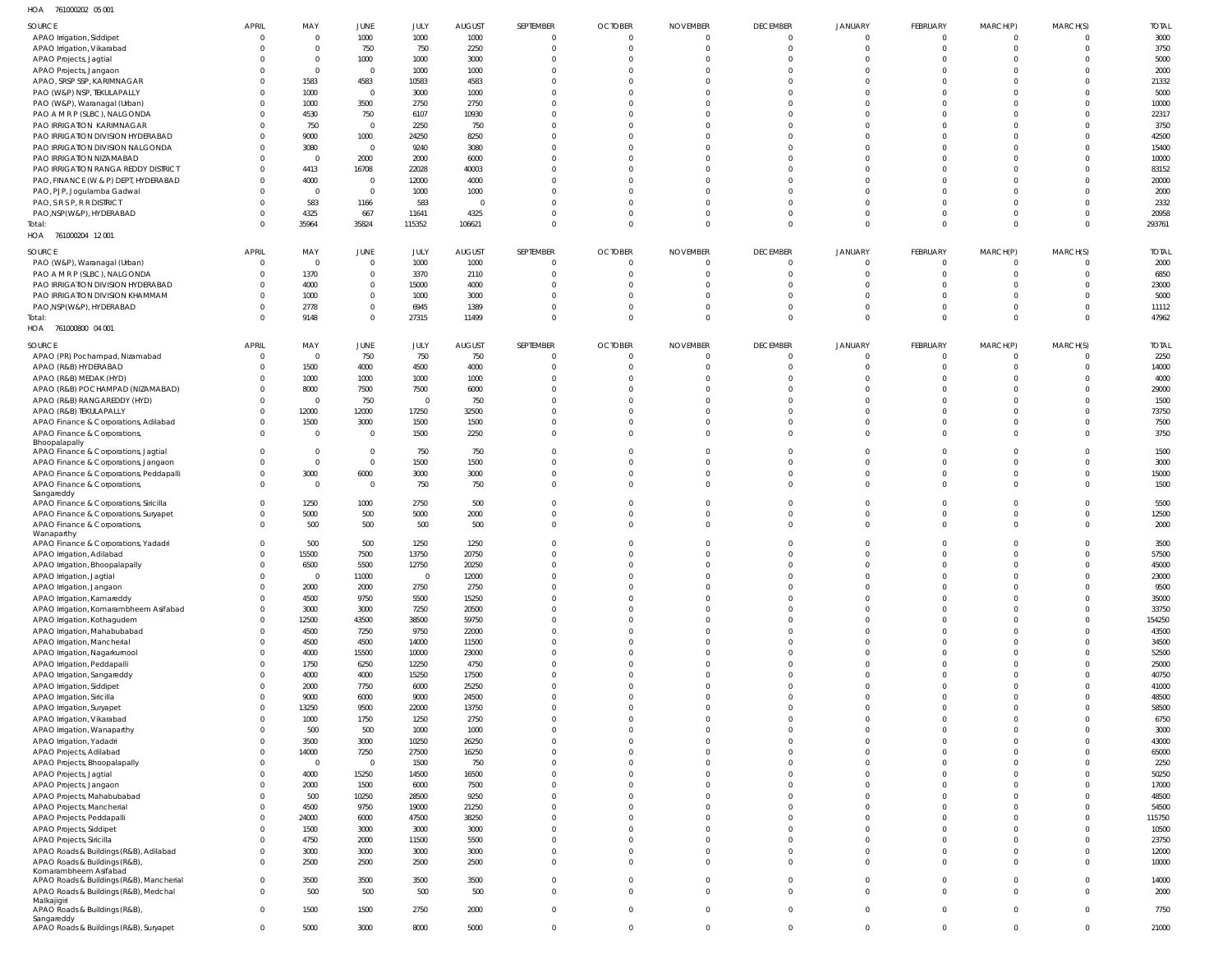761000202 05 001 HOA

| $\sim$                                             |              |              |                |          |               |                |                |                 |                 |                |          |             |                |              |
|----------------------------------------------------|--------------|--------------|----------------|----------|---------------|----------------|----------------|-----------------|-----------------|----------------|----------|-------------|----------------|--------------|
| SOURCE                                             | APRIL        | MAY          | JUNE           | JULY     | <b>AUGUST</b> | SEPTEMBER      | <b>OCTOBER</b> | <b>NOVEMBER</b> | <b>DECEMBER</b> | <b>JANUARY</b> | FEBRUARY | MARCH(P)    | MARCH(S)       | <b>TOTAL</b> |
| APAO Irrigation, Siddipet                          |              | <sup>0</sup> | 1000           | 1000     | 1000          | $\overline{0}$ | $\Omega$       | $\Omega$        | $\Omega$        | $\Omega$       | $\Omega$ | $\Omega$    | 0              | 3000         |
| APAO Irrigation, Vikarabad                         |              | 0            | 750            | 750      | 2250          | $\Omega$       | $\Omega$       | $\Omega$        | $\Omega$        | $\Omega$       | $\Omega$ | $\Omega$    | $\Omega$       | 3750         |
| APAO Projects, Jagtial                             |              | $\Omega$     | 1000           | 1000     | 3000          | $\Omega$       | $\Omega$       | -C              |                 |                |          | C           |                | 5000         |
| APAO Projects, Jangaon                             |              |              | $\overline{0}$ | 1000     | 1000          | $\Omega$       | $\Omega$       | -C              |                 |                | $\Omega$ | C           |                | 2000         |
| APAO, SRSP SSP, KARIMNAGAR                         |              | 1583         | 4583           | 10583    | 4583          | $\Omega$       | $\Omega$       |                 |                 |                |          | C           |                | 21332        |
| PAO (W&P) NSP, TEKULAPALLY                         |              | 1000         | $\mathbf 0$    | 3000     | 1000          | $\Omega$       | $\Omega$       |                 |                 |                |          |             |                | 5000         |
| PAO (W&P), Waranagal (Urban)                       |              | 1000         | 3500           | 2750     | 2750          | $\Omega$       | $\Omega$       | -C              |                 |                |          | C           |                | 10000        |
| PAO A M R P (SLBC), NALGONDA                       |              | 4530         | 750            | 6107     | 10930         |                | -C             |                 |                 |                |          |             |                | 22317        |
| PAO IRRIGATION KARIMNAGAR                          |              | 750          | $\overline{0}$ | 2250     | 750           | $\Omega$       | $\Omega$       | $\Omega$        |                 |                |          | C           |                | 3750         |
| PAO IRRIGATION DIVISION HYDERABAD                  |              | 9000         | 1000           | 24250    | 8250          | $\Omega$       | $\Omega$       | -C              |                 |                |          |             |                | 42500        |
| PAO IRRIGATION DIVISION NALGONDA                   |              | 3080         | $\overline{0}$ | 9240     | 3080          | $\Omega$       | $\Omega$       | -C              |                 |                |          | C           |                | 15400        |
| PAO IRRIGATION NIZAMABAD                           |              |              | 2000           | 2000     | 6000          |                | $\Omega$       |                 |                 |                |          |             |                | 10000        |
|                                                    |              |              |                |          |               | $\Omega$       | $\Omega$       |                 |                 |                |          |             |                |              |
| PAO IRRIGATION RANGA REDDY DISTRICT                |              | 4413         | 16708          | 22028    | 40003         |                |                |                 |                 |                |          |             |                | 83152        |
| PAO, FINANCE (W & P) DEPT, HYDERABAD               |              | 4000         | $\mathbf 0$    | 12000    | 4000          | $\Omega$       | $\Omega$       | -C              |                 |                |          | C           |                | 20000        |
| PAO, PJP, Jogulamba Gadwal                         |              |              | $\overline{0}$ | 1000     | 1000          | $\Omega$       | $\Omega$       | -C              |                 |                |          | C           |                | 2000         |
| PAO, S R S P, R R DISTRICT                         |              | 583          | 1166           | 583      | $\Omega$      | $\Omega$       | $\Omega$       | -C              |                 |                |          | C           |                | 2332         |
| PAO, NSP (W&P), HYDERABAD                          |              | 4325         | 667            | 11641    | 4325          | $\Omega$       | $\Omega$       | $\Omega$        |                 |                |          | $\Omega$    |                | 20958        |
| Total:                                             |              | 35964        | 35824          | 115352   | 106621        | $\Omega$       | $\Omega$       | $\Omega$        | $\Omega$        | $\Omega$       | $\Omega$ | $\Omega$    | $\Omega$       | 293761       |
| HOA 761000204 12 001                               |              |              |                |          |               |                |                |                 |                 |                |          |             |                |              |
| SOURCE                                             | <b>APRIL</b> | MAY          | JUNE           | JULY     | <b>AUGUST</b> | SEPTEMBER      | <b>OCTOBER</b> | <b>NOVEMBER</b> | <b>DECEMBER</b> | <b>JANUARY</b> | FEBRUARY | MARCH(P)    | MARCH(S)       | <b>TOTAL</b> |
|                                                    | $\Omega$     | $\Omega$     | $\overline{0}$ |          |               | $\overline{0}$ | $\overline{0}$ | $\overline{0}$  | $\Omega$        | $\Omega$       | $\Omega$ | C           | $\Omega$       | 2000         |
| PAO (W&P), Waranagal (Urban)                       |              |              |                | 1000     | 1000          |                |                |                 |                 |                |          |             |                |              |
| PAO A M R P (SLBC), NALGONDA                       |              | 1370         | $\mathbf 0$    | 3370     | 2110          | $\Omega$       | $\Omega$       | $\Omega$        | $\Omega$        | $\Omega$       | $\Omega$ | $\Omega$    | $\Omega$       | 6850         |
| PAO IRRIGATION DIVISION HYDERABAD                  |              | 4000         | $\mathbf 0$    | 15000    | 4000          | $\Omega$       | $\Omega$       | $\Omega$        |                 | $\Omega$       | $\Omega$ | C           | $\Omega$       | 23000        |
| PAO IRRIGATION DIVISION KHAMMAM                    |              | 1000         | $\mathbf 0$    | 1000     | 3000          | $\Omega$       | $\Omega$       | $\Omega$        | $\Omega$        | $\Omega$       | $\Omega$ | $\Omega$    | $\Omega$       | 5000         |
| PAO, NSP(W&P), HYDERABAD                           |              | 2778         | $\mathbf 0$    | 6945     | 1389          | $\Omega$       | $\Omega$       | $\Omega$        | $\Omega$        | $\Omega$       | $\Omega$ | $\Omega$    | $\Omega$       | 11112        |
| Total:                                             |              | 9148         | $\mathbf 0$    | 27315    | 11499         | $\Omega$       | $\Omega$       | $\Omega$        | $\Omega$        | $\Omega$       | $\Omega$ | $\Omega$    | $\Omega$       | 47962        |
| HOA 761000800 04 001                               |              |              |                |          |               |                |                |                 |                 |                |          |             |                |              |
| SOURCE                                             | <b>APRIL</b> | MAY          | JUNE           | JULY     | <b>AUGUST</b> | SEPTEMBER      | <b>OCTOBER</b> | <b>NOVEMBER</b> | <b>DECEMBER</b> | <b>JANUARY</b> | FEBRUARY | MARCH(P)    | MARCH(S)       | <b>TOTAL</b> |
| APAO (PR) Pochampad, Nizamabad                     | $\Omega$     | $\Omega$     | 750            | 750      | 750           | $\Omega$       | $\overline{0}$ | $\Omega$        | $\Omega$        | $\Omega$       | $\Omega$ | $\Omega$    | $\Omega$       | 2250         |
|                                                    |              |              |                |          |               |                |                |                 | $\Omega$        | $\Omega$       | $\Omega$ |             |                |              |
| APAO (R&B) HYDERABAD                               |              | 1500         | 4000           | 4500     | 4000          | $\Omega$       | $\Omega$       | $\Omega$        |                 |                |          | $\Omega$    | 0              | 14000        |
| APAO (R&B) MEDAK (HYD)                             |              | 1000         | 1000           | 1000     | 1000          | 0              | $\Omega$       | -C              |                 |                | $\Omega$ | C           |                | 4000         |
| APAO (R&B) POCHAMPAD (NIZAMABAD)                   |              | 8000         | 7500           | 7500     | 6000          | $\Omega$       | $\Omega$       | $\Omega$        |                 |                |          | C           | <sup>0</sup>   | 29000        |
| APAO (R&B) RANGAREDDY (HYD)                        |              | $\Omega$     | 750            | $\Omega$ | 750           | $\Omega$       | $\Omega$       |                 |                 |                |          |             |                | 1500         |
| APAO (R&B) TEKULAPALLY                             |              | 12000        | 12000          | 17250    | 32500         | $\Omega$       | $\Omega$       | $\Omega$        |                 |                |          | $\Omega$    | <sup>0</sup>   | 73750        |
| APAO Finance & Corporations, Adilabad              |              | 1500         | 3000           | 1500     | 1500          | 0              | $\Omega$       | $\Omega$        | $\Omega$        | $\Omega$       | $\Omega$ | $\Omega$    |                | 7500         |
| APAO Finance & Corporations,                       |              | $\Omega$     | $\overline{0}$ | 1500     | 2250          | $\Omega$       | $\Omega$       | $\Omega$        | $\Omega$        | $\Omega$       | $\Omega$ | $\Omega$    | $\Omega$       | 3750         |
| Bhoopalapally                                      |              |              |                |          |               |                |                |                 |                 |                |          |             |                |              |
| APAO Finance & Corporations, Jagtial               |              |              | $\overline{0}$ | 750      | 750           | $\Omega$       | $\Omega$       | -C              |                 |                |          | C           |                | 1500         |
| APAO Finance & Corporations, Jangaon               |              | $\Omega$     | $\mathbf 0$    | 1500     | 1500          | $\Omega$       | $\Omega$       | $\Omega$        |                 |                |          | $\Omega$    | <sup>0</sup>   | 3000         |
| APAO Finance & Corporations, Peddapalli            |              | 3000         | 6000           | 3000     | 3000          | $\Omega$       | $\Omega$       | $\Omega$        | $\Omega$        | $\Omega$       | $\Omega$ | $\Omega$    | $\Omega$       | 15000        |
| APAO Finance & Corporations,                       |              | $\Omega$     | $\overline{0}$ | 750      | 750           | $\Omega$       | $\Omega$       | $\Omega$        | $\Omega$        | $\Omega$       | $\Omega$ | $\Omega$    | $\Omega$       | 1500         |
| Sangareddy                                         |              |              |                |          |               |                |                |                 |                 |                |          |             |                |              |
| APAO Finance & Corporations, Siricilla             |              | 1250         | 1000           | 2750     | 500           | $\Omega$       | $\Omega$       | $\Omega$        | $\Omega$        | $\Omega$       | $\Omega$ | $\Omega$    | 0              | 5500         |
| APAO Finance & Corporations, Suryapet              |              | 5000         | 500            | 5000     | 2000          | $\Omega$       | $\Omega$       | $\Omega$        |                 | $\Omega$       | $\Omega$ | $\Omega$    | 0              | 12500        |
| APAO Finance & Corporations,                       |              | 500          | 500            | 500      | 500           | $\Omega$       | $\Omega$       | $\Omega$        | $\Omega$        | $\Omega$       | $\Omega$ | $\Omega$    | <sup>0</sup>   | 2000         |
| Wanaparthy<br>APAO Finance & Corporations, Yadadri |              | 500          | 500            | 1250     | 1250          | $\Omega$       | $\Omega$       | $\Omega$        | $\Omega$        | $\Omega$       | $\Omega$ | $\Omega$    | 0              | 3500         |
|                                                    |              | 15500        | 7500           | 13750    | 20750         | $\Omega$       | $\Omega$       | $\Omega$        | $\Omega$        | $\Omega$       | $\Omega$ | $\Omega$    | $\Omega$       | 57500        |
| APAO Irrigation, Adilabad                          |              |              |                |          |               |                |                |                 |                 |                |          |             |                |              |
| APAO Irrigation, Bhoopalapally                     |              | 6500         | 5500           | 12750    | 20250         | $\Omega$       | $\Omega$       | $\Omega$        | $\Omega$        | $\Omega$       | $\Omega$ | $\Omega$    | 0              | 45000        |
| APAO Irrigation, Jagtial                           |              | $\Omega$     | 11000          | $\Omega$ | 12000         | $\Omega$       | $\Omega$       | $\Omega$        | $\Omega$        | $\Omega$       | $\Omega$ | $\Omega$    | $\Omega$       | 23000        |
| APAO Irrigation, Jangaon                           |              | 2000         | 2000           | 2750     | 2750          | $\Omega$       | $\Omega$       | $\Omega$        | $\Omega$        | $\Omega$       | $\Omega$ | $\Omega$    | $\Omega$       | 9500         |
| APAO Irrigation, Kamareddy                         |              | 4500         | 9750           | 5500     | 15250         | $\Omega$       | $\Omega$       | $\Omega$        | $\Omega$        | $\Omega$       | $\Omega$ | $\Omega$    | $\Omega$       | 35000        |
| APAO Irrigation, Komarambheem Asifabad             |              | 3000         | 3000           | 7250     | 20500         | $\Omega$       | $\Omega$       | $\Omega$        | $\Omega$        | $\Omega$       | $\Omega$ | $\Omega$    | $\Omega$       | 33750        |
| APAO Irrigation, Kothagudem                        |              | 12500        | 43500          | 38500    | 59750         | $\Omega$       | $\Omega$       | $\Omega$        | $\Omega$        | $\Omega$       | $\Omega$ | $\Omega$    | $\Omega$       | 154250       |
| APAO Irrigation, Mahabubabad                       |              | 4500         | 7250           | 9750     | 22000         | $\Omega$       | $\Omega$       | $\Omega$        | $\Omega$        | $\Omega$       | $\Omega$ | $\Omega$    | $\Omega$       | 43500        |
| APAO Irrigation, Mancherial                        |              | 4500         | 4500           | 14000    | 11500         | $\Omega$       | $\Omega$       | $\Omega$        | $\Omega$        | $\Omega$       | $\Omega$ | $\Omega$    | $\Omega$       | 34500        |
| APAO Irrigation, Nagarkurnool                      |              | 4000         | 15500          | 10000    | 23000         | $\Omega$       | $\Omega$       | $\Omega$        | $\Omega$        | $\Omega$       | $\Omega$ | $\Omega$    | $\Omega$       | 52500        |
| APAO Irrigation, Peddapalli                        |              | 1750         | 6250           | 12250    | 4750          | $\Omega$       | $\Omega$       | $\Omega$        | $\Omega$        | $\Omega$       | $\Omega$ | $\Omega$    | $\Omega$       | 25000        |
| APAO Irrigation, Sangareddy                        |              | 4000         | 4000           | 15250    | 17500         | $\Omega$       | $\Omega$       | $\Omega$        | $\Omega$        | $\Omega$       | $\Omega$ | $\Omega$    | $\Omega$       | 40750        |
| APAO Irrigation, Siddipet                          |              | 2000         | 7750           | 6000     | 25250         | $\Omega$       | $\Omega$       | $\Omega$        | $\Omega$        | $\Omega$       | $\Omega$ | $\Omega$    | $\Omega$       | 41000        |
| APAO Irrigation, Siricilla                         |              | 9000         | 6000           | 9000     | 24500         | $\Omega$       | $\Omega$       | $\Omega$        | $\Omega$        | $\Omega$       | $\Omega$ | $\Omega$    | $\Omega$       | 48500        |
| APAO Irrigation, Suryapet                          |              | 13250        | 9500           | 22000    | 13750         | $\Omega$       | $\Omega$       | $\Omega$        | $\Omega$        | $\Omega$       | $\Omega$ | $\Omega$    | $\Omega$       | 58500        |
| APAO Irrigation, Vikarabad                         |              | 1000         | 1750           | 1250     | 2750          | $\Omega$       | $\Omega$       | $\Omega$        | $\Omega$        | $\Omega$       | $\Omega$ | $\Omega$    | $\Omega$       | 6750         |
| APAO Irrigation, Wanaparthy                        |              | 500          | 500            | 1000     | 1000          | $\Omega$       | $\Omega$       | $\Omega$        | $\Omega$        | $\Omega$       | $\Omega$ | $\Omega$    | $\Omega$       | 3000         |
| APAO Irrigation, Yadadri                           |              | 3500         | 3000           | 10250    | 26250         | $\Omega$       | $\Omega$       | $\Omega$        | $\Omega$        | $\Omega$       | $\Omega$ | $\Omega$    | $\Omega$       | 43000        |
| APAO Projects, Adilabad                            |              | 14000        | 7250           | 27500    | 16250         | $\Omega$       | $\Omega$       | $\Omega$        | $\Omega$        | $\Omega$       | $\Omega$ | $\Omega$    | $\Omega$       | 65000        |
|                                                    |              | $\Omega$     | $\overline{0}$ | 1500     | 750           | $\Omega$       | $\Omega$       | $\Omega$        | $\Omega$        | $\Omega$       | $\Omega$ | $\Omega$    | $\Omega$       | 2250         |
| APAO Projects, Bhoopalapally                       |              | 4000         | 15250          | 14500    | 16500         | $\Omega$       | $\Omega$       | $\Omega$        | $\Omega$        | $\Omega$       | $\Omega$ | $\Omega$    | $\Omega$       | 50250        |
| APAO Projects, Jagtial                             |              |              |                |          |               | $\Omega$       | $\Omega$       | $\Omega$        | $\Omega$        | $\Omega$       | $\Omega$ | $\Omega$    | $\Omega$       | 17000        |
| APAO Projects, Jangaon                             |              | 2000         | 1500           | 6000     | 7500          |                |                |                 |                 |                |          |             |                |              |
| APAO Projects, Mahabubabad                         |              | 500          | 10250          | 28500    | 9250          | $\Omega$       | $\Omega$       | $\Omega$        | $\Omega$        | $\Omega$       | $\Omega$ | $\Omega$    | $\Omega$       | 48500        |
| APAO Projects, Mancherial                          |              | 4500         | 9750           | 19000    | 21250         | $\Omega$       | $\Omega$       | $\Omega$        | $\Omega$        | $\Omega$       | $\Omega$ | $\Omega$    | $\Omega$       | 54500        |
| APAO Projects, Peddapalli                          |              | 24000        | 6000           | 47500    | 38250         | $\Omega$       | $\Omega$       | $\Omega$        | $\Omega$        | $\Omega$       | $\Omega$ | $\Omega$    | $\Omega$       | 115750       |
| APAO Projects, Siddipet                            |              | 1500         | 3000           | 3000     | 3000          | $\Omega$       | $\Omega$       | $\Omega$        | $\Omega$        | $\Omega$       | $\Omega$ | $\Omega$    | $\Omega$       | 10500        |
| APAO Projects, Siricilla                           |              | 4750         | 2000           | 11500    | 5500          | $\Omega$       | $\Omega$       | $\Omega$        | $\Omega$        | $\Omega$       | $\Omega$ | $\Omega$    | $\Omega$       | 23750        |
| APAO Roads & Buildings (R&B), Adilabad             |              | 3000         | 3000           | 3000     | 3000          | $\Omega$       | $\Omega$       | $\Omega$        | $\Omega$        | $\Omega$       | $\Omega$ | $\Omega$    | $\Omega$       | 12000        |
| APAO Roads & Buildings (R&B),                      | $\Omega$     | 2500         | 2500           | 2500     | 2500          | $\Omega$       | $\Omega$       | $\Omega$        | $\Omega$        | $\Omega$       | $\Omega$ | $\Omega$    | $\Omega$       | 10000        |
| Komarambheem Asifabad                              |              |              |                |          |               |                |                |                 |                 |                |          |             |                |              |
| APAO Roads & Buildings (R&B), Mancherial           | $\Omega$     | 3500         | 3500           | 3500     | 3500          | $\mathbf{0}$   | $\Omega$       | $\Omega$        | $\Omega$        | $\Omega$       | $\Omega$ | $\Omega$    | $\Omega$       | 14000        |
| APAO Roads & Buildings (R&B), Medchal              | $\Omega$     | 500          | 500            | 500      | 500           | $\mathbf 0$    | $\Omega$       | $\Omega$        | $\Omega$        | $\Omega$       | $\Omega$ | $\mathbf 0$ | $\Omega$       | 2000         |
| Malkajigiri<br>APAO Roads & Buildings (R&B),       | $\Omega$     | 1500         |                |          |               | $\mathbf 0$    | $\mathbf{0}$   | $\mathbf{0}$    | $\Omega$        | $\Omega$       | $\Omega$ | $\mathbf 0$ | $\Omega$       | 7750         |
| Sangareddy                                         |              |              | 1500           | 2750     | 2000          |                |                |                 |                 |                |          |             |                |              |
| APAO Roads & Buildings (R&B), Suryapet             | $\Omega$     | 5000         | 3000           | 8000     | 5000          | $\overline{0}$ | $\mathbf{0}$   | $\mathbf{0}$    | $\Omega$        | $\Omega$       | $\Omega$ | $\mathbf 0$ | $\overline{0}$ | 21000        |